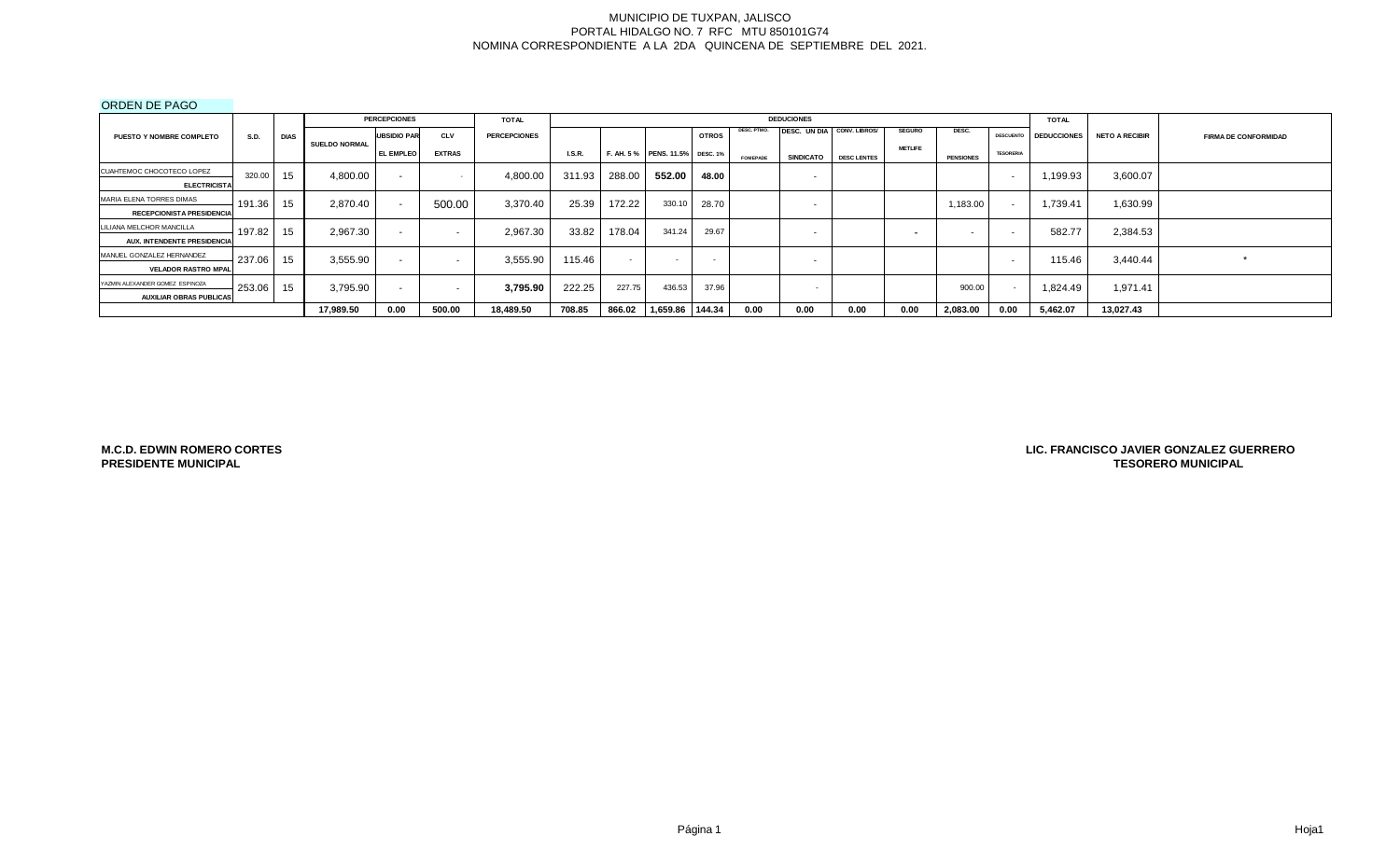### ORDEN DE PAGO

|                                    |        |             |                      | <b>PERCEPCIONES</b>      |               | <b>TOTAL</b>        |               |        |                                |              |                   | <b>DEDUCIONES</b>          |                    |                |                          |                          | <b>TOTAL</b>       |                       |                             |
|------------------------------------|--------|-------------|----------------------|--------------------------|---------------|---------------------|---------------|--------|--------------------------------|--------------|-------------------|----------------------------|--------------------|----------------|--------------------------|--------------------------|--------------------|-----------------------|-----------------------------|
| <b>PUESTO Y NOMBRE COMPLETO</b>    | S.D.   | <b>DIAS</b> | <b>SUELDO NORMAL</b> | <b>UBSIDIO PAR</b>       | <b>CLV</b>    | <b>PERCEPCIONES</b> |               |        |                                | <b>OTROS</b> | <b>DESC. PTMO</b> | DESC. UN DIA CONV. LIBROS/ |                    | <b>SEGURO</b>  | DESC.                    | <b>DESCUENTO</b>         | <b>DEDUCCIONES</b> | <b>NETO A RECIBIR</b> | <b>FIRMA DE CONFORMIDAD</b> |
|                                    |        |             |                      | <b>EL EMPLEO</b>         | <b>EXTRAS</b> |                     | <b>I.S.R.</b> |        | F. AH. 5% PENS. 11.5% DESC. 1% |              | <b>FOMEPADE</b>   | <b>SINDICATO</b>           | <b>DESC LENTES</b> | <b>METLIFE</b> | <b>PENSIONES</b>         | <b>TESORERIA</b>         |                    |                       |                             |
| CUAHTEMOC CHOCOTECO LOPEZ          | 320.00 | 15          | 4,800.00             | $\sim$                   | $\sim$        | 4,800.00            | 311.93        | 288.00 | 552.00                         | 48.00        |                   | $\,$                       |                    |                |                          | $\overline{\phantom{a}}$ | 1,199.93           | 3,600.07              |                             |
| <b>ELECTRICISTA</b>                |        |             |                      |                          |               |                     |               |        |                                |              |                   |                            |                    |                |                          |                          |                    |                       |                             |
| MARIA ELENA TORRES DIMAS           | 191.36 | 15          | 2.870.40             | $\sim$                   | 500.00        | 3,370.40            | 25.39         | 172.22 | 330.10                         | 28.70        |                   | $\overline{\phantom{a}}$   |                    |                | 1,183.00                 | $\sim$                   | 1,739.41           | 1,630.99              |                             |
| <b>RECEPCIONISTA PRESIDENCIA</b>   |        |             |                      |                          |               |                     |               |        |                                |              |                   |                            |                    |                |                          |                          |                    |                       |                             |
| LILIANA MELCHOR MANCILLA           | 197.82 | 15          | 2.967.30             | $\sim$                   | . .           | 2,967.30            | 33.82         | 178.04 | 341.24                         | 29.67        |                   | ٠                          |                    | . .            | $\overline{\phantom{a}}$ | $\sim$                   | 582.77             | 2,384.53              |                             |
| <b>AUX. INTENDENTE PRESIDENCIA</b> |        |             |                      |                          |               |                     |               |        |                                |              |                   |                            |                    |                |                          |                          |                    |                       |                             |
| MANUEL GONZALEZ HERNANDEZ          | 237.06 | 15          | 3,555.90             | $\overline{\phantom{0}}$ | $\sim$        | 3,555.90            | 115.46        | $\sim$ |                                |              |                   | $\overline{\phantom{a}}$   |                    |                |                          | $\sim$                   | 115.46             | 3,440.44              |                             |
| <b>VELADOR RASTRO MPAL</b>         |        |             |                      |                          |               |                     |               |        |                                |              |                   |                            |                    |                |                          |                          |                    |                       |                             |
| YAZMIN ALEXANDER GOMEZ ESPINOZA    | 253.06 | 15          | 3,795.90             | $\overline{a}$           | $\sim$        | 3,795.90            | 222.25        | 227.75 | 436.53                         | 37.96        |                   | $\sim$                     |                    |                | 900.00                   | $\sim$                   | 1,824.49           | 1,971.41              |                             |
| <b>AUXILIAR OBRAS PUBLICAS</b>     |        |             |                      |                          |               |                     |               |        |                                |              |                   |                            |                    |                |                          |                          |                    |                       |                             |
|                                    |        |             | 17,989.50            | 0.00                     | 500.00        | 18,489.50           | 708.85        | 866.02 | 1,659.86   144.34              |              | 0.00              | 0.00                       | 0.00               | 0.00           | 2,083.00                 | 0.00                     | 5,462.07           | 13,027.43             |                             |

**M.C.D. EDWIN ROMERO CORTES PRESIDENTE MUNICIPAL**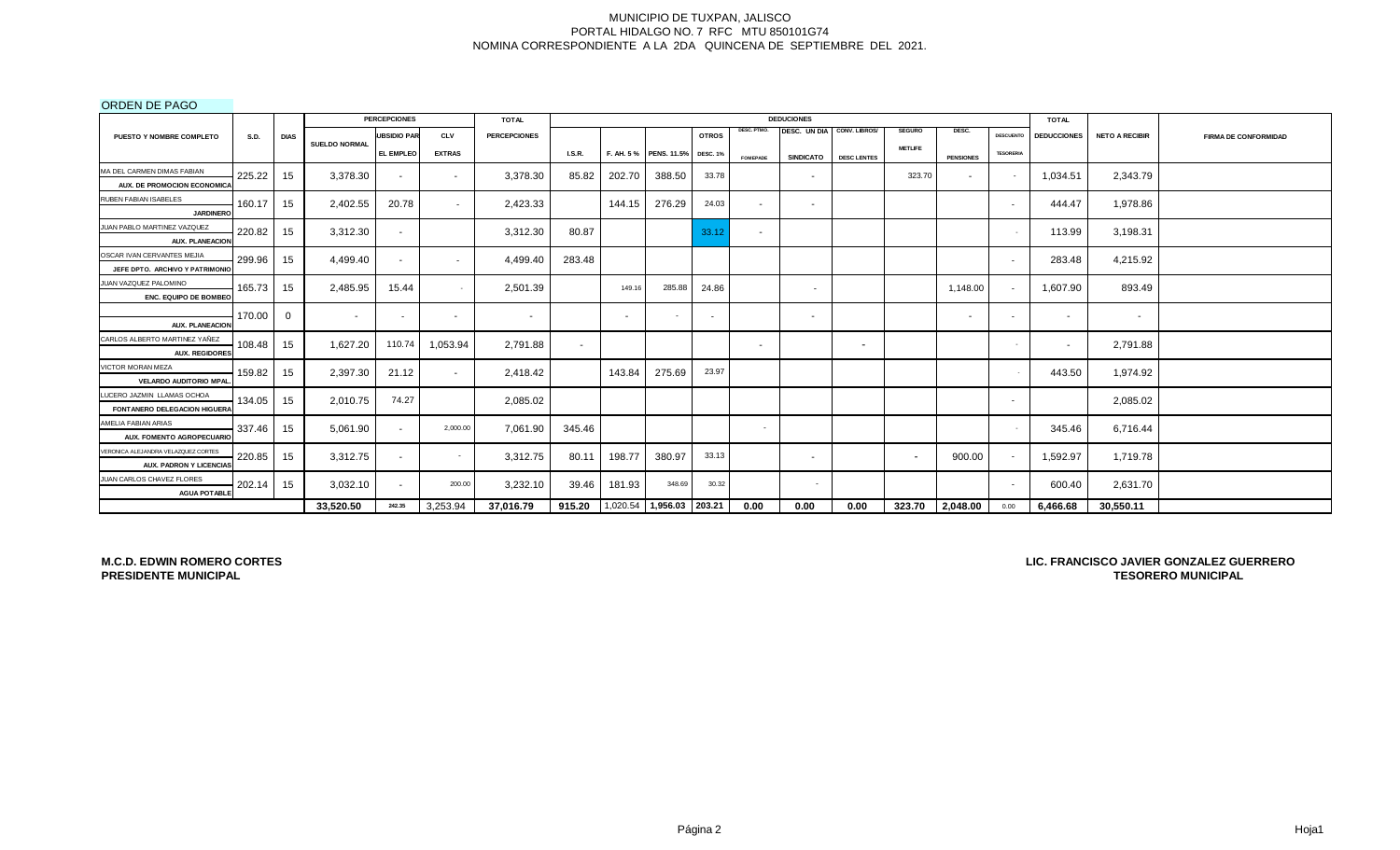ORDEN DE PAGO

|                                     |             |             |                          | <b>PERCEPCIONES</b>      |                          | <b>TOTAL</b>        |               |        |                                    |              |                 | <b>DEDUCIONES</b>        |                     |                |                          |                          | <b>TOTAL</b>       |                       |                             |
|-------------------------------------|-------------|-------------|--------------------------|--------------------------|--------------------------|---------------------|---------------|--------|------------------------------------|--------------|-----------------|--------------------------|---------------------|----------------|--------------------------|--------------------------|--------------------|-----------------------|-----------------------------|
| <b>PUESTO Y NOMBRE COMPLETO</b>     | <b>S.D.</b> | <b>DIAS</b> |                          | UBSIDIO PAR              | <b>CLV</b>               | <b>PERCEPCIONES</b> |               |        |                                    | <b>OTROS</b> | DESC. PTMO.     | <b>DESC. UN DIA</b>      | <b>CONV. LIBROS</b> | <b>SEGURO</b>  | DESC.                    | <b>DESCUENTO</b>         | <b>DEDUCCIONES</b> | <b>NETO A RECIBIR</b> | <b>FIRMA DE CONFORMIDAD</b> |
|                                     |             |             | <b>SUELDO NORMAL</b>     | <b>EL EMPLEO</b>         | <b>EXTRAS</b>            |                     | <b>I.S.R.</b> |        | F. AH. 5% PENS. 11.5% DESC. 1%     |              | <b>FOMEPADE</b> | <b>SINDICATO</b>         | <b>DESC LENTES</b>  | <b>METLIFE</b> | <b>PENSIONES</b>         | <b>TESORERIA</b>         |                    |                       |                             |
| MA DEL CARMEN DIMAS FABIAN          |             |             |                          |                          |                          |                     |               |        |                                    |              |                 |                          |                     |                |                          |                          |                    |                       |                             |
| AUX. DE PROMOCION ECONOMICA         | 225.22      | 15          | 3,378.30                 | $\sim$                   | $\overline{\phantom{a}}$ | 3,378.30            | 85.82         | 202.70 | 388.50                             | 33.78        |                 | $\sim$                   |                     | 323.70         | $\sim$                   | . .                      | 1,034.51           | 2,343.79              |                             |
| <b>RUBEN FABIAN ISABELES</b>        |             |             |                          |                          |                          |                     |               |        |                                    |              |                 |                          |                     |                |                          |                          |                    |                       |                             |
| <b>JARDINERO</b>                    | 160.17      | 15          | 2,402.55                 | 20.78                    |                          | 2,423.33            |               | 144.15 | 276.29                             | 24.03        | $\overline{a}$  | $\overline{\phantom{a}}$ |                     |                |                          | $\sim$                   | 444.47             | 1,978.86              |                             |
| JUAN PABLO MARTINEZ VAZQUEZ         | 220.82      |             | 3,312.30                 | $\sim$                   |                          | 3,312.30            | 80.87         |        |                                    | 33.12        | $\sim$          |                          |                     |                |                          |                          | 113.99             | 3,198.31              |                             |
| <b>AUX. PLANEACION</b>              |             | 15          |                          |                          |                          |                     |               |        |                                    |              |                 |                          |                     |                |                          |                          |                    |                       |                             |
| OSCAR IVAN CERVANTES MEJIA          | 299.96      | 15          | 4,499.40                 | $\sim$                   | $\sim$                   | 4,499.40            | 283.48        |        |                                    |              |                 |                          |                     |                |                          | $\sim$                   | 283.48             | 4,215.92              |                             |
| JEFE DPTO. ARCHIVO Y PATRIMONIC     |             |             |                          |                          |                          |                     |               |        |                                    |              |                 |                          |                     |                |                          |                          |                    |                       |                             |
| JUAN VAZQUEZ PALOMINO               | 165.73      | 15          | 2,485.95                 | 15.44                    |                          | 2,501.39            |               | 149.16 | 285.88                             | 24.86        |                 | $\overline{\phantom{a}}$ |                     |                | 1,148.00                 | $\overline{\phantom{a}}$ | 1,607.90           | 893.49                |                             |
| ENC. EQUIPO DE BOMBEO               |             |             |                          |                          |                          |                     |               |        |                                    |              |                 |                          |                     |                |                          |                          |                    |                       |                             |
|                                     | 170.00      | 0           | $\overline{\phantom{0}}$ | $\overline{\phantom{a}}$ | $\overline{\phantom{a}}$ | $\sim$              |               | $\sim$ |                                    | $\sim$       |                 | $\overline{\phantom{a}}$ |                     |                | $\overline{\phantom{a}}$ | $\sim$                   | $\sim$             | $\sim$                |                             |
| <b>AUX. PLANEACION</b>              |             |             |                          |                          |                          |                     |               |        |                                    |              |                 |                          |                     |                |                          |                          |                    |                       |                             |
| CARLOS ALBERTO MARTINEZ YAÑEZ       | 108.48      | 15          | 1,627.20                 | 110.74                   | 1,053.94                 | 2,791.88            | $\sim$        |        |                                    |              | $\overline{a}$  |                          | $\sim$              |                |                          | $\sim$                   | $\sim$             | 2,791.88              |                             |
| <b>AUX. REGIDORES</b>               |             |             |                          |                          |                          |                     |               |        |                                    |              |                 |                          |                     |                |                          |                          |                    |                       |                             |
| VICTOR MORAN MEZA                   | 159.82      | 15          | 2,397.30                 | 21.12                    | $\overline{\phantom{a}}$ | 2,418.42            |               | 143.84 | 275.69                             | 23.97        |                 |                          |                     |                |                          |                          | 443.50             | 1,974.92              |                             |
| <b>VELARDO AUDITORIO MPAL</b>       |             |             |                          |                          |                          |                     |               |        |                                    |              |                 |                          |                     |                |                          |                          |                    |                       |                             |
| LUCERO JAZMIN LLAMAS OCHOA          | 134.05      | 15          | 2,010.75                 | 74.27                    |                          | 2,085.02            |               |        |                                    |              |                 |                          |                     |                |                          | $\sim$                   |                    | 2,085.02              |                             |
| FONTANERO DELEGACION HIGUERA        |             |             |                          |                          |                          |                     |               |        |                                    |              |                 |                          |                     |                |                          |                          |                    |                       |                             |
| AMELIA FABIAN ARIAS                 | 337.46      | 15          | 5,061.90                 | $\sim$                   | 2,000.00                 | 7,061.90            | 345.46        |        |                                    |              | $\sim$          |                          |                     |                |                          |                          | 345.46             | 6,716.44              |                             |
| <b>AUX. FOMENTO AGROPECUARIO</b>    |             |             |                          |                          |                          |                     |               |        |                                    |              |                 |                          |                     |                |                          |                          |                    |                       |                             |
| VERONICA ALEJANDRA VELAZQUEZ CORTES | 220.85      | 15          | 3,312.75                 | $\sim$                   | $\sim$                   | 3,312.75            | 80.11         | 198.77 | 380.97                             | 33.13        |                 | $\overline{\phantom{a}}$ |                     | $\sim$         | 900.00                   | $\sim$                   | 1,592.97           | 1,719.78              |                             |
| AUX. PADRON Y LICENCIAS             |             |             |                          |                          |                          |                     |               |        |                                    |              |                 |                          |                     |                |                          |                          |                    |                       |                             |
| JUAN CARLOS CHAVEZ FLORES           | 202.14      | 15          | 3,032.10                 | $\sim$                   | 200.00                   | 3,232.10            | 39.46         | 181.93 | 348.69                             | 30.32        |                 | $\sim$                   |                     |                |                          | $\overline{\phantom{a}}$ | 600.40             | 2,631.70              |                             |
| <b>AGUA POTABLI</b>                 |             |             |                          |                          |                          |                     |               |        |                                    |              |                 |                          |                     |                |                          |                          |                    |                       |                             |
|                                     |             |             | 33,520.50                | 242.35                   | 3,253.94                 | 37,016.79           |               |        | 915.20  1,020.54  1,956.03  203.21 |              | 0.00            | 0.00                     | 0.00                | 323.70         | 2,048.00                 | 0.00                     | 6,466.68           | 30,550.11             |                             |

**M.C.D. EDWIN ROMERO CORTES PRESIDENTE MUNICIPAL**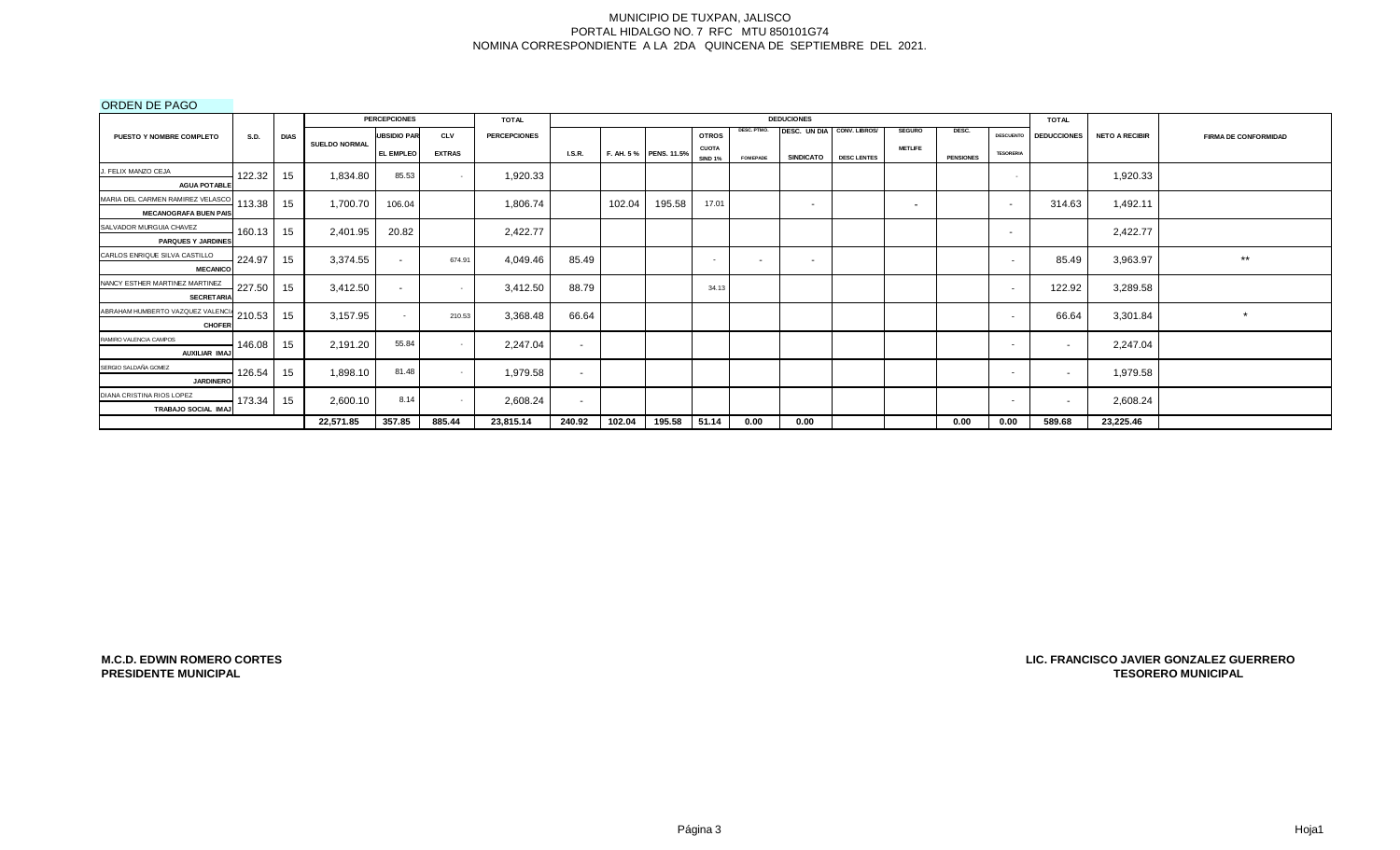ORDEN DE PAGO

|                                         |             |             |                      | <b>PERCEPCIONES</b> |               | <b>TOTAL</b>        |               |        |                       |                                |                 | <b>DEDUCIONES</b>        |                      |                          |                  |                          | <b>TOTAL</b>       |                       |                             |
|-----------------------------------------|-------------|-------------|----------------------|---------------------|---------------|---------------------|---------------|--------|-----------------------|--------------------------------|-----------------|--------------------------|----------------------|--------------------------|------------------|--------------------------|--------------------|-----------------------|-----------------------------|
| PUESTO Y NOMBRE COMPLETO                | <b>S.D.</b> | <b>DIAS</b> |                      | <b>UBSIDIO PAR</b>  | <b>CLV</b>    | <b>PERCEPCIONES</b> |               |        |                       | <b>OTROS</b>                   | DESC. PTMO.     | DESC. UN DIA             | <b>CONV. LIBROS/</b> | <b>SEGURO</b>            | DESC.            | <b>DESCUENTO</b>         | <b>DEDUCCIONES</b> | <b>NETO A RECIBIR</b> | <b>FIRMA DE CONFORMIDAD</b> |
|                                         |             |             | <b>SUELDO NORMAL</b> | <b>EL EMPLEO</b>    | <b>EXTRAS</b> |                     | <b>I.S.R.</b> |        | F. AH. 5% PENS. 11.5% | <b>CUOTA</b><br><b>SIND 1%</b> | <b>FOMEPADE</b> | <b>SINDICATO</b>         | <b>DESC LENTES</b>   | <b>METLIFE</b>           | <b>PENSIONES</b> | <b>TESORERIA</b>         |                    |                       |                             |
| J. FELIX MANZO CEJA                     | 122.32      | 15          | 1,834.80             | 85.53               | $\sim$        | 1,920.33            |               |        |                       |                                |                 |                          |                      |                          |                  | $\sim$                   |                    | 1,920.33              |                             |
| <b>AGUA POTABLE</b>                     |             |             |                      |                     |               |                     |               |        |                       |                                |                 |                          |                      |                          |                  |                          |                    |                       |                             |
| MARIA DEL CARMEN RAMIREZ VELASCO 113.38 |             | 15          | 1,700.70             | 106.04              |               | 1,806.74            |               | 102.04 | 195.58                | 17.01                          |                 | $\overline{\phantom{a}}$ |                      | $\overline{\phantom{0}}$ |                  | $\overline{\phantom{a}}$ | 314.63             | 1,492.11              |                             |
| <b>MECANOGRAFA BUEN PAIS</b>            |             |             |                      |                     |               |                     |               |        |                       |                                |                 |                          |                      |                          |                  |                          |                    |                       |                             |
| SALVADOR MURGUIA CHAVEZ                 | 160.13      | 15          | 2,401.95             | 20.82               |               | 2,422.77            |               |        |                       |                                |                 |                          |                      |                          |                  | $\overline{\phantom{a}}$ |                    | 2,422.77              |                             |
| <b>PARQUES Y JARDINES</b>               |             |             |                      |                     |               |                     |               |        |                       |                                |                 |                          |                      |                          |                  |                          |                    |                       |                             |
| CARLOS ENRIQUE SILVA CASTILLO           | 224.97      | 15          | 3,374.55             | $\sim$              | 674.91        | 4,049.46            | 85.49         |        |                       | $\sim$                         |                 | $\overline{a}$           |                      |                          |                  | $\sim$                   | 85.49              | 3,963.97              | $***$                       |
| <b>MECANICO</b>                         |             |             |                      |                     |               |                     |               |        |                       |                                |                 |                          |                      |                          |                  |                          |                    |                       |                             |
| NANCY ESTHER MARTINEZ MARTINEZ          | 227.50      | 15          | 3,412.50             | $\sim$              | $\sim$        | 3,412.50            | 88.79         |        |                       | 34.13                          |                 |                          |                      |                          |                  | $\sim$                   | 122.92             | 3,289.58              |                             |
| <b>SECRETARIA</b>                       |             |             |                      |                     |               |                     |               |        |                       |                                |                 |                          |                      |                          |                  |                          |                    |                       |                             |
| ABRAHAM HUMBERTO VAZQUEZ VALENCIA       | 210.53      | 15          | 3,157.95             | $\sim$              | 210.53        | 3,368.48            | 66.64         |        |                       |                                |                 |                          |                      |                          |                  | $\sim$                   | 66.64              | 3,301.84              | $\star$                     |
| <b>CHOFER</b>                           |             |             |                      |                     |               |                     |               |        |                       |                                |                 |                          |                      |                          |                  |                          |                    |                       |                             |
| RAMIRO VALENCIA CAMPOS                  | 146.08      | 15          | 2,191.20             | 55.84               |               | 2,247.04            | $\sim$        |        |                       |                                |                 |                          |                      |                          |                  | $\sim$                   | $\sim$             | 2,247.04              |                             |
| AUXILIAR IMAJ                           |             |             |                      |                     |               |                     |               |        |                       |                                |                 |                          |                      |                          |                  |                          |                    |                       |                             |
| SERGIO SALDAÑA GOMEZ                    | 126.54      | 15          | 1,898.10             | 81.48               | $\sim$        | 1,979.58            | $\sim$        |        |                       |                                |                 |                          |                      |                          |                  | $\sim$                   | $\sim$             | 1,979.58              |                             |
| <b>JARDINERO</b>                        |             |             |                      |                     |               |                     |               |        |                       |                                |                 |                          |                      |                          |                  |                          |                    |                       |                             |
| DIANA CRISTINA RIOS LOPEZ               | 173.34      | 15          | 2,600.10             | 8.14                | $\sim$        | 2,608.24            | $\sim$        |        |                       |                                |                 |                          |                      |                          |                  | $\sim$                   | $\sim$             | 2,608.24              |                             |
| TRABAJO SOCIAL IMAJ                     |             |             |                      |                     |               |                     |               |        |                       |                                |                 |                          |                      |                          |                  |                          |                    |                       |                             |
|                                         |             |             | 22,571.85            | 357.85              | 885.44        | 23,815.14           | 240.92        | 102.04 | 195.58                | 51.14                          | 0.00            | 0.00                     |                      |                          | 0.00             | 0.00                     | 589.68             | 23,225.46             |                             |

**M.C.D. EDWIN ROMERO CORTES PRESIDENTE MUNICIPAL**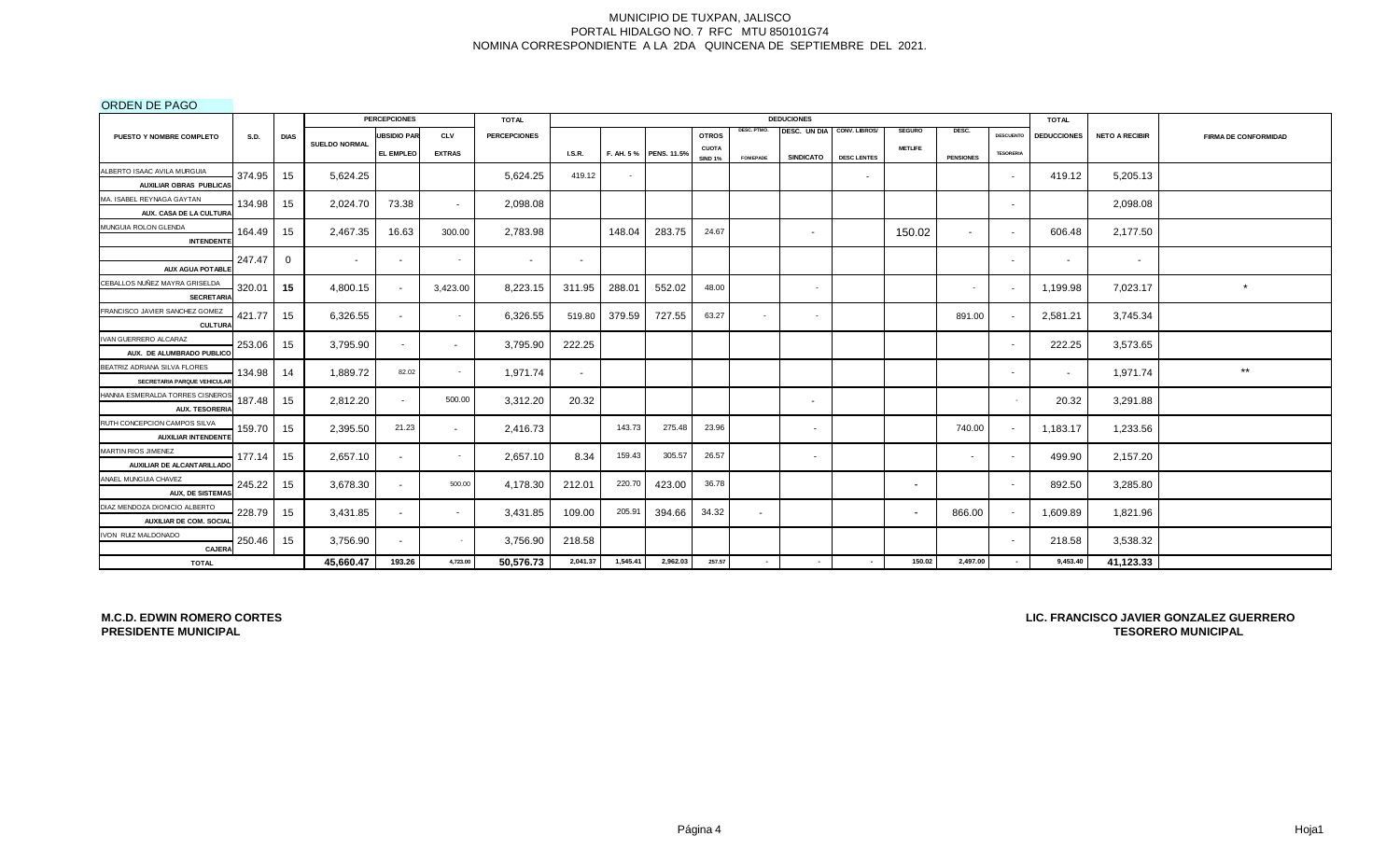ORDEN DE PAGO

|                                                                 |             |              |                          | <b>PERCEPCIONES</b> |                          | <b>TOTAL</b>        |                          |          |                       |                                |                 | <b>DEDUCIONES</b>        |                      |                |                          |                          | <b>TOTAL</b>       |                       |                             |
|-----------------------------------------------------------------|-------------|--------------|--------------------------|---------------------|--------------------------|---------------------|--------------------------|----------|-----------------------|--------------------------------|-----------------|--------------------------|----------------------|----------------|--------------------------|--------------------------|--------------------|-----------------------|-----------------------------|
| PUESTO Y NOMBRE COMPLETO                                        | <b>S.D.</b> | <b>DIAS</b>  |                          | <b>UBSIDIO PAR</b>  | <b>CLV</b>               | <b>PERCEPCIONES</b> |                          |          |                       | <b>OTROS</b>                   | DESC. PTMO.     | DESC. UN DIA             | <b>CONV. LIBROS/</b> | <b>SEGURO</b>  | DESC.                    | <b>DESCUENTO</b>         | <b>DEDUCCIONES</b> | <b>NETO A RECIBIR</b> | <b>FIRMA DE CONFORMIDAD</b> |
|                                                                 |             |              | <b>SUELDO NORMAL</b>     | <b>EL EMPLEO</b>    | <b>EXTRAS</b>            |                     | LS.R.                    |          | F. AH. 5% PENS. 11.5% | <b>CUOTA</b><br><b>SIND 1%</b> | <b>FOMEPADE</b> | <b>SINDICATO</b>         | <b>DESC LENTES</b>   | <b>METLIFE</b> | <b>PENSIONES</b>         | <b>TESORERIA</b>         |                    |                       |                             |
| ALBERTO ISAAC AVILA MURGUIA                                     | 374.95      | 15           | 5,624.25                 |                     |                          | 5,624.25            | 419.12                   | $\sim$   |                       |                                |                 |                          | $\sim$               |                |                          | $\sim$                   | 419.12             | 5,205.13              |                             |
| <b>AUXILIAR OBRAS PUBLICAS</b>                                  |             |              |                          |                     |                          |                     |                          |          |                       |                                |                 |                          |                      |                |                          |                          |                    |                       |                             |
| MA. ISABEL REYNAGA GAYTAN                                       | 134.98      | 15           | 2,024.70                 | 73.38               | $\sim$                   | 2,098.08            |                          |          |                       |                                |                 |                          |                      |                |                          | $\sim$                   |                    | 2,098.08              |                             |
| AUX. CASA DE LA CULTURA                                         |             |              |                          |                     |                          |                     |                          |          |                       |                                |                 |                          |                      |                |                          |                          |                    |                       |                             |
| MUNGUIA ROLON GLENDA                                            | 164.49      | 15           | 2,467.35                 | 16.63               | 300.00                   | 2,783.98            |                          | 148.04   | 283.75                | 24.67                          |                 | $\sim$                   |                      | 150.02         | $\overline{\phantom{a}}$ | $\sim$                   | 606.48             | 2,177.50              |                             |
| <b>INTENDENTE</b>                                               |             |              |                          |                     |                          |                     |                          |          |                       |                                |                 |                          |                      |                |                          |                          |                    |                       |                             |
| <b>AUX AGUA POTABLE</b>                                         | 247.47      | $\mathbf{0}$ | $\overline{\phantom{0}}$ | $\sim$              | $\overline{\phantom{a}}$ | $\sim$              | $\overline{\phantom{a}}$ |          |                       |                                |                 |                          |                      |                |                          | $\sim$                   | $\sim$             | $\sim$                |                             |
| CEBALLOS NUÑEZ MAYRA GRISELDA<br><b>SECRETARIA</b>              | 320.01      | 15           | 4,800.15                 | $\sim$              | 3,423.00                 | 8,223.15            | 311.95                   | 288.01   | 552.02                | 48.00                          |                 | $\sim$                   |                      |                |                          | $\sim$                   | 1,199.98           | 7,023.17              | $\star$                     |
| FRANCISCO JAVIER SANCHEZ GOMEZ<br><b>CULTURA</b>                | 421.77      | 15           | 6,326.55                 | $\sim$              | $\sim$                   | 6,326.55            | 519.80                   | 379.59   | 727.55                | 63.27                          | $\sim$          | $\sim$                   |                      |                | 891.00                   | $\sim$                   | 2,581.21           | 3,745.34              |                             |
| IVAN GUERRERO ALCARAZ<br>AUX. DE ALUMBRADO PUBLICO              | 253.06      | 15           | 3,795.90                 | $\sim$              | $\overline{\phantom{a}}$ | 3,795.90            | 222.25                   |          |                       |                                |                 |                          |                      |                |                          | $\sim$                   | 222.25             | 3,573.65              |                             |
| BEATRIZ ADRIANA SILVA FLORES<br>SECRETARIA PARQUE VEHICULAR     | 134.98      | 14           | 1,889.72                 | 82.02               | $\sim$                   | 1,971.74            | $\overline{\phantom{a}}$ |          |                       |                                |                 |                          |                      |                |                          | $\sim$                   | $\sim$             | 1,971.74              | $***$                       |
| HANNIA ESMERALDA TORRES CISNEROS<br><b>AUX. TESORERIA</b>       | 187.48      | 15           | 2,812.20                 | $\sim$              | 500.00                   | 3,312.20            | 20.32                    |          |                       |                                |                 | $\sim$                   |                      |                |                          |                          | 20.32              | 3,291.88              |                             |
| RUTH CONCEPCION CAMPOS SILVA<br><b>AUXILIAR INTENDENTE</b>      | 159.70      | 15           | 2,395.50                 | 21.23               | $\sim$                   | 2,416.73            |                          | 143.73   | 275.48                | 23.96                          |                 | $\overline{\phantom{a}}$ |                      |                | 740.00                   | $\sim$                   | 1,183.17           | 1,233.56              |                             |
| MARTIN RIOS JIMENEZ<br>AUXILIAR DE ALCANTARILLADO               | 177.14      | 15           | 2.657.10                 | $\sim$              | $\overline{\phantom{a}}$ | 2.657.10            | 8.34                     | 159.43   | 305.57                | 26.57                          |                 | $\sim$                   |                      |                | $\overline{\phantom{a}}$ | $\sim$                   | 499.90             | 2,157.20              |                             |
| ANAEL MUNGUIA CHAVEZ<br><b>AUX, DE SISTEMAS</b>                 | 245.22      | 15           | 3,678.30                 | $\sim$              | 500.00                   | 4,178.30            | 212.01                   | 220.70   | 423.00                | 36.78                          |                 |                          |                      | $\sim$         |                          | $\sim$                   | 892.50             | 3,285.80              |                             |
| DIAZ MENDOZA DIONICIO ALBERTO<br><b>AUXILIAR DE COM. SOCIAL</b> | 228.79      | 15           | 3,431.85                 | $\sim$              | $\sim$                   | 3,431.85            | 109.00                   | 205.91   | 394.66                | 34.32                          | $\sim$          |                          |                      | $\sim$         | 866.00                   | $\sim$                   | 1,609.89           | 1,821.96              |                             |
| IVON RUIZ MALDONADO<br>CAJERA                                   | 250.46      | 15           | 3,756.90                 | $\sim$              | $\sim$                   | 3,756.90            | 218.58                   |          |                       |                                |                 |                          |                      |                |                          | $\sim$                   | 218.58             | 3,538.32              |                             |
| <b>TOTAL</b>                                                    |             |              | 45,660.47                | 193.26              | 4,723.00                 | 50,576.73           | 2,041.37                 | 1,545.41 | 2,962.03              | 257.57                         | $\sim$          | $\sim$                   | $\sim$               | 150.02         | 2,497.00                 | $\overline{\phantom{a}}$ | 9,453.40           | 41,123.33             |                             |

**M.C.D. EDWIN ROMERO CORTES PRESIDENTE MUNICIPAL**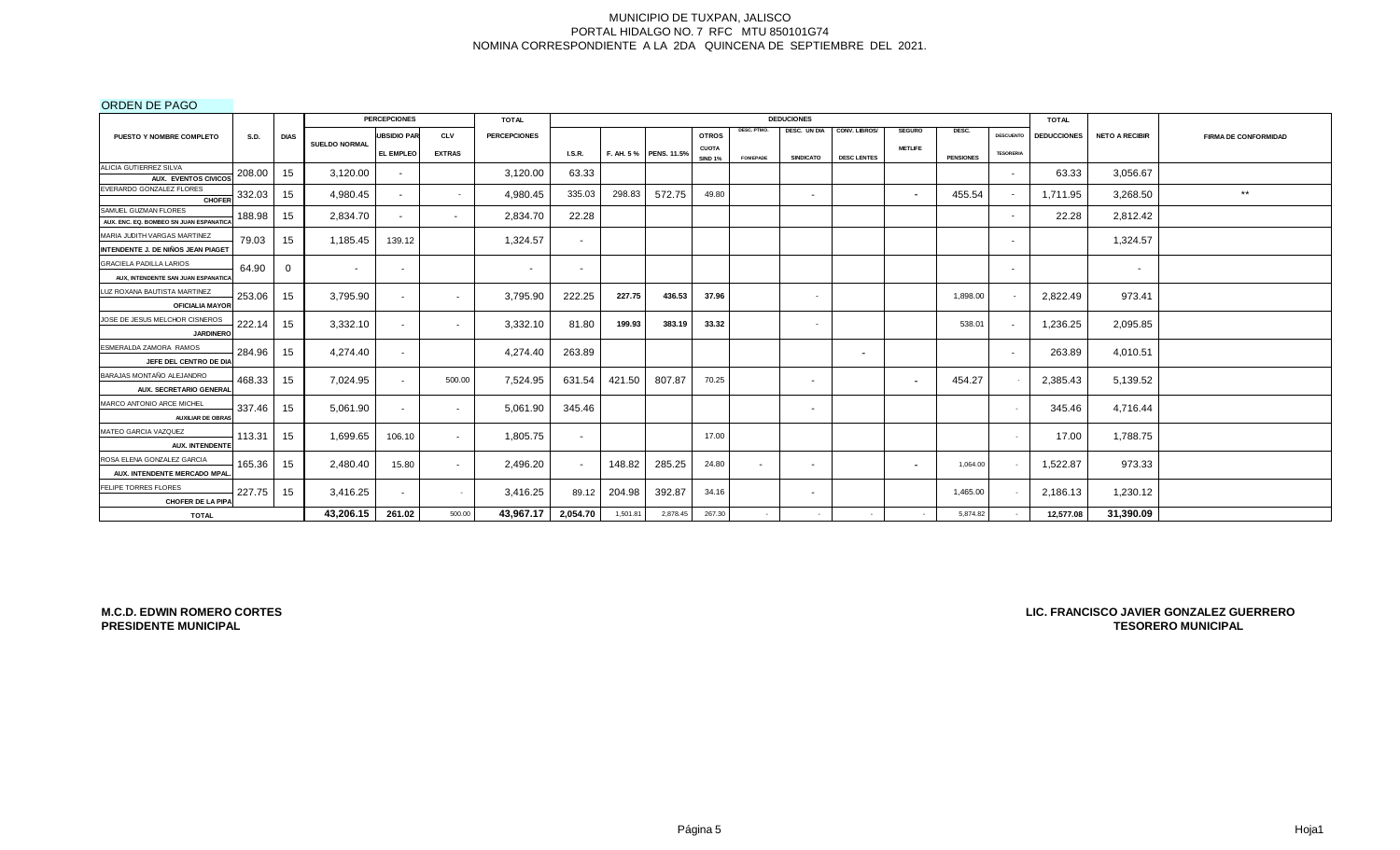### ORDEN DE PAGO

|                                                                 |        |                |                      | <b>PERCEPCIONES</b> |                | <b>TOTAL</b>             |                          |          |                       |                |                          | <b>DEDUCIONES</b>        |                            |                          |                  |                  | <b>TOTAL</b>       |                       |                             |
|-----------------------------------------------------------------|--------|----------------|----------------------|---------------------|----------------|--------------------------|--------------------------|----------|-----------------------|----------------|--------------------------|--------------------------|----------------------------|--------------------------|------------------|------------------|--------------------|-----------------------|-----------------------------|
| PUESTO Y NOMBRE COMPLETO                                        | S.D.   | <b>DIAS</b>    |                      | <b>JBSIDIO PAR</b>  | <b>CLV</b>     | <b>PERCEPCIONES</b>      |                          |          |                       | <b>OTROS</b>   | DESC. PTMO.              |                          | DESC. UN DIA CONV. LIBROS/ | <b>SEGURO</b>            | DESC.            | <b>DESCUENTO</b> | <b>DEDUCCIONES</b> | <b>NETO A RECIBIR</b> | <b>FIRMA DE CONFORMIDAD</b> |
|                                                                 |        |                | <b>SUELDO NORMAL</b> | <b>EL EMPLEO</b>    | <b>EXTRAS</b>  |                          | I.S.R.                   |          | F. AH. 5% PENS. 11.5% | <b>CUOTA</b>   | <b>FOMEPADE</b>          | <b>SINDICATO</b>         | <b>DESC LENTES</b>         | <b>METLIFE</b>           | <b>PENSIONES</b> | <b>TESORERIA</b> |                    |                       |                             |
| ALICIA GUTIERREZ SILVA                                          | 208.00 | 15             | 3,120.00             |                     |                | 3,120.00                 | 63.33                    |          |                       | <b>SIND 1%</b> |                          |                          |                            |                          |                  |                  | 63.33              | 3,056.67              |                             |
| <b>AUX. EVENTOS CIVICOS</b>                                     |        |                |                      |                     |                |                          |                          |          |                       |                |                          |                          |                            |                          |                  |                  |                    |                       |                             |
| EVERARDO GONZALEZ FLORES<br><b>CHOFER</b>                       | 332.03 | 15             | 4,980.45             | $\sim$              | $\sim$         | 4,980.45                 | 335.03                   | 298.83   | 572.75                | 49.80          |                          | $\overline{\phantom{a}}$ |                            |                          | 455.54           |                  | 1.711.95           | 3,268.50              | $***$                       |
| SAMUEL GUZMAN FLORES<br>AUX, ENC. EQ. BOMBEO SN JUAN ESPANATICA | 188.98 | 15             | 2,834.70             | $\sim$              | $\blacksquare$ | 2,834.70                 | 22.28                    |          |                       |                |                          |                          |                            |                          |                  |                  | 22.28              | 2,812.42              |                             |
| MARIA JUDITH VARGAS MARTINEZ                                    | 79.03  | 15             | 1,185.45             | 139.12              |                | 1,324.57                 | $\overline{\phantom{a}}$ |          |                       |                |                          |                          |                            |                          |                  |                  |                    | 1,324.57              |                             |
| INTENDENTE J. DE NIÑOS JEAN PIAGET                              |        |                |                      |                     |                |                          |                          |          |                       |                |                          |                          |                            |                          |                  |                  |                    |                       |                             |
| <b>GRACIELA PADILLA LARIOS</b>                                  | 64.90  | $\overline{0}$ | $\sim$               | $\sim$              |                | $\overline{\phantom{a}}$ | $\overline{\phantom{a}}$ |          |                       |                |                          |                          |                            |                          |                  |                  |                    | $\sim$                |                             |
| AUX, INTENDENTE SAN JUAN ESPANATICA                             |        |                |                      |                     |                |                          |                          |          |                       |                |                          |                          |                            |                          |                  |                  |                    |                       |                             |
| LUZ ROXANA BAUTISTA MARTINEZ                                    | 253.06 | 15             | 3,795.90             | $\sim$              | $\sim$         | 3,795.90                 | 222.25                   | 227.75   | 436.53                | 37.96          |                          |                          |                            |                          | 1,898.00         |                  | 2,822.49           | 973.41                |                             |
| <b>OFICIALIA MAYOR</b>                                          |        |                |                      |                     |                |                          |                          |          |                       |                |                          |                          |                            |                          |                  |                  |                    |                       |                             |
| JOSE DE JESUS MELCHOR CISNEROS<br><b>JARDINERO</b>              | 222.14 | 15             | 3,332.10             | $\sim$              | $\sim$         | 3,332.10                 | 81.80                    | 199.93   | 383.19                | 33.32          |                          | $\sim$                   |                            |                          | 538.01           |                  | 1,236.25           | 2,095.85              |                             |
| ESMERALDA ZAMORA RAMOS                                          | 284.96 | 15             | 4.274.40             | $\sim$              |                | 4,274.40                 | 263.89                   |          |                       |                |                          |                          | $\sim$                     |                          |                  |                  | 263.89             | 4,010.51              |                             |
| JEFE DEL CENTRO DE DIA                                          |        |                |                      |                     |                |                          |                          |          |                       |                |                          |                          |                            |                          |                  |                  |                    |                       |                             |
| BARAJAS MONTAÑO ALEJANDRO<br><b>AUX. SECRETARIO GENERAL</b>     | 468.33 | 15             | 7,024.95             | $\sim$              | 500.00         | 7,524.95                 | 631.54                   | 421.50   | 807.87                | 70.25          |                          | $\overline{\phantom{a}}$ |                            |                          | 454.27           |                  | 2,385.43           | 5,139.52              |                             |
| MARCO ANTONIO ARCE MICHEL                                       | 337.46 | 15             | 5,061.90             | $\sim$              | $\sim$         | 5,061.90                 | 345.46                   |          |                       |                |                          | $\sim$                   |                            |                          |                  |                  | 345.46             | 4,716.44              |                             |
| <b>AUXILIAR DE OBRAS</b>                                        |        |                |                      |                     |                |                          |                          |          |                       |                |                          |                          |                            |                          |                  |                  |                    |                       |                             |
| MATEO GARCIA VAZQUEZ<br><b>AUX. INTENDENTE</b>                  | 113.31 | 15             | 1,699.65             | 106.10              | $\sim$         | 1,805.75                 | $\overline{\phantom{a}}$ |          |                       | 17.00          |                          |                          |                            |                          |                  |                  | 17.00              | 1,788.75              |                             |
| ROSA ELENA GONZALEZ GARCIA                                      | 165.36 | 15             | 2,480.40             | 15.80               | $\sim$         | 2,496.20                 | <b>.</b>                 | 148.82   | 285.25                | 24.80          | $\overline{\phantom{a}}$ | $\overline{\phantom{a}}$ |                            | $\overline{\phantom{a}}$ | 1,064.00         |                  | 1,522.87           | 973.33                |                             |
| AUX. INTENDENTE MERCADO MPAL.                                   |        |                |                      |                     |                |                          |                          |          |                       |                |                          |                          |                            |                          |                  |                  |                    |                       |                             |
| FELIPE TORRES FLORES<br>CHOFER DE LA PIPA                       | 227.75 | 15             | 3,416.25             | $\sim$              | $\sim$         | 3,416.25                 | 89.12                    | 204.98   | 392.87                | 34.16          |                          | $\overline{\phantom{a}}$ |                            |                          | 1,465.00         |                  | 2,186.13           | 1,230.12              |                             |
| <b>TOTAL</b>                                                    |        |                | 43,206.15            | 261.02              | 500.00         | 43,967.17                | 2,054.70                 | 1,501.81 | 2,878.45              | 267.30         |                          |                          |                            |                          | 5,874.82         |                  | 12,577.08          | 31,390.09             |                             |

**M.C.D. EDWIN ROMERO CORTES PRESIDENTE MUNICIPAL**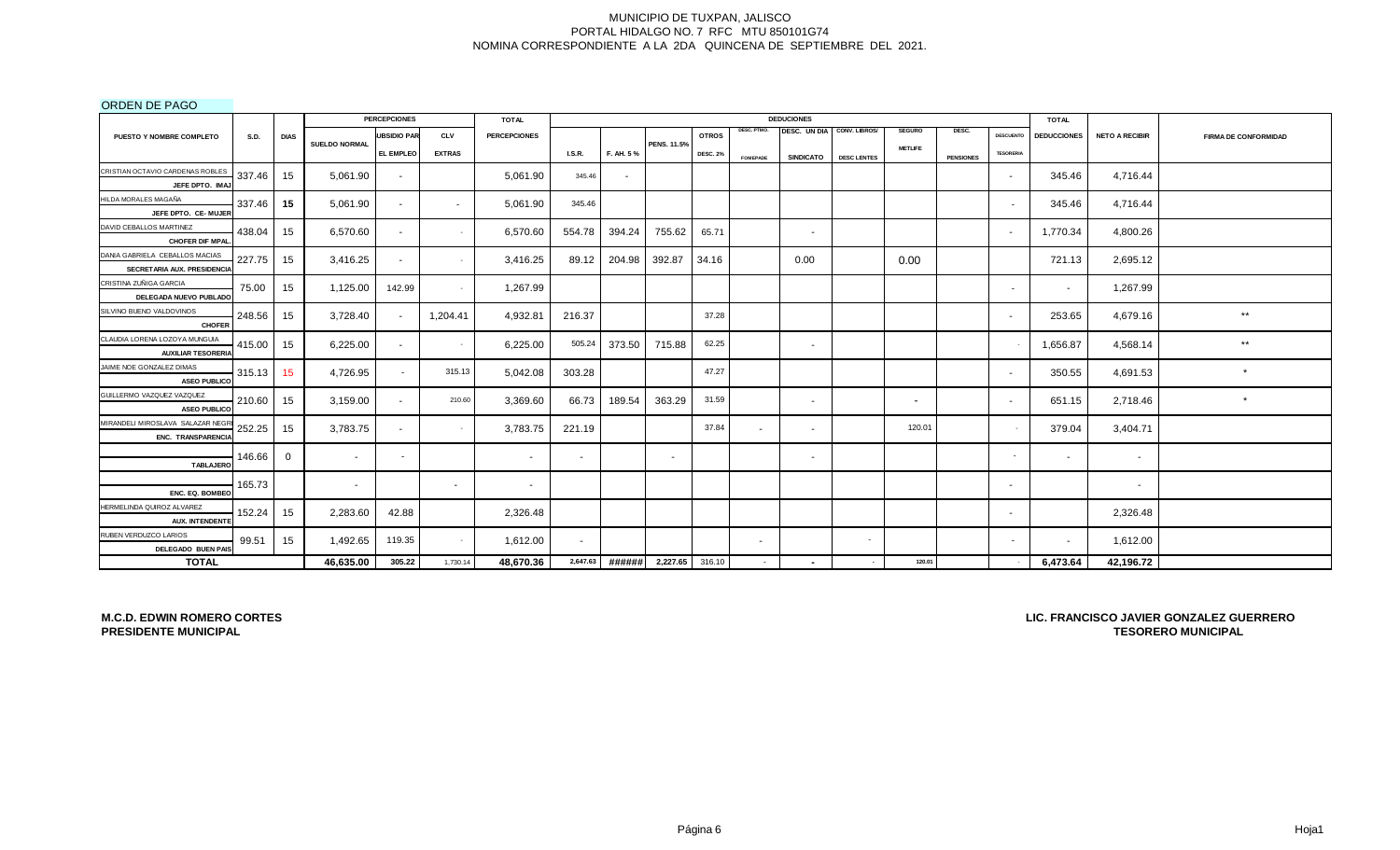ORDEN DE PAGO

|                                                         |             |              |                          | <b>PERCEPCIONES</b> |                          | <b>TOTAL</b>        |          |           |                    |                 |                 | <b>DEDUCIONES</b>   |                      |                |                  |                          | <b>TOTAL</b>             |                          |                             |
|---------------------------------------------------------|-------------|--------------|--------------------------|---------------------|--------------------------|---------------------|----------|-----------|--------------------|-----------------|-----------------|---------------------|----------------------|----------------|------------------|--------------------------|--------------------------|--------------------------|-----------------------------|
| PUESTO Y NOMBRE COMPLETO                                | <b>S.D.</b> | <b>DIAS</b>  |                          | UBSIDIO PAR         | <b>CLV</b>               | <b>PERCEPCIONES</b> |          |           |                    | <b>OTROS</b>    | DESC. PTMO.     | <b>DESC. UN DIA</b> | <b>CONV. LIBROS/</b> | <b>SEGURO</b>  | DESC.            | <b>DESCUENTO</b>         | <b>DEDUCCIONES</b>       | <b>NETO A RECIBIR</b>    | <b>FIRMA DE CONFORMIDAD</b> |
|                                                         |             |              | SUELDO NORMAL            | EL EMPLEO           | <b>EXTRAS</b>            |                     | LS.R.    | F. AH. 5% | <b>PENS. 11.5%</b> | <b>DESC. 2%</b> | <b>FOMEPADE</b> | <b>SINDICATO</b>    | <b>DESC LENTES</b>   | <b>METLIFE</b> | <b>PENSIONES</b> | <b>TESORERIA</b>         |                          |                          |                             |
| CRISTIAN OCTAVIO CARDENAS ROBLES                        |             |              |                          |                     |                          |                     |          |           |                    |                 |                 |                     |                      |                |                  |                          |                          |                          |                             |
| JEFE DPTO. IMAJ                                         | 337.46      | 15           | 5,061.90                 | $\sim$              |                          | 5,061.90            | 345.46   | $\sim$    |                    |                 |                 |                     |                      |                |                  | $\sim$                   | 345.46                   | 4,716.44                 |                             |
| HILDA MORALES MAGAÑA                                    | 337.46      | 15           | 5,061.90                 | $\sim$              |                          | 5,061.90            | 345.46   |           |                    |                 |                 |                     |                      |                |                  | $\sim$                   | 345.46                   | 4,716.44                 |                             |
| JEFE DPTO. CE- MUJER                                    |             |              |                          |                     |                          |                     |          |           |                    |                 |                 |                     |                      |                |                  |                          |                          |                          |                             |
| DAVID CEBALLOS MARTINEZ<br><b>CHOFER DIF MPAL</b>       | 438.04      | 15           | 6,570.60                 | $\sim$              |                          | 6,570.60            | 554.78   | 394.24    | 755.62             | 65.71           |                 | $\sim$              |                      |                |                  | $\sim$                   | 1,770.34                 | 4,800.26                 |                             |
| DANIA GABRIELA CEBALLOS MACIAS                          |             |              |                          |                     |                          |                     |          |           |                    |                 |                 |                     |                      |                |                  |                          |                          |                          |                             |
| SECRETARIA AUX. PRESIDENCIA                             | 227.75      | 15           | 3,416.25                 | $\sim$              |                          | 3,416.25            | 89.12    | 204.98    | 392.87             | 34.16           |                 | 0.00                |                      | 0.00           |                  |                          | 721.13                   | 2,695.12                 |                             |
| CRISTINA ZUÑIGA GARCIA                                  | 75.00       | 15           | 1,125.00                 | 142.99              |                          | 1,267.99            |          |           |                    |                 |                 |                     |                      |                |                  | $\overline{\phantom{a}}$ | $\overline{\phantom{a}}$ | 1,267.99                 |                             |
| DELEGADA NUEVO PUBLADO                                  |             |              |                          |                     |                          |                     |          |           |                    |                 |                 |                     |                      |                |                  |                          |                          |                          |                             |
| SILVINO BUENO VALDOVINOS<br><b>CHOFER</b>               | 248.56      | 15           | 3,728.40                 | $\sim$              | 1,204.41                 | 4,932.81            | 216.37   |           |                    | 37.28           |                 |                     |                      |                |                  | $\sim$                   | 253.65                   | 4,679.16                 | $***$                       |
| CLAUDIA LORENA LOZOYA MUNGUIA                           | 415.00      | 15           | 6,225.00                 | $\sim$              |                          | 6,225.00            | 505.24   | 373.50    | 715.88             | 62.25           |                 | $\sim$              |                      |                |                  |                          | 1,656.87                 | 4,568.14                 | $***$                       |
| <b>AUXILIAR TESORERIA</b>                               |             |              |                          |                     |                          |                     |          |           |                    |                 |                 |                     |                      |                |                  |                          |                          |                          |                             |
| JAIME NOE GONZALEZ DIMAS<br><b>ASEO PUBLICO</b>         | 315.13      | 15           | 4,726.95                 | $\sim$              | 315.13                   | 5,042.08            | 303.28   |           |                    | 47.27           |                 |                     |                      |                |                  | $\overline{\phantom{a}}$ | 350.55                   | 4,691.53                 | $\star$                     |
| GUILLERMO VAZQUEZ VAZQUEZ<br><b>ASEO PUBLICO</b>        | 210.60      | 15           | 3,159.00                 | $\sim$              | 210.60                   | 3,369.60            | 66.73    | 189.54    | 363.29             | 31.59           |                 | $\sim$              |                      | $\sim$         |                  | $\overline{\phantom{a}}$ | 651.15                   | 2,718.46                 | $\star$                     |
| MIRANDELI MIROSLAVA SALAZAR NEGRI<br>ENC. TRANSPARENCIA | 252.25      | 15           | 3,783.75                 | $\sim$              |                          | 3,783.75            | 221.19   |           |                    | 37.84           | $\sim$          | $\sim$              |                      | 120.01         |                  |                          | 379.04                   | 3,404.71                 |                             |
| <b>TABLAJERO</b>                                        | 146.66      | $\mathbf{0}$ | $\overline{\phantom{a}}$ | $\sim$              |                          | $\sim$              | $\sim$   |           | $\sim$             |                 |                 | $\sim$              |                      |                |                  | $\sim$                   | $\sim$                   | $\sim$                   |                             |
| <b>ENC. EQ. BOMBEO</b>                                  | 165.73      |              |                          |                     | $\overline{\phantom{a}}$ | $\sim$              |          |           |                    |                 |                 |                     |                      |                |                  | $\overline{\phantom{a}}$ |                          | $\overline{\phantom{a}}$ |                             |
| HERMELINDA QUIROZ ALVAREZ<br>AUX. INTENDENTE            | 152.24      | 15           | 2,283.60                 | 42.88               |                          | 2,326.48            |          |           |                    |                 |                 |                     |                      |                |                  | $\sim$                   |                          | 2,326.48                 |                             |
| RUBEN VERDUZCO LARIOS                                   |             |              |                          |                     |                          |                     |          |           |                    |                 |                 |                     |                      |                |                  |                          |                          |                          |                             |
| DELEGADO BUEN PAIS                                      | 99.51       | 15           | 1,492.65                 | 119.35              |                          | 1,612.00            | $\sim$   |           |                    |                 | $\sim$          |                     |                      |                |                  | $\sim$                   | $\sim$                   | 1,612.00                 |                             |
| <b>TOTAL</b>                                            |             |              | 46,635.00                | 305.22              | 1,730.14                 | 48,670.36           | 2,647.63 | ######    | 2,227.65           | 316.10          | $\sim$          | $\sim$              | $\sim$               | 120.01         |                  |                          | 6,473.64                 | 42,196.72                |                             |

**M.C.D. EDWIN ROMERO CORTES PRESIDENTE MUNICIPAL**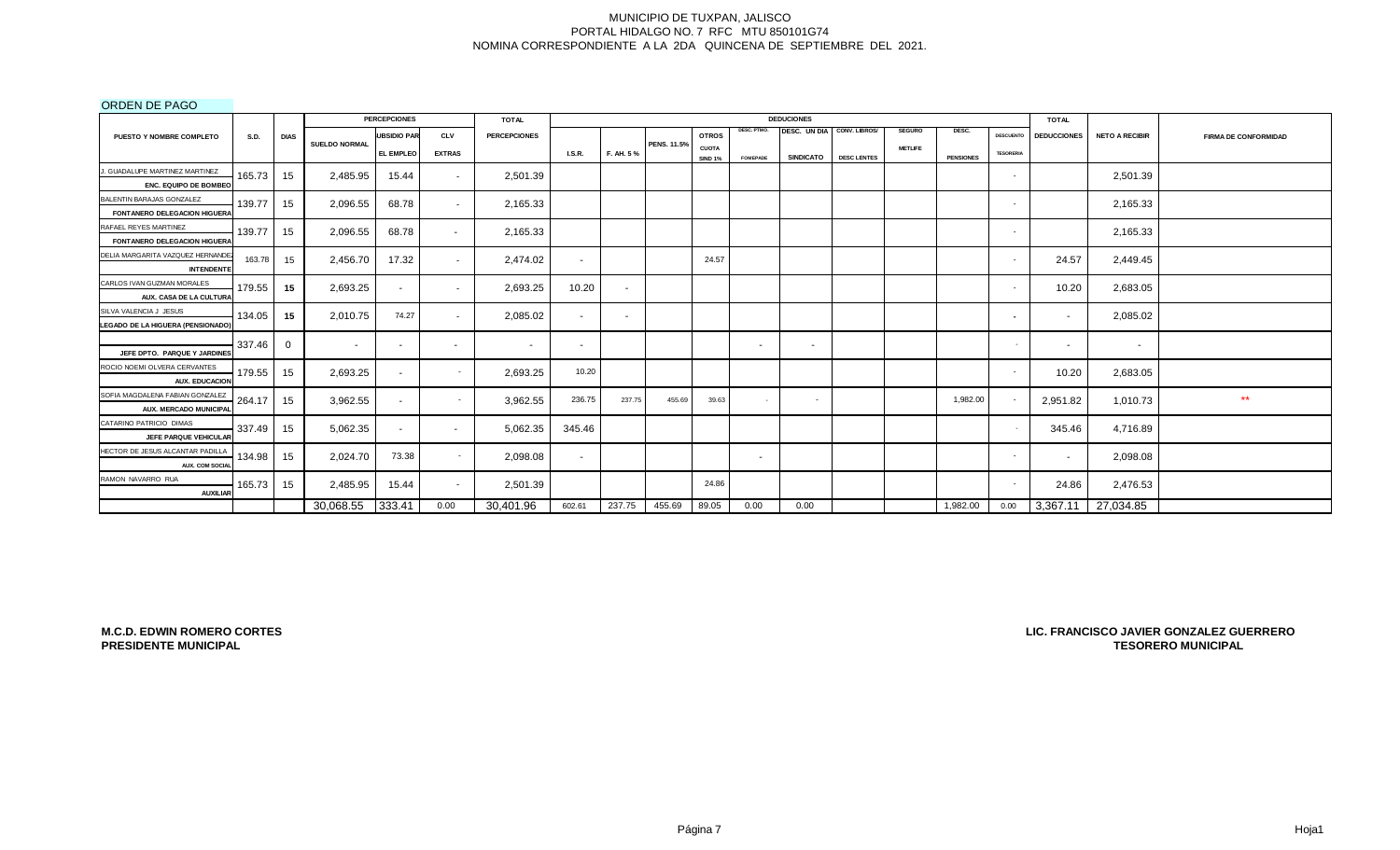ORDEN DE PAGO

|                                   |             |              |                      | <b>PERCEPCIONES</b>      |                          | <b>TOTAL</b>        |                          |                          |                    |                |                  | <b>DEDUCIONES</b>   |                      |                |                  |                  | <b>TOTAL</b>             |                          |                             |
|-----------------------------------|-------------|--------------|----------------------|--------------------------|--------------------------|---------------------|--------------------------|--------------------------|--------------------|----------------|------------------|---------------------|----------------------|----------------|------------------|------------------|--------------------------|--------------------------|-----------------------------|
| PUESTO Y NOMBRE COMPLETO          | <b>S.D.</b> | <b>DIAS</b>  |                      | <b>UBSIDIO PAR</b>       | <b>CLV</b>               | <b>PERCEPCIONES</b> |                          |                          |                    | <b>OTROS</b>   | DESC. PTMO.      | <b>DESC. UN DIA</b> | <b>CONV. LIBROS/</b> | <b>SEGURO</b>  | DESC.            | <b>DESCUENTO</b> | <b>DEDUCCIONES</b>       | <b>NETO A RECIBIR</b>    | <b>FIRMA DE CONFORMIDAD</b> |
|                                   |             |              | <b>SUELDO NORMAL</b> | EL EMPLEO                | <b>EXTRAS</b>            |                     | LS.R.                    | F. AH. 5%                | <b>PENS. 11.5%</b> | <b>CUOTA</b>   | <b>FOM EPADE</b> | <b>SINDICATO</b>    | <b>DESC LENTES</b>   | <b>METLIFE</b> | <b>PENSIONES</b> | <b>TESORERIA</b> |                          |                          |                             |
| J. GUADALUPE MARTINEZ MARTINEZ    |             |              |                      |                          |                          |                     |                          |                          |                    | <b>SIND 1%</b> |                  |                     |                      |                |                  |                  |                          |                          |                             |
| ENC. EQUIPO DE BOMBEO             | 165.73      | 15           | 2,485.95             | 15.44                    |                          | 2,501.39            |                          |                          |                    |                |                  |                     |                      |                |                  |                  |                          | 2,501.39                 |                             |
| <b>BALENTIN BARAJAS GONZALEZ</b>  |             |              |                      |                          |                          |                     |                          |                          |                    |                |                  |                     |                      |                |                  |                  |                          |                          |                             |
| FONTANERO DELEGACION HIGUERA      | 139.77      | 15           | 2,096.55             | 68.78                    | $\sim$                   | 2,165.33            |                          |                          |                    |                |                  |                     |                      |                |                  | $\sim$           |                          | 2,165.33                 |                             |
| RAFAEL REYES MARTINEZ             |             |              |                      |                          |                          |                     |                          |                          |                    |                |                  |                     |                      |                |                  |                  |                          |                          |                             |
| FONTANERO DELEGACION HIGUERA      | 139.77      | 15           | 2,096.55             | 68.78                    | $\sim$                   | 2,165.33            |                          |                          |                    |                |                  |                     |                      |                |                  | $\sim$           |                          | 2,165.33                 |                             |
| DELIA MARGARITA VAZQUEZ HERNANDE  | 163.78      | 15           | 2,456.70             | 17.32                    | $\sim$                   | 2,474.02            |                          |                          |                    | 24.57          |                  |                     |                      |                |                  |                  | 24.57                    |                          |                             |
| <b>INTENDENTE</b>                 |             |              |                      |                          |                          |                     | $\sim$                   |                          |                    |                |                  |                     |                      |                |                  |                  |                          | 2,449.45                 |                             |
| CARLOS IVAN GUZMAN MORALES        | 179.55      | 15           | 2,693.25             | $\overline{\phantom{a}}$ | $\overline{\phantom{a}}$ | 2,693.25            | 10.20                    | $\overline{\phantom{a}}$ |                    |                |                  |                     |                      |                |                  | $\sim$           | 10.20                    | 2,683.05                 |                             |
| AUX. CASA DE LA CULTURA           |             |              |                      |                          |                          |                     |                          |                          |                    |                |                  |                     |                      |                |                  |                  |                          |                          |                             |
| SILVA VALENCIA J JESUS            | 134.05      | 15           | 2.010.75             | 74.27                    | $\overline{\phantom{a}}$ | 2,085.02            | $\sim$                   | $\overline{\phantom{a}}$ |                    |                |                  |                     |                      |                |                  | $\sim$           | $\sim$                   | 2,085.02                 |                             |
| LEGADO DE LA HIGUERA (PENSIONADO) |             |              |                      |                          |                          |                     |                          |                          |                    |                |                  |                     |                      |                |                  |                  |                          |                          |                             |
|                                   | 337.46      | $\mathbf{0}$ | $\sim$               | $\sim$                   | $\overline{\phantom{a}}$ | $\sim$              | $\overline{\phantom{a}}$ |                          |                    |                | $\sim$           | $\sim$              |                      |                |                  |                  | $\overline{\phantom{a}}$ | $\overline{\phantom{a}}$ |                             |
| JEFE DPTO. PARQUE Y JARDINES      |             |              |                      |                          |                          |                     |                          |                          |                    |                |                  |                     |                      |                |                  |                  |                          |                          |                             |
| ROCIO NOEMI OLVERA CERVANTES      | 179.55      | 15           | 2,693.25             | $\overline{\phantom{a}}$ | $\sim$                   | 2,693.25            | 10.20                    |                          |                    |                |                  |                     |                      |                |                  | $\sim$           | 10.20                    | 2,683.05                 |                             |
| <b>AUX. EDUCACION</b>             |             |              |                      |                          |                          |                     |                          |                          |                    |                |                  |                     |                      |                |                  |                  |                          |                          |                             |
| SOFIA MAGDALENA FABIAN GONZALEZ   | 264.17      | 15           | 3,962.55             | $\overline{\phantom{a}}$ |                          | 3,962.55            | 236.75                   | 237.75                   | 455.69             | 39.63          | $\sim$ $-$       | $\sim$              |                      |                | 1,982.00         |                  | 2,951.82                 | 1,010.73                 | $**$                        |
| AUX. MERCADO MUNICIPAL            |             |              |                      |                          |                          |                     |                          |                          |                    |                |                  |                     |                      |                |                  |                  |                          |                          |                             |
| CATARINO PATRICIO DIMAS           | 337.49      | 15           | 5,062.35             | $\overline{\phantom{a}}$ | $\sim$                   | 5,062.35            | 345.46                   |                          |                    |                |                  |                     |                      |                |                  |                  | 345.46                   | 4,716.89                 |                             |
| JEFE PARQUE VEHICULAR             |             |              |                      |                          |                          |                     |                          |                          |                    |                |                  |                     |                      |                |                  |                  |                          |                          |                             |
| HECTOR DE JESUS ALCANTAR PADILLA  | 134.98      | 15           | 2,024.70             | 73.38                    |                          | 2,098.08            | $\sim$                   |                          |                    |                | $\sim$           |                     |                      |                |                  |                  | $\overline{\phantom{a}}$ | 2,098.08                 |                             |
| <b>AUX. COM SOCIAL</b>            |             |              |                      |                          |                          |                     |                          |                          |                    |                |                  |                     |                      |                |                  |                  |                          |                          |                             |
| RAMON NAVARRO RUA                 | 165.73      | 15           | 2,485.95             | 15.44                    | $\sim$                   | 2,501.39            |                          |                          |                    | 24.86          |                  |                     |                      |                |                  |                  | 24.86                    | 2,476.53                 |                             |
| <b>AUXILIAR</b>                   |             |              |                      |                          |                          |                     |                          |                          |                    |                |                  |                     |                      |                |                  |                  |                          |                          |                             |
|                                   |             |              | 30,068.55            | 333.41                   | 0.00                     | 30,401.96           | 602.61                   | 237.75                   | 455.69             | 89.05          | 0.00             | 0.00                |                      |                | 1,982.00         | 0.00             | 3,367.11                 | 27,034.85                |                             |

**M.C.D. EDWIN ROMERO CORTES PRESIDENTE MUNICIPAL**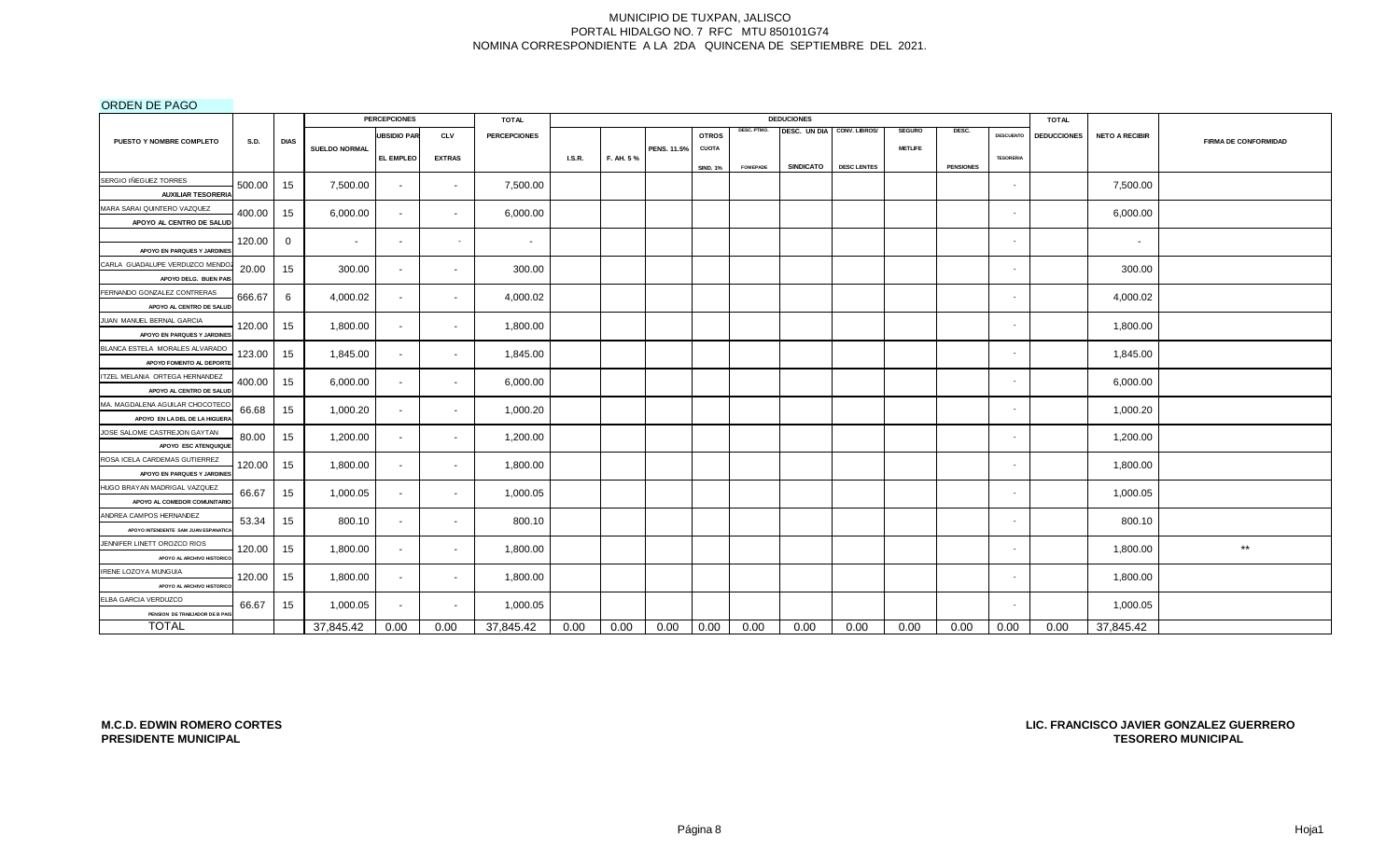ORDEN DE PAGO

|                                                               |             |              |               | <b>PERCEPCIONES</b> |                          | <b>TOTAL</b>        |               |           |                    |                 |                  | <b>DEDUCIONES</b> |                      |                |                  |                          | <b>TOTAL</b>       |                       |                             |
|---------------------------------------------------------------|-------------|--------------|---------------|---------------------|--------------------------|---------------------|---------------|-----------|--------------------|-----------------|------------------|-------------------|----------------------|----------------|------------------|--------------------------|--------------------|-----------------------|-----------------------------|
|                                                               |             |              |               | <b>UBSIDIO PAR</b>  | <b>CLV</b>               | <b>PERCEPCIONES</b> |               |           |                    | <b>OTROS</b>    | DESC. PTMO.      | DESC. UN DIA      | <b>CONV. LIBROS/</b> | <b>SEGURO</b>  | DESC.            | <b>DESCUENTO</b>         | <b>DEDUCCIONES</b> | <b>NETO A RECIBIR</b> |                             |
| PUESTO Y NOMBRE COMPLETO                                      | <b>S.D.</b> | <b>DIAS</b>  | SUELDO NORMAL |                     |                          |                     |               |           | <b>PENS. 11.5%</b> | <b>CUOTA</b>    |                  |                   |                      | <b>METLIFE</b> |                  |                          |                    |                       | <b>FIRMA DE CONFORMIDAD</b> |
|                                                               |             |              |               | <b>EL EMPLEO</b>    | <b>EXTRAS</b>            |                     | <b>I.S.R.</b> | F. AH. 5% |                    | <b>SIND. 1%</b> | <b>FOM EPADE</b> | <b>SINDICATO</b>  | <b>DESC LENTES</b>   |                | <b>PENSIONES</b> | <b>TESORERIA</b>         |                    |                       |                             |
| SERGIO IÑEGUEZ TORRES                                         | 500.00      | 15           | 7,500.00      |                     |                          | 7,500.00            |               |           |                    |                 |                  |                   |                      |                |                  | $\sim$                   |                    | 7,500.00              |                             |
| <b>AUXILIAR TESORERIA</b>                                     |             |              |               | $\sim$              | $\sim$                   |                     |               |           |                    |                 |                  |                   |                      |                |                  |                          |                    |                       |                             |
| MARA SARAI QUINTERO VAZQUEZ                                   | 400.00      | 15           | 6,000.00      | $\sim$              | $\overline{\phantom{a}}$ | 6,000.00            |               |           |                    |                 |                  |                   |                      |                |                  | $\sim$                   |                    | 6,000.00              |                             |
| APOYO AL CENTRO DE SALUD                                      |             |              |               |                     |                          |                     |               |           |                    |                 |                  |                   |                      |                |                  |                          |                    |                       |                             |
|                                                               | 120.00      | $\mathbf{0}$ | $\sim$        | $\sim$              | $\overline{\phantom{a}}$ | $\sim$              |               |           |                    |                 |                  |                   |                      |                |                  | $\sim$                   |                    | $\sim$                |                             |
| APOYO EN PARQUES Y JARDINES                                   |             |              |               |                     |                          |                     |               |           |                    |                 |                  |                   |                      |                |                  |                          |                    |                       |                             |
| CARLA GUADALUPE VERDUZCO MENDO:                               | 20.00       | 15           | 300.00        | $\sim$              | $\sim$                   | 300.00              |               |           |                    |                 |                  |                   |                      |                |                  | $\sim$                   |                    | 300.00                |                             |
| APOYO DELG. BUEN PAIS                                         |             |              |               |                     |                          |                     |               |           |                    |                 |                  |                   |                      |                |                  |                          |                    |                       |                             |
| FERNANDO GONZALEZ CONTRERAS                                   | 666.67      | 6            | 4,000.02      | $\sim$              | $\overline{\phantom{a}}$ | 4,000.02            |               |           |                    |                 |                  |                   |                      |                |                  | $\sim$                   |                    | 4,000.02              |                             |
| APOYO AL CENTRO DE SALUI                                      |             |              |               |                     |                          |                     |               |           |                    |                 |                  |                   |                      |                |                  |                          |                    |                       |                             |
| JUAN MANUEL BERNAL GARCIA                                     | 120.00      | 15           | 1,800.00      | $\sim$              | $\overline{\phantom{a}}$ | 1,800.00            |               |           |                    |                 |                  |                   |                      |                |                  | $\overline{\phantom{a}}$ |                    | 1,800.00              |                             |
| APOYO EN PARQUES Y JARDINES<br>BLANCA ESTELA MORALES ALVARADO |             |              |               |                     |                          |                     |               |           |                    |                 |                  |                   |                      |                |                  |                          |                    |                       |                             |
| APOYO FOMENTO AL DEPORTE                                      | 123.00      | 15           | 1,845.00      | $\sim$              | $\overline{\phantom{a}}$ | 1,845.00            |               |           |                    |                 |                  |                   |                      |                |                  | $\overline{\phantom{a}}$ |                    | 1,845.00              |                             |
| ITZEL MELANIA ORTEGA HERNANDEZ                                |             |              |               |                     |                          |                     |               |           |                    |                 |                  |                   |                      |                |                  |                          |                    |                       |                             |
| APOYO AL CENTRO DE SALUI                                      | 400.00      | 15           | 6,000.00      | $\sim$              | $\overline{\phantom{a}}$ | 6,000.00            |               |           |                    |                 |                  |                   |                      |                |                  | $\overline{\phantom{a}}$ |                    | 6,000.00              |                             |
| MA. MAGDALENA AGUILAR CHOCOTECO                               |             |              |               |                     |                          |                     |               |           |                    |                 |                  |                   |                      |                |                  | $\overline{\phantom{a}}$ |                    |                       |                             |
| APOYO EN LA DEL DE LA HIGUERA                                 | 66.68       | 15           | 1,000.20      | $\sim$              | $\overline{\phantom{a}}$ | 1,000.20            |               |           |                    |                 |                  |                   |                      |                |                  |                          |                    | 1,000.20              |                             |
| JOSE SALOME CASTREJON GAYTAN                                  | 80.00       | 15           | 1,200.00      | $\sim$              | $\overline{\phantom{a}}$ | 1,200.00            |               |           |                    |                 |                  |                   |                      |                |                  | $\sim$                   |                    | 1,200.00              |                             |
| APOYO ESC ATENQUIQUE                                          |             |              |               |                     |                          |                     |               |           |                    |                 |                  |                   |                      |                |                  |                          |                    |                       |                             |
| ROSA ICELA CARDEMAS GUTIERREZ                                 | 120.00      | 15           | 1,800.00      | $\sim$              | $\overline{\phantom{a}}$ | 1,800.00            |               |           |                    |                 |                  |                   |                      |                |                  | $\overline{\phantom{a}}$ |                    | 1,800.00              |                             |
| APOYO EN PARQUES Y JARDINES                                   |             |              |               |                     |                          |                     |               |           |                    |                 |                  |                   |                      |                |                  |                          |                    |                       |                             |
| HUGO BRAYAN MADRIGAL VAZQUEZ                                  | 66.67       | 15           | 1,000.05      | $\sim$              | $\overline{\phantom{a}}$ | 1,000.05            |               |           |                    |                 |                  |                   |                      |                |                  | $\overline{\phantom{a}}$ |                    | 1,000.05              |                             |
| APOYO AL COMEDOR COMUNITARIO                                  |             |              |               |                     |                          |                     |               |           |                    |                 |                  |                   |                      |                |                  |                          |                    |                       |                             |
| ANDREA CAMPOS HERNANDEZ                                       | 53.34       | 15           | 800.10        | $\sim$              | $\sim$                   | 800.10              |               |           |                    |                 |                  |                   |                      |                |                  | $\sim$                   |                    | 800.10                |                             |
| APOYO INTENDENTE SAM JUAN ESPANATIC.                          |             |              |               |                     |                          |                     |               |           |                    |                 |                  |                   |                      |                |                  |                          |                    |                       |                             |
| JENNIFER LINETT OROZCO RIOS                                   | 120.00      | 15           | 1,800.00      | $\sim$              | $\overline{\phantom{a}}$ | 1,800.00            |               |           |                    |                 |                  |                   |                      |                |                  | $\overline{\phantom{a}}$ |                    | 1,800.00              | $\star\star$                |
| APOYO AL ARCHIVO HISTORIC<br>IRENE LOZOYA MUNGUIA             |             |              |               |                     |                          |                     |               |           |                    |                 |                  |                   |                      |                |                  |                          |                    |                       |                             |
| APOYO AL ARCHIVO HISTORICO                                    | 120.00      | 15           | 1,800.00      | $\sim$              | $\overline{\phantom{a}}$ | 1,800.00            |               |           |                    |                 |                  |                   |                      |                |                  | $\sim$                   |                    | 1,800.00              |                             |
| ELBA GARCIA VERDUZCO                                          |             |              |               |                     |                          |                     |               |           |                    |                 |                  |                   |                      |                |                  |                          |                    |                       |                             |
| PENSION DE TRABJADOR DE B PA                                  | 66.67       | 15           | 1,000.05      | $\sim$              | $\overline{\phantom{a}}$ | 1,000.05            |               |           |                    |                 |                  |                   |                      |                |                  | $\overline{\phantom{a}}$ |                    | 1,000.05              |                             |
| <b>TOTAL</b>                                                  |             |              | 37,845.42     | 0.00                | 0.00                     | 37,845.42           | 0.00          | 0.00      | 0.00               | 0.00            | 0.00             | 0.00              | 0.00                 | 0.00           | 0.00             | 0.00                     | 0.00               | 37,845.42             |                             |

**M.C.D. EDWIN ROMERO CORTES PRESIDENTE MUNICIPAL**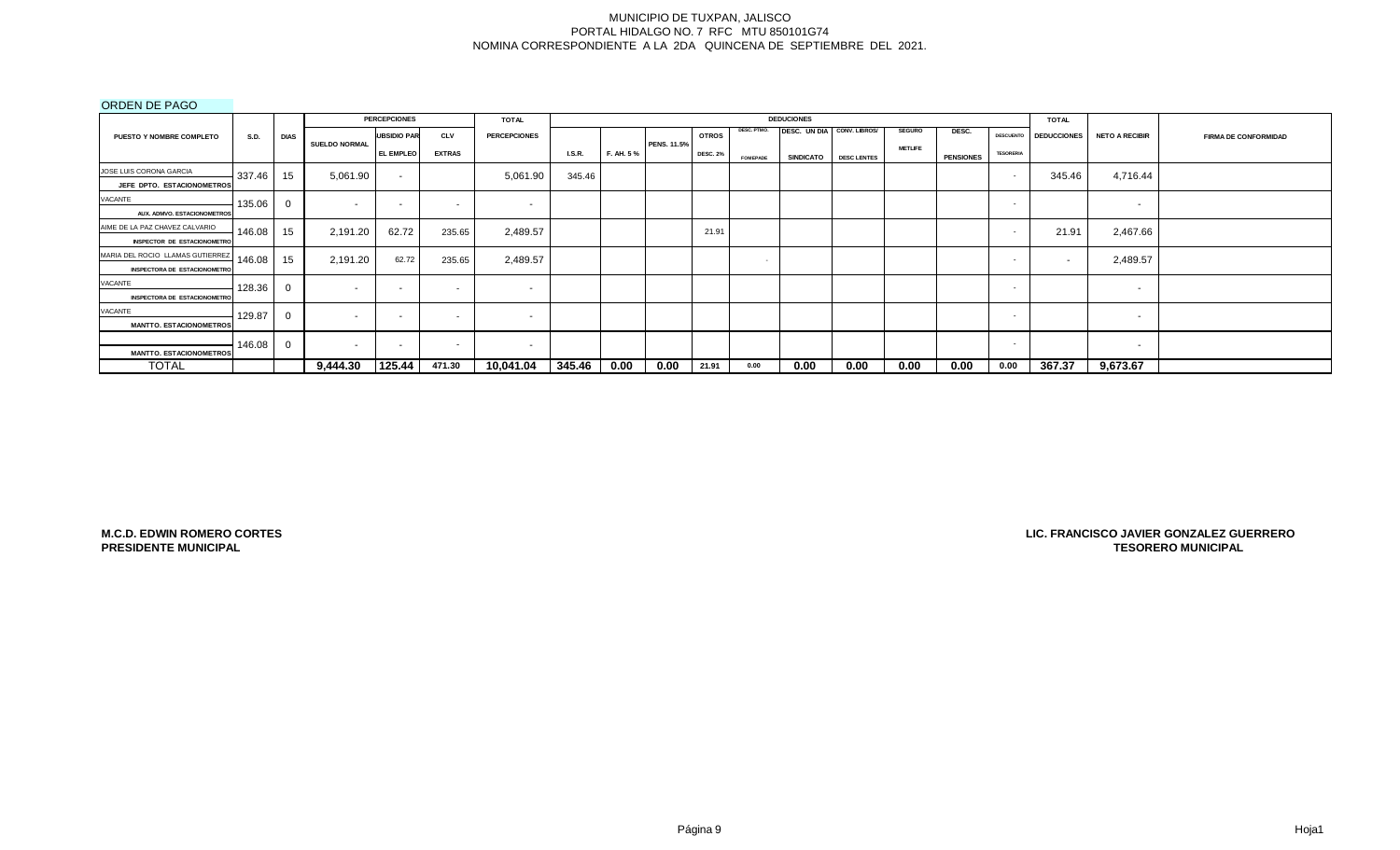### ORDEN DE PAGO

|                                     |             |             |                          | <b>PERCEPCIONES</b>      |                          | <b>TOTAL</b>        |               |           |                    |                 |                 | <b>DEDUCIONES</b> |                      |                |                  |                          | <b>TOTAL</b>             |                          |                             |
|-------------------------------------|-------------|-------------|--------------------------|--------------------------|--------------------------|---------------------|---------------|-----------|--------------------|-----------------|-----------------|-------------------|----------------------|----------------|------------------|--------------------------|--------------------------|--------------------------|-----------------------------|
| PUESTO Y NOMBRE COMPLETO            | <b>S.D.</b> | <b>DIAS</b> |                          | <b>UBSIDIO PAR</b>       | <b>CLV</b>               | <b>PERCEPCIONES</b> |               |           |                    | <b>OTROS</b>    | DESC. PTMO.     | DESC. UN DIA      | <b>CONV. LIBROS/</b> | <b>SEGURO</b>  | DESC.            | <b>DESCUENTO</b>         | <b>DEDUCCIONES</b>       | <b>NETO A RECIBIR</b>    | <b>FIRMA DE CONFORMIDAD</b> |
|                                     |             |             | <b>SUELDO NORMAL</b>     | <b>EL EMPLEO</b>         | <b>EXTRAS</b>            |                     | <b>I.S.R.</b> | F. AH. 5% | <b>PENS. 11.5%</b> | <b>DESC. 2%</b> | <b>FOMEPADE</b> | <b>SINDICATO</b>  | <b>DESC LENTES</b>   | <b>METLIFE</b> | <b>PENSIONES</b> | <b>TESORERIA</b>         |                          |                          |                             |
| JOSE LUIS CORONA GARCIA             | 337.46      | 15          | 5,061.90                 | $\sim$                   |                          | 5,061.90            | 345.46        |           |                    |                 |                 |                   |                      |                |                  | $\overline{\phantom{a}}$ | 345.46                   | 4,716.44                 |                             |
| JEFE DPTO. ESTACIONOMETROS          |             |             |                          |                          |                          |                     |               |           |                    |                 |                 |                   |                      |                |                  |                          |                          |                          |                             |
| VACANTE                             | 135.06      |             |                          | $\overline{\phantom{a}}$ | $\overline{\phantom{a}}$ | $\sim$              |               |           |                    |                 |                 |                   |                      |                |                  | $\sim$                   |                          | $\overline{\phantom{a}}$ |                             |
| AUX. ADMVO. ESTACIONOMETROS         |             |             |                          |                          |                          |                     |               |           |                    |                 |                 |                   |                      |                |                  |                          |                          |                          |                             |
| AIME DE LA PAZ CHAVEZ CALVARIO      | 146.08      | 15          | 2,191.20                 | 62.72                    | 235.65                   | 2,489.57            |               |           |                    | 21.91           |                 |                   |                      |                |                  | $\sim$                   | 21.91                    | 2,467.66                 |                             |
| <b>INSPECTOR DE ESTACIONOMETRO</b>  |             |             |                          |                          |                          |                     |               |           |                    |                 |                 |                   |                      |                |                  |                          |                          |                          |                             |
| MARIA DEL ROCIO LLAMAS GUTIERREZ    | 146.08      | 15          | 2,191.20                 | 62.72                    | 235.65                   | 2,489.57            |               |           |                    |                 | $\sim$          |                   |                      |                |                  | $\sim$                   | $\overline{\phantom{a}}$ | 2,489.57                 |                             |
| <b>INSPECTORA DE ESTACIONOMETRO</b> |             |             |                          |                          |                          |                     |               |           |                    |                 |                 |                   |                      |                |                  |                          |                          |                          |                             |
| VACANTE                             | 128.36      |             |                          | $\overline{\phantom{a}}$ | $\sim$                   | $\sim$              |               |           |                    |                 |                 |                   |                      |                |                  | $\sim$                   |                          | $\overline{\phantom{a}}$ |                             |
| <b>INSPECTORA DE ESTACIONOMETRO</b> |             |             |                          |                          |                          |                     |               |           |                    |                 |                 |                   |                      |                |                  |                          |                          |                          |                             |
| VACANTE                             | 129.87      |             | $\overline{\phantom{a}}$ | $\overline{\phantom{a}}$ | $\sim$                   | $\sim$              |               |           |                    |                 |                 |                   |                      |                |                  | $\sim$                   |                          | $\sim$                   |                             |
| <b>MANTTO. ESTACIONOMETROS</b>      |             |             |                          |                          |                          |                     |               |           |                    |                 |                 |                   |                      |                |                  |                          |                          |                          |                             |
|                                     | 146.08      | $\Omega$    | $\sim$                   | $\overline{\phantom{a}}$ | $\sim$                   | $\sim$              |               |           |                    |                 |                 |                   |                      |                |                  | $\sim$                   |                          | $\sim$                   |                             |
| <b>MANTTO. ESTACIONOMETROS</b>      |             |             |                          |                          |                          |                     |               |           |                    |                 |                 |                   |                      |                |                  |                          |                          |                          |                             |
| <b>TOTAL</b>                        |             |             | 9,444.30                 | 125.44                   | 471.30                   | 10,041.04           | 345.46        | 0.00      | 0.00               | 21.91           | 0.00            | 0.00              | 0.00                 | 0.00           | 0.00             | 0.00                     | 367.37                   | 9,673.67                 |                             |

**M.C.D. EDWIN ROMERO CORTES PRESIDENTE MUNICIPAL**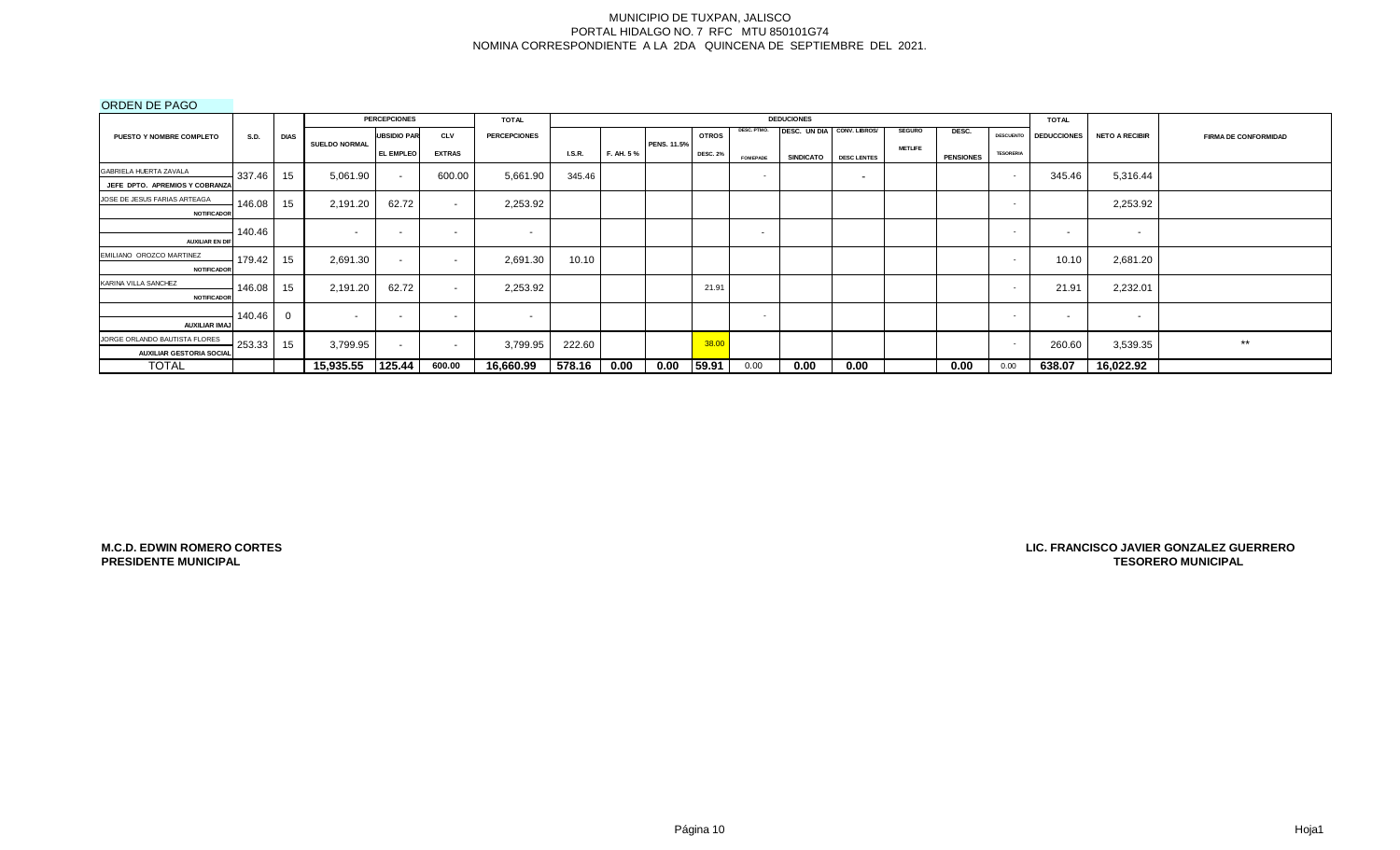ORDEN DE PAGO

|                                                                  |             |             |                          | <b>PERCEPCIONES</b>      |                          | <b>TOTAL</b>        |               |           |                    |                 |                          | <b>DEDUCIONES</b> |                      |                |                  |                          | <b>TOTAL</b>       |                       |                             |
|------------------------------------------------------------------|-------------|-------------|--------------------------|--------------------------|--------------------------|---------------------|---------------|-----------|--------------------|-----------------|--------------------------|-------------------|----------------------|----------------|------------------|--------------------------|--------------------|-----------------------|-----------------------------|
| PUESTO Y NOMBRE COMPLETO                                         | <b>S.D.</b> | <b>DIAS</b> |                          | <b>UBSIDIO PAR</b>       | <b>CLV</b>               | <b>PERCEPCIONES</b> |               |           |                    | <b>OTROS</b>    | DESC. PTMO.              | DESC. UN DIA      | <b>CONV. LIBROS/</b> | <b>SEGURO</b>  | DESC.            | <b>DESCUENTO</b>         | <b>DEDUCCIONES</b> | <b>NETO A RECIBIR</b> | <b>FIRMA DE CONFORMIDAD</b> |
|                                                                  |             |             | SUELDO NORMAL            | <b>EL EMPLEO</b>         | <b>EXTRAS</b>            |                     | <b>I.S.R.</b> | F. AH. 5% | <b>PENS. 11.5%</b> | <b>DESC. 2%</b> | <b>FOMEPADE</b>          | <b>SINDICATO</b>  | <b>DESC LENTES</b>   | <b>METLIFE</b> | <b>PENSIONES</b> | <b>TESORERIA</b>         |                    |                       |                             |
| GABRIELA HUERTA ZAVALA                                           | 337.46      | 15          | 5,061.90                 | $\sim$                   | 600.00                   | 5,661.90            | 345.46        |           |                    |                 | $\sim$                   |                   | $\sim$               |                |                  | $\sim$                   | 345.46             | 5,316.44              |                             |
| JEFE DPTO. APREMIOS Y COBRANZA                                   |             |             |                          |                          |                          |                     |               |           |                    |                 |                          |                   |                      |                |                  |                          |                    |                       |                             |
| JOSE DE JESUS FARIAS ARTEAGA                                     | 146.08      | 15          | 2,191.20                 | 62.72                    | $\overline{\phantom{a}}$ | 2,253.92            |               |           |                    |                 |                          |                   |                      |                |                  | $\sim$                   |                    | 2,253.92              |                             |
| <b>NOTIFICADOR</b>                                               |             |             |                          |                          |                          |                     |               |           |                    |                 |                          |                   |                      |                |                  |                          |                    |                       |                             |
| <b>AUXILIAR EN DIF</b>                                           | 140.46      |             | $\overline{\phantom{0}}$ | $\overline{\phantom{a}}$ | $\overline{\phantom{a}}$ | $\sim$              |               |           |                    |                 | $\overline{\phantom{a}}$ |                   |                      |                |                  | $\sim$                   |                    | $\sim$                |                             |
| EMILIANO OROZCO MARTINEZ<br><b>NOTIFICADOR</b>                   | 179.42      | 15          | 2,691.30                 | $\sim$                   | $\overline{\phantom{a}}$ | 2,691.30            | 10.10         |           |                    |                 |                          |                   |                      |                |                  | $\sim$                   | 10.10              | 2,681.20              |                             |
| KARINA VILLA SANCHEZ<br><b>NOTIFICADOR</b>                       | 146.08      | 15          | 2,191.20                 | 62.72                    | $\overline{\phantom{a}}$ | 2,253.92            |               |           |                    | 21.91           |                          |                   |                      |                |                  | $\overline{\phantom{a}}$ | 21.91              | 2,232.01              |                             |
| <b>AUXILIAR IMAJ</b>                                             | 140.46      |             | $\sim$                   | $\overline{\phantom{a}}$ | $\overline{\phantom{a}}$ | $\sim$              |               |           |                    |                 | $\sim$                   |                   |                      |                |                  | $\sim$                   | $\sim$             | $\sim$                |                             |
| JORGE ORLANDO BAUTISTA FLORES<br><b>AUXILIAR GESTORIA SOCIAL</b> | 253.33      | 15          | 3,799.95                 | $\sim$                   | $\sim$                   | 3,799.95            | 222.60        |           |                    | 38.00           |                          |                   |                      |                |                  | $\overline{\phantom{a}}$ | 260.60             | 3,539.35              | $***$                       |
| <b>TOTAL</b>                                                     |             |             | 15,935.55                | 125.44                   | 600.00                   | 16,660.99           | 578.16        | 0.00      | 0.00               | 59.91           | 0.00                     | 0.00              | 0.00                 |                | 0.00             | 0.00                     | 638.07             | 16,022.92             |                             |

**M.C.D. EDWIN ROMERO CORTES PRESIDENTE MUNICIPAL**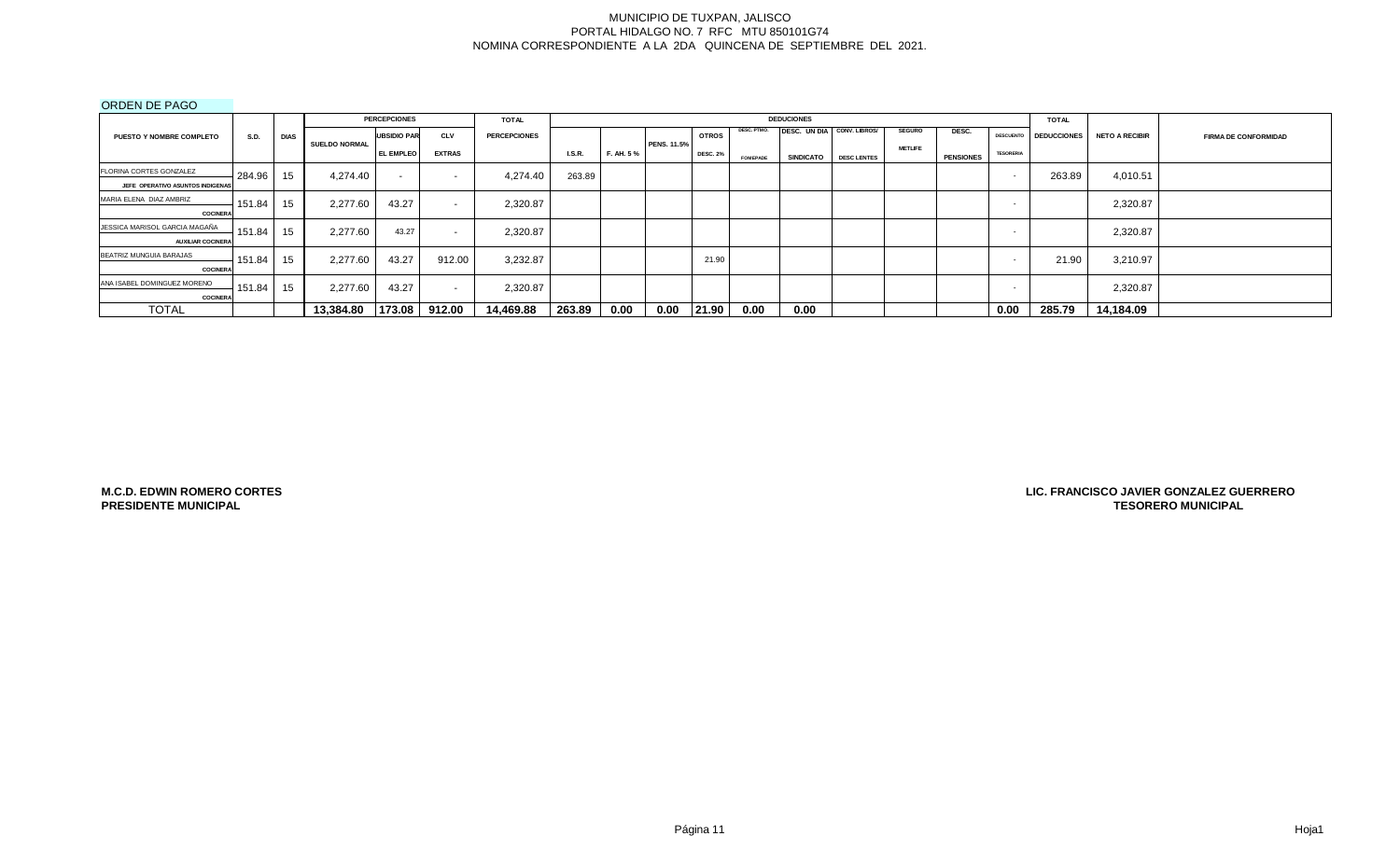ORDEN DE PAGO

|                                  |             |             |                      | <b>PERCEPCIONES</b> |                          | <b>TOTAL</b>        |        |           |                    |                 |                 | <b>DEDUCIONES</b> |                      |                |                  |                  | <b>TOTAL</b>       |                       |                             |
|----------------------------------|-------------|-------------|----------------------|---------------------|--------------------------|---------------------|--------|-----------|--------------------|-----------------|-----------------|-------------------|----------------------|----------------|------------------|------------------|--------------------|-----------------------|-----------------------------|
| PUESTO Y NOMBRE COMPLETO         | <b>S.D.</b> | <b>DIAS</b> | <b>SUELDO NORMAL</b> | <b>UBSIDIO PAR</b>  | <b>CLV</b>               | <b>PERCEPCIONES</b> |        |           |                    | <b>OTROS</b>    | DESC. PTMO.     | DESC. UN DIA      | <b>CONV. LIBROS/</b> | <b>SEGURO</b>  | DESC.            | <b>DESCUENTO</b> | <b>DEDUCCIONES</b> | <b>NETO A RECIBIR</b> | <b>FIRMA DE CONFORMIDAD</b> |
|                                  |             |             |                      | EL EMPLEO           | <b>EXTRAS</b>            |                     | L.S.R  | F. AH. 5% | <b>PENS. 11.5%</b> | <b>DESC. 2%</b> | <b>FOMEPADE</b> |                   | SINDICATO DESCLENTES | <b>METLIFE</b> | <b>PENSIONES</b> | <b>TESORERIA</b> |                    |                       |                             |
| FLORINA CORTES GONZALEZ          | 284.96      |             | 4.274.40             | $\sim$              | $\sim$                   | 4,274.40            | 263.89 |           |                    |                 |                 |                   |                      |                |                  | $\sim$           | 263.89             | 4,010.51              |                             |
| JEFE OPERATIVO ASUNTOS INDIGENAS |             |             |                      |                     |                          |                     |        |           |                    |                 |                 |                   |                      |                |                  |                  |                    |                       |                             |
| MARIA ELENA DIAZ AMBRIZ          | 151.84      | 15          | 2.277.60             | 43.27               | $\overline{\phantom{a}}$ | 2,320.87            |        |           |                    |                 |                 |                   |                      |                |                  |                  |                    | 2,320.87              |                             |
| <b>COCINERA</b>                  |             |             |                      |                     |                          |                     |        |           |                    |                 |                 |                   |                      |                |                  |                  |                    |                       |                             |
| JESSICA MARISOL GARCIA MAGAÑA    | 151.84      |             | 2.277.60             | 43.27               | $\overline{\phantom{a}}$ | 2,320.87            |        |           |                    |                 |                 |                   |                      |                |                  |                  |                    | 2,320.87              |                             |
| <b>AUXILIAR COCINERA</b>         |             |             |                      |                     |                          |                     |        |           |                    |                 |                 |                   |                      |                |                  |                  |                    |                       |                             |
| BEATRIZ MUNGUIA BARAJAS          | 151.84      | 15          | 2.277.60             | 43.27               | 912.00                   | 3,232.87            |        |           |                    | 21.90           |                 |                   |                      |                |                  |                  | 21.90              | 3,210.97              |                             |
| <b>COCINERA</b>                  |             |             |                      |                     |                          |                     |        |           |                    |                 |                 |                   |                      |                |                  |                  |                    |                       |                             |
| ANA ISABEL DOMINGUEZ MORENO      | 151.84      | 15          | 2.277.60             | 43.27               | $\sim$                   | 2,320.87            |        |           |                    |                 |                 |                   |                      |                |                  |                  |                    | 2,320.87              |                             |
| <b>COCINERA</b>                  |             |             |                      |                     |                          |                     |        |           |                    |                 |                 |                   |                      |                |                  |                  |                    |                       |                             |
| <b>TOTAL</b>                     |             |             | 13,384.80            | 173.08              | 912.00                   | 14.469.88           | 263.89 | 0.00      | 0.00               | 21.90           | 0.00            | 0.00              |                      |                |                  | 0.00             | 285.79             | 14,184.09             |                             |

**M.C.D. EDWIN ROMERO CORTES PRESIDENTE MUNICIPAL**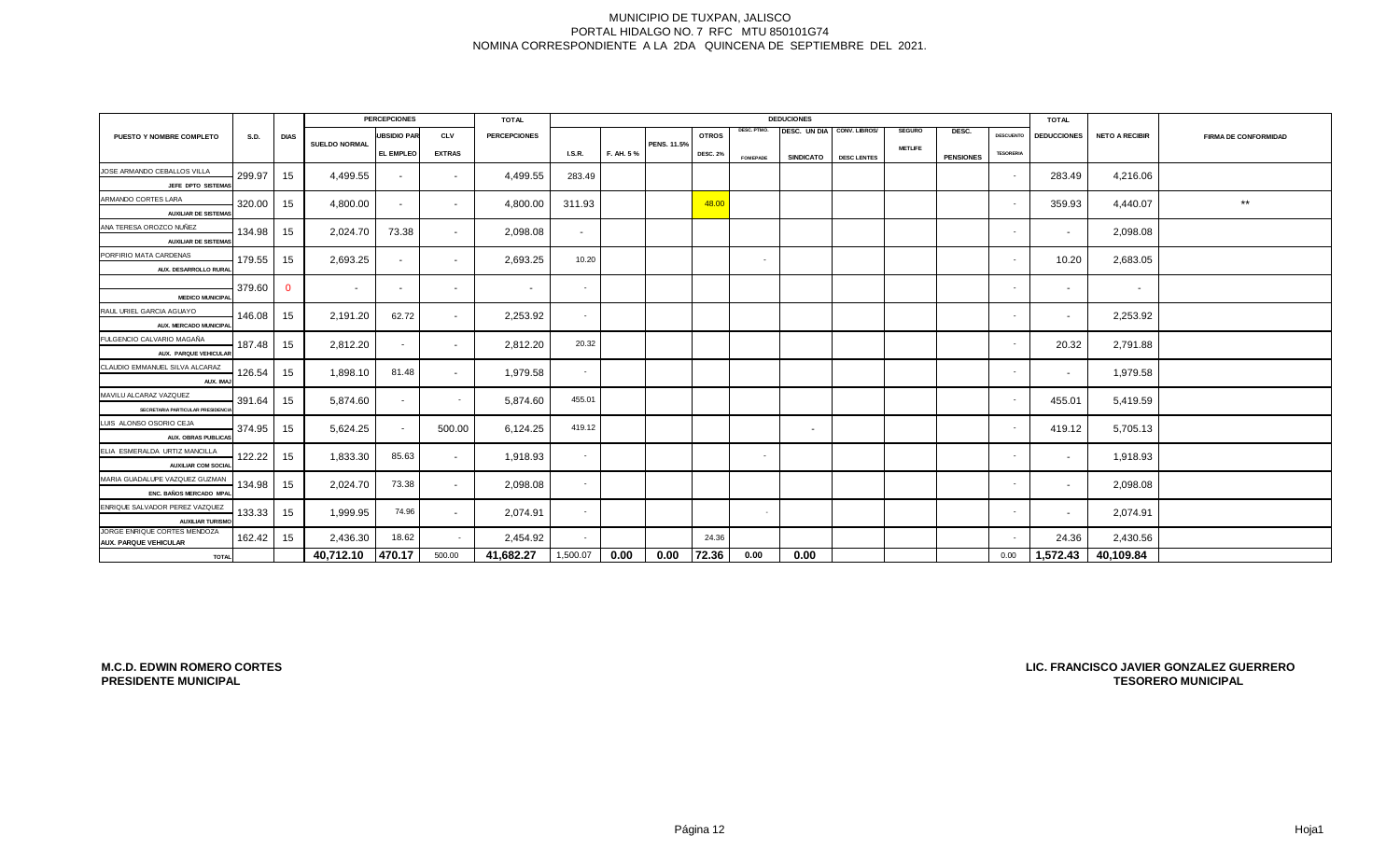|                                                       |             |              |                          | <b>PERCEPCIONES</b> |                          | <b>TOTAL</b>        |               |           |                    |                 |                 | <b>DEDUCIONES</b>          |                       |                |                  |                          | <b>TOTAL</b>       |                                                      |  |
|-------------------------------------------------------|-------------|--------------|--------------------------|---------------------|--------------------------|---------------------|---------------|-----------|--------------------|-----------------|-----------------|----------------------------|-----------------------|----------------|------------------|--------------------------|--------------------|------------------------------------------------------|--|
| PUESTO Y NOMBRE COMPLETO                              | <b>S.D.</b> | <b>DIAS</b>  |                          | <b>UBSIDIO PAR</b>  | <b>CLV</b>               | <b>PERCEPCIONES</b> |               |           |                    | <b>OTROS</b>    | DESC. PTMO.     | DESC. UN DIA CONV. LIBROSI |                       | <b>SEGURO</b>  | DESC.            | <b>DESCUENTO</b>         | <b>DEDUCCIONES</b> | <b>NETO A RECIBIR</b><br><b>FIRMA DE CONFORMIDAD</b> |  |
|                                                       |             |              | <b>SUELDO NORMAL</b>     | EL EMPLEO           | <b>EXTRAS</b>            |                     | <b>I.S.R.</b> | F. AH. 5% | <b>PENS. 11.5%</b> | <b>DESC. 2%</b> | <b>FOMEPADE</b> |                            | SINDICATO DESC LENTES | <b>METLIFE</b> | <b>PENSIONES</b> | <b>TESORERIA</b>         |                    |                                                      |  |
| JOSE ARMANDO CEBALLOS VILLA                           |             |              |                          |                     |                          |                     |               |           |                    |                 |                 |                            |                       |                |                  |                          |                    |                                                      |  |
| JEFE DPTO SISTEMAS                                    | 299.97      | 15           | 4,499.55                 | $\sim$              | $\overline{\phantom{a}}$ | 4,499.55            | 283.49        |           |                    |                 |                 |                            |                       |                |                  | $\sim$                   | 283.49             | 4,216.06                                             |  |
| ARMANDO CORTES LARA                                   | 320.00      | 15           | 4,800.00                 | $\sim$              | $\overline{\phantom{a}}$ | 4,800.00            | 311.93        |           |                    | 48.00           |                 |                            |                       |                |                  | $\overline{\phantom{a}}$ | 359.93             | $\star\star$<br>4,440.07                             |  |
| <b>AUXILIAR DE SISTEMAS</b>                           |             |              |                          |                     |                          |                     |               |           |                    |                 |                 |                            |                       |                |                  |                          |                    |                                                      |  |
| ANA TERESA OROZCO NUÑEZ                               | 134.98      | 15           | 2,024.70                 | 73.38               | $\sim$                   | 2,098.08            | $\sim$        |           |                    |                 |                 |                            |                       |                |                  | $\sim$                   | $\sim$             | 2,098.08                                             |  |
| <b>AUXILIAR DE SISTEMAS</b>                           |             |              |                          |                     |                          |                     |               |           |                    |                 |                 |                            |                       |                |                  |                          |                    |                                                      |  |
| PORFIRIO MATA CARDENAS                                | 179.55      | 15           | 2,693.25                 | $\sim$              | $\overline{\phantom{a}}$ | 2,693.25            | 10.20         |           |                    |                 | $\sim$          |                            |                       |                |                  | $\sim$                   | 10.20              | 2,683.05                                             |  |
| AUX. DESARROLLO RURAL                                 |             |              |                          |                     |                          |                     |               |           |                    |                 |                 |                            |                       |                |                  |                          |                    |                                                      |  |
|                                                       | 379.60      | $\mathbf{0}$ | $\overline{\phantom{a}}$ | $\sim$              | $\sim$                   | $\sim$              | $\sim$        |           |                    |                 |                 |                            |                       |                |                  | $\sim$                   | $\sim$             | $\overline{\phantom{a}}$                             |  |
| <b>MEDICO MUNICIPAL</b>                               |             |              |                          |                     |                          |                     |               |           |                    |                 |                 |                            |                       |                |                  |                          |                    |                                                      |  |
| RAUL URIEL GARCIA AGUAYO                              | 146.08      | 15           | 2,191.20                 | 62.72               | $\overline{\phantom{a}}$ | 2,253.92            | $\sim$        |           |                    |                 |                 |                            |                       |                |                  | $\sim$                   | $\sim$             | 2,253.92                                             |  |
| <b>AUX. MERCADO MUNICIPAL</b>                         |             |              |                          |                     |                          |                     |               |           |                    |                 |                 |                            |                       |                |                  |                          |                    |                                                      |  |
| FULGENCIO CALVARIO MAGAÑA                             | 187.48      | 15           | 2,812.20                 | $\sim$              | $\overline{\phantom{a}}$ | 2,812.20            | 20.32         |           |                    |                 |                 |                            |                       |                |                  | $\overline{\phantom{a}}$ | 20.32              | 2,791.88                                             |  |
| AUX. PARQUE VEHICULAR                                 |             |              |                          |                     |                          |                     |               |           |                    |                 |                 |                            |                       |                |                  |                          |                    |                                                      |  |
| CLAUDIO EMMANUEL SILVA ALCARAZ                        | 126.54      | 15           | 1,898.10                 | 81.48               | $\sim$                   | 1,979.58            | $\sim$        |           |                    |                 |                 |                            |                       |                |                  | $\sim$                   | $\sim$             | 1,979.58                                             |  |
| AUX. IMA.<br>MAVILU ALCARAZ VAZQUEZ                   |             |              |                          |                     |                          |                     |               |           |                    |                 |                 |                            |                       |                |                  |                          |                    |                                                      |  |
| SECRETARIA PARTICULAR PRESIDENCIA                     | 391.64      | 15           | 5,874.60                 | $\sim$              | $\sim$                   | 5,874.60            | 455.01        |           |                    |                 |                 |                            |                       |                |                  | $\sim$                   | 455.01             | 5,419.59                                             |  |
| LUIS ALONSO OSORIO CEJA                               |             |              |                          |                     |                          |                     |               |           |                    |                 |                 |                            |                       |                |                  |                          |                    |                                                      |  |
| <b>AUX. OBRAS PUBLICAS</b>                            | 374.95      | 15           | 5,624.25                 | $\sim$ $-$          | 500.00                   | 6,124.25            | 419.12        |           |                    |                 |                 | $\overline{\phantom{a}}$   |                       |                |                  | $\sim$                   | 419.12             | 5,705.13                                             |  |
| ELIA ESMERALDA URTIZ MANCILLA                         | 122.22      | 15           | 1,833.30                 | 85.63               |                          | 1,918.93            | $\sim$        |           |                    |                 | $\sim$          |                            |                       |                |                  | $\sim$                   |                    | 1,918.93                                             |  |
| <b>AUXILIAR COM SOCIAL</b>                            |             |              |                          |                     | $\overline{\phantom{a}}$ |                     |               |           |                    |                 |                 |                            |                       |                |                  |                          | $\sim$             |                                                      |  |
| MARIA GUADALUPE VAZQUEZ GUZMAN                        | 134.98      | 15           | 2,024.70                 | 73.38               | $\sim$                   | 2,098.08            | $\sim$        |           |                    |                 |                 |                            |                       |                |                  | $\sim$                   | $\sim$             | 2,098.08                                             |  |
| ENC. BAÑOS MERCADO MPAL                               |             |              |                          |                     |                          |                     |               |           |                    |                 |                 |                            |                       |                |                  |                          |                    |                                                      |  |
| ENRIQUE SALVADOR PEREZ VAZQUEZ                        | 133.33      | 15           | 1,999.95                 | 74.96               | $\overline{\phantom{a}}$ | 2,074.91            | $\sim$ $-$    |           |                    |                 | $\sim$          |                            |                       |                |                  | $\overline{\phantom{a}}$ | $\sim$             | 2,074.91                                             |  |
| <b>AUXILIAR TURISMO</b>                               |             |              |                          |                     |                          |                     |               |           |                    |                 |                 |                            |                       |                |                  |                          |                    |                                                      |  |
| JORGE ENRIQUE CORTES MENDOZA<br>AUX. PARQUE VEHICULAR | 162.42      | 15           | 2,436.30                 | 18.62               | $\sim$                   | 2,454.92            | $\sim$        |           |                    | 24.36           |                 |                            |                       |                |                  | $\sim$                   | 24.36              | 2,430.56                                             |  |
| <b>TOTAL</b>                                          |             |              | 40,712.10 470.17         |                     | 500.00                   | 41,682.27           | 1,500.07      | 0.00      | 0.00               | 72.36           | 0.00            | 0.00                       |                       |                |                  | 0.00                     | 1,572.43           | 40,109.84                                            |  |

**M.C.D. EDWIN ROMERO CORTES PRESIDENTE MUNICIPAL**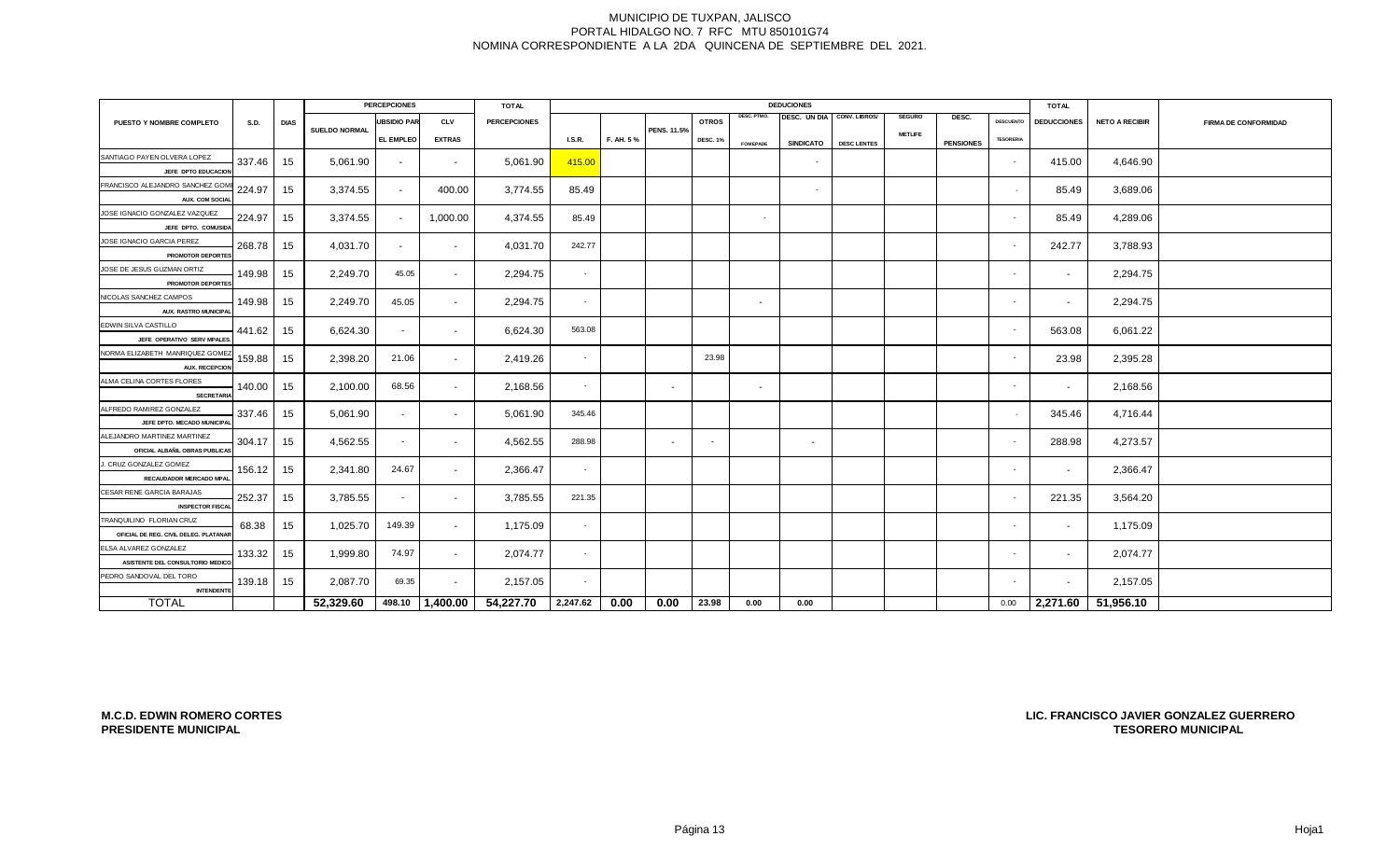|                                                               |        |      |               | <b>PERCEPCIONES</b> |                          | <b>TOTAL</b>        | <b>DEDUCIONES</b> |           |                          |                 |                 |                  |                    |                |                  | <b>TOTAL</b>             |                          |                       |                             |
|---------------------------------------------------------------|--------|------|---------------|---------------------|--------------------------|---------------------|-------------------|-----------|--------------------------|-----------------|-----------------|------------------|--------------------|----------------|------------------|--------------------------|--------------------------|-----------------------|-----------------------------|
| PUESTO Y NOMBRE COMPLETO                                      | S.D.   | DIAS |               | <b>UBSIDIO PAR</b>  | <b>CLV</b>               | <b>PERCEPCIONES</b> |                   |           |                          | <b>OTROS</b>    | DESC. PTMO.     | DESC. UN DIA     | CONV. LIBROS/      | <b>SEGURO</b>  | DESC.            | <b>DESCUENTO</b>         | <b>DEDUCCIONES</b>       | <b>NETO A RECIBIR</b> | <b>FIRMA DE CONFORMIDAD</b> |
|                                                               |        |      | SUELDO NORMAL | <b>EL EMPLEO</b>    | <b>EXTRAS</b>            |                     | <b>I.S.R.</b>     | F. AH. 5% | <b>PENS. 11.5%</b>       | <b>DESC. 1%</b> |                 | <b>SINDICATO</b> | <b>DESC LENTES</b> | <b>METLIFE</b> | <b>PENSIONES</b> | <b>TESORERIA</b>         |                          |                       |                             |
| SANTIAGO PAYEN OLVERA LOPEZ                                   |        |      |               |                     |                          |                     |                   |           |                          |                 | <b>FOMEPADE</b> |                  |                    |                |                  |                          |                          |                       |                             |
| JEFE DPTO EDUCACION                                           | 337.46 | 15   | 5,061.90      | $\sim$              | $\sim$                   | 5,061.90            | 415.00            |           |                          |                 |                 | $\sim$           |                    |                |                  | $\sim$                   | 415.00                   | 4,646.90              |                             |
| FRANCISCO ALEJANDRO SANCHEZ GOME                              | 224.97 | 15   | 3,374.55      | $\sim$              | 400.00                   | 3,774.55            | 85.49             |           |                          |                 |                 | $\sim$           |                    |                |                  |                          | 85.49                    | 3,689.06              |                             |
| AUX. COM SOCIAL                                               |        |      |               |                     |                          |                     |                   |           |                          |                 |                 |                  |                    |                |                  |                          |                          |                       |                             |
| JOSE IGNACIO GONZALEZ VAZQUEZ                                 | 224.97 | 15   | 3,374.55      | $\sim$              | 1,000.00                 | 4,374.55            | 85.49             |           |                          |                 | $\sim$          |                  |                    |                |                  | $\sim$                   | 85.49                    | 4,289.06              |                             |
| JEFE DPTO. COMUSIDA                                           |        |      |               |                     |                          |                     |                   |           |                          |                 |                 |                  |                    |                |                  |                          |                          |                       |                             |
| JOSE IGNACIO GARCIA PEREZ                                     | 268.78 | 15   | 4,031.70      | $\sim$              | $\sim$                   | 4,031.70            | 242.77            |           |                          |                 |                 |                  |                    |                |                  | $\sim$                   | 242.77                   | 3,788.93              |                             |
| PROMOTOR DEPORTES                                             |        |      |               |                     |                          |                     |                   |           |                          |                 |                 |                  |                    |                |                  |                          |                          |                       |                             |
| JOSE DE JESUS GUZMAN ORTIZ                                    | 149.98 | 15   | 2,249.70      | 45.05               | $\sim$                   | 2,294.75            | $\sim$            |           |                          |                 |                 |                  |                    |                |                  | $\sim$                   | $\sim$                   | 2,294.75              |                             |
| PROMOTOR DEPORTES                                             |        |      |               |                     |                          |                     |                   |           |                          |                 |                 |                  |                    |                |                  |                          |                          |                       |                             |
| NICOLAS SANCHEZ CAMPOS                                        | 149.98 | 15   | 2,249.70      | 45.05               | $\sim$                   | 2,294.75            | $\sim$            |           |                          |                 | $\sim$          |                  |                    |                |                  | $\overline{\phantom{a}}$ | $\overline{\phantom{a}}$ | 2,294.75              |                             |
| <b>AUX. RASTRO MUNICIPAL</b>                                  |        |      |               |                     |                          |                     |                   |           |                          |                 |                 |                  |                    |                |                  |                          |                          |                       |                             |
| EDWIN SILVA CASTILLO                                          | 441.62 | 15   | 6,624.30      | $\sim$              | $\overline{\phantom{a}}$ | 6,624.30            | 563.08            |           |                          |                 |                 |                  |                    |                |                  | $\overline{\phantom{a}}$ | 563.08                   | 6,061.22              |                             |
| JEFE OPERATIVO SERV MPALES<br>NORMA ELIZABETH MANRIQUEZ GOMEZ |        |      |               |                     |                          |                     |                   |           |                          |                 |                 |                  |                    |                |                  |                          |                          |                       |                             |
| <b>AUX. RECEPCIOI</b>                                         | 159.88 | 15   | 2,398.20      | 21.06               | $\overline{\phantom{a}}$ | 2,419.26            | $\sim$            |           |                          | 23.98           |                 |                  |                    |                |                  |                          | 23.98                    | 2,395.28              |                             |
| ALMA CELINA CORTES FLORES                                     |        |      |               |                     |                          |                     |                   |           |                          |                 |                 |                  |                    |                |                  |                          |                          |                       |                             |
| <b>SECRETARIA</b>                                             | 140.00 | 15   | 2,100.00      | 68.56               | $\overline{\phantom{a}}$ | 2,168.56            | $\sim$            |           | $\overline{\phantom{a}}$ |                 | $\sim$          |                  |                    |                |                  | $\sim$                   | $\sim$                   | 2,168.56              |                             |
| ALFREDO RAMIREZ GONZALEZ                                      | 337.46 | 15   | 5,061.90      | $\sim$              | $\overline{\phantom{a}}$ | 5,061.90            | 345.46            |           |                          |                 |                 |                  |                    |                |                  | $\sim$                   | 345.46                   | 4,716.44              |                             |
| JEFE DPTO. MECADO MUNICIPAL                                   |        |      |               |                     |                          |                     |                   |           |                          |                 |                 |                  |                    |                |                  |                          |                          |                       |                             |
| ALEJANDRO MARTINEZ MARTINEZ                                   | 304.17 | 15   | 4,562.55      | $\sim$              | $\overline{\phantom{a}}$ | 4,562.55            | 288.98            |           | $\sim$                   | $\sim$          |                 | $\sim$           |                    |                |                  | $\sim$                   | 288.98                   | 4,273.57              |                             |
| OFICIAL ALBAÑIL OBRAS PUBLICAS                                |        |      |               |                     |                          |                     |                   |           |                          |                 |                 |                  |                    |                |                  |                          |                          |                       |                             |
| . CRUZ GONZALEZ GOMEZ                                         | 156.12 | 15   | 2,341.80      | 24.67               | $\sim$                   | 2,366.47            | $\sim$            |           |                          |                 |                 |                  |                    |                |                  | $\sim$                   | $\overline{\phantom{a}}$ | 2,366.47              |                             |
| RECAUDADOR MERCADO MPAL                                       |        |      |               |                     |                          |                     |                   |           |                          |                 |                 |                  |                    |                |                  |                          |                          |                       |                             |
| CESAR RENE GARCIA BARAJAS                                     | 252.37 | 15   | 3,785.55      | $\sim$              | $\overline{\phantom{a}}$ | 3,785.55            | 221.35            |           |                          |                 |                 |                  |                    |                |                  | $\sim$                   | 221.35                   | 3,564.20              |                             |
| <b>INSPECTOR FISCAL</b>                                       |        |      |               |                     |                          |                     |                   |           |                          |                 |                 |                  |                    |                |                  |                          |                          |                       |                             |
| TRANQUILINO FLORIAN CRUZ                                      | 68.38  | 15   | 1,025.70      | 149.39              | $\sim$                   | 1,175.09            | $\sim$            |           |                          |                 |                 |                  |                    |                |                  | $\sim$                   | $\sim$                   | 1,175.09              |                             |
| OFICIAL DE REG. CIVIL DELEG. PLATANAR                         |        |      |               |                     |                          |                     |                   |           |                          |                 |                 |                  |                    |                |                  |                          |                          |                       |                             |
| ELSA ALVAREZ GONZALEZ                                         | 133.32 | 15   | 1,999.80      | 74.97               | $\sim$                   | 2,074.77            | $\sim$            |           |                          |                 |                 |                  |                    |                |                  | $\sim$                   | $\sim$                   | 2,074.77              |                             |
| ASISTENTE DEL CONSULTORIO MEDICO                              |        |      |               |                     |                          |                     |                   |           |                          |                 |                 |                  |                    |                |                  |                          |                          |                       |                             |
| PEDRO SANDOVAL DEL TORO<br><b>INTENDENTE</b>                  | 139.18 | 15   | 2,087.70      | 69.35               | $\sim$                   | 2,157.05            | $\sim$            |           |                          |                 |                 |                  |                    |                |                  | $\sim$                   | $\overline{\phantom{a}}$ | 2,157.05              |                             |
| <b>TOTAL</b>                                                  |        |      | 52,329.60     |                     | 498.10 1,400.00          | 54,227.70           | 2,247.62          | 0.00      | 0.00                     | 23.98           | 0.00            | 0.00             |                    |                |                  | 0.00                     | 2,271.60                 | 51.956.10             |                             |

**M.C.D. EDWIN ROMERO CORTES PRESIDENTE MUNICIPAL**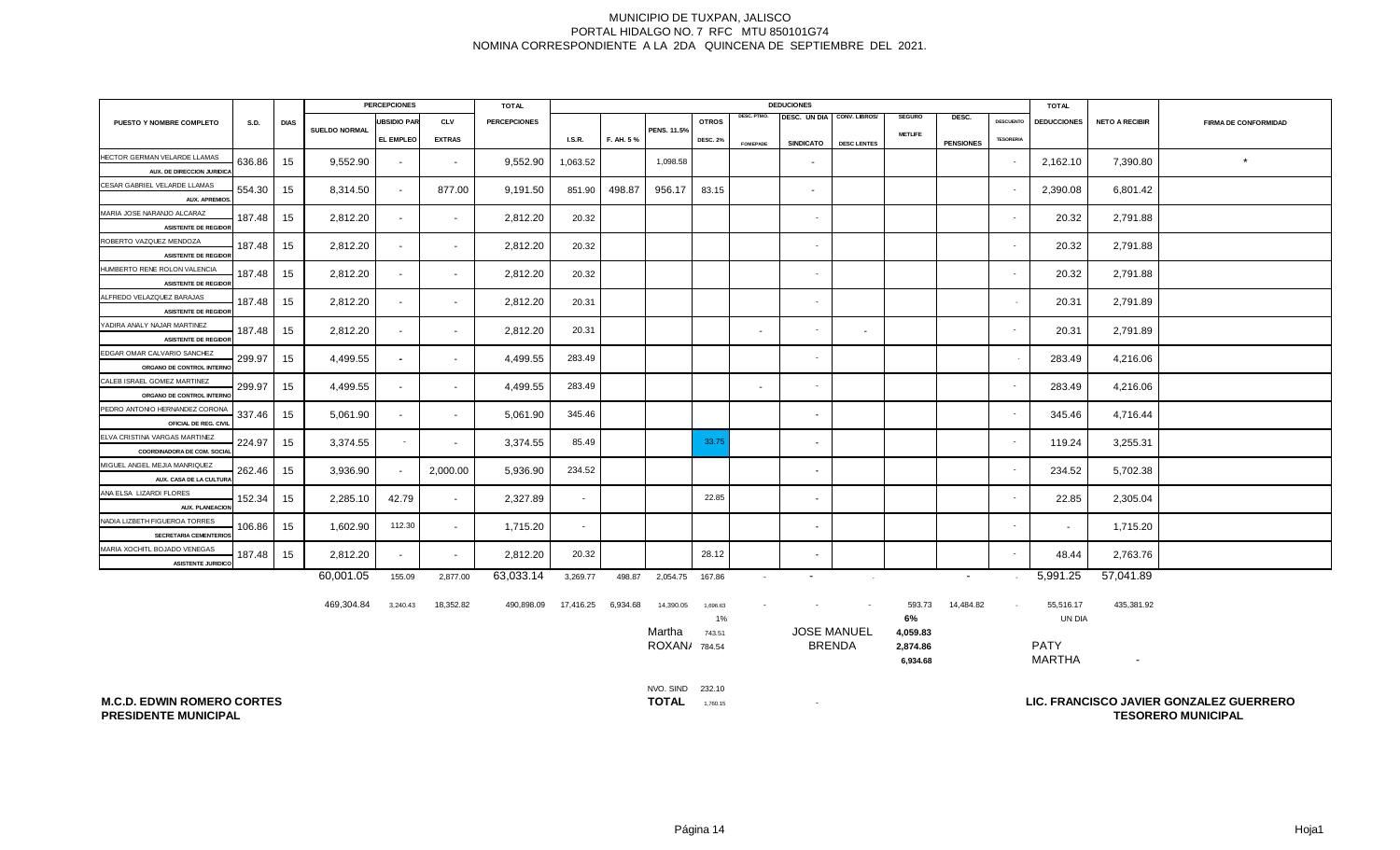|                                                                    |        |             |                      | <b>PERCEPCIONES</b>      |                          | <b>TOTAL</b>        |           |               | <b>DEDUCIONES</b> |                 |                  |                           |                          |                |                  | <b>TOTAL</b>             |                          |                       |                                         |
|--------------------------------------------------------------------|--------|-------------|----------------------|--------------------------|--------------------------|---------------------|-----------|---------------|-------------------|-----------------|------------------|---------------------------|--------------------------|----------------|------------------|--------------------------|--------------------------|-----------------------|-----------------------------------------|
| PUESTO Y NOMBRE COMPLETO                                           | S.D.   | <b>DIAS</b> |                      | <b>UBSIDIO PAR</b>       | <b>CLV</b>               | <b>PERCEPCIONES</b> |           |               |                   | <b>OTROS</b>    | DESC. PTMO.      | DESC. UN DIA              | <b>CONV. LIBROS/</b>     | <b>SEGURO</b>  | DESC.            | <b>DESCUENTO</b>         | <b>DEDUCCIONES</b>       | <b>NETO A RECIBIR</b> | <b>FIRMA DE CONFORMIDAD</b>             |
|                                                                    |        |             | <b>SUELDO NORMAL</b> | <b>EL EMPLEO</b>         | <b>EXTRAS</b>            |                     | LS.R.     | F. AH. 5%     | PENS. 11.5%       | <b>DESC. 2%</b> | <b>FOM FPADE</b> | <b>SINDICATO</b>          | <b>DESC LENTES</b>       | <b>METLIFE</b> | <b>PENSIONES</b> | <b>TESORERIA</b>         |                          |                       |                                         |
| HECTOR GERMAN VELARDE LLAMAS                                       | 636.86 | 15          | 9,552.90             | $\overline{\phantom{a}}$ | $\overline{\phantom{a}}$ | 9,552.90            | 1,063.52  |               | 1,098.58          |                 |                  | $\overline{\phantom{a}}$  |                          |                |                  | $\overline{\phantom{a}}$ | 2,162.10                 | 7,390.80              | $\star$                                 |
| AUX. DE DIRECCION JURIDICA                                         |        |             |                      |                          |                          |                     |           |               |                   |                 |                  |                           |                          |                |                  |                          |                          |                       |                                         |
| CESAR GABRIEL VELARDE LLAMAS<br><b>AUX. APREMIOS</b>               | 554.30 | 15          | 8,314.50             | $\sim$                   | 877.00                   | 9,191.50            | 851.90    | 498.87        | 956.17            | 83.15           |                  | $\sim$                    |                          |                |                  | $\sim$                   | 2,390.08                 | 6,801.42              |                                         |
| MARIA JOSE NARANJO ALCARAZ                                         | 187.48 | 15          | 2,812.20             | $\sim$                   | $\sim$                   | 2,812.20            | 20.32     |               |                   |                 |                  | $\overline{\phantom{a}}$  |                          |                |                  | $\overline{\phantom{a}}$ | 20.32                    | 2,791.88              |                                         |
| <b>ASISTENTE DE REGIDOI</b><br>ROBERTO VAZQUEZ MENDOZA             |        |             |                      |                          |                          |                     |           |               |                   |                 |                  |                           |                          |                |                  |                          |                          |                       |                                         |
| <b>ASISTENTE DE REGIDOR</b>                                        | 187.48 | 15          | 2,812.20             | $\overline{\phantom{a}}$ | $\sim$                   | 2,812.20            | 20.32     |               |                   |                 |                  | $\overline{\phantom{a}}$  |                          |                |                  | $\sim$                   | 20.32                    | 2,791.88              |                                         |
| HUMBERTO RENE ROLON VALENCIA<br><b>ASISTENTE DE REGIDOR</b>        | 187.48 | 15          | 2,812.20             | $\sim$                   | $\sim$                   | 2,812.20            | 20.32     |               |                   |                 |                  | $\overline{\phantom{a}}$  |                          |                |                  | $\sim$                   | 20.32                    | 2,791.88              |                                         |
| ALFREDO VELAZQUEZ BARAJAS                                          | 187.48 | 15          | 2,812.20             | $\sim$                   | $\overline{\phantom{a}}$ | 2,812.20            | 20.31     |               |                   |                 |                  | $\sim$                    |                          |                |                  | $\sim$                   | 20.31                    | 2,791.89              |                                         |
| <b>ASISTENTE DE REGIDOR</b><br>YADIRA ANALY NAJAR MARTINEZ         |        |             |                      |                          |                          |                     |           |               |                   |                 |                  |                           |                          |                |                  |                          |                          |                       |                                         |
| <b>ASISTENTE DE REGIDOR</b>                                        | 187.48 | 15          | 2,812.20             | $\overline{\phantom{a}}$ | $\overline{\phantom{a}}$ | 2,812.20            | 20.31     |               |                   |                 |                  | $\sim$                    | $\overline{\phantom{a}}$ |                |                  | $\overline{\phantom{a}}$ | 20.31                    | 2,791.89              |                                         |
| EDGAR OMAR CALVARIO SANCHEZ<br>ORGANO DE CONTROL INTERNO           | 299.97 | 15          | 4,499.55             | $\sim$                   | $\sim$                   | 4,499.55            | 283.49    |               |                   |                 |                  | $\sim$                    |                          |                |                  |                          | 283.49                   | 4,216.06              |                                         |
| CALEB ISRAEL GOMEZ MARTINEZ                                        | 299.97 | 15          | 4,499.55             | $\sim$                   | $\sim$                   | 4,499.55            | 283.49    |               |                   |                 |                  | $\sim$                    |                          |                |                  | $\sim$                   | 283.49                   | 4,216.06              |                                         |
| ORGANO DE CONTROL INTERNO<br>PEDRO ANTONIO HERNANDEZ CORONA        |        |             |                      |                          |                          |                     |           |               |                   |                 |                  |                           |                          |                |                  |                          |                          |                       |                                         |
| OFICIAL DE REG. CIVIL                                              | 337.46 | 15          | 5,061.90             | $\overline{\phantom{a}}$ | $\overline{\phantom{a}}$ | 5,061.90            | 345.46    |               |                   |                 |                  | $\overline{\phantom{a}}$  |                          |                |                  | $\overline{\phantom{a}}$ | 345.46                   | 4,716.44              |                                         |
| ELVA CRISTINA VARGAS MARTINEZ<br><b>COORDINADORA DE COM. SOCIA</b> | 224.97 | 15          | 3,374.55             | $\sim$                   | $\sim$                   | 3,374.55            | 85.49     |               |                   | 33.75           |                  | $\overline{\phantom{a}}$  |                          |                |                  | $\sim$                   | 119.24                   | 3,255.31              |                                         |
| MIGUEL ANGEL MEJIA MANRIQUEZ<br>AUX. CASA DE LA CULTURA            | 262.46 | 15          | 3,936.90             | $\sim$                   | 2,000.00                 | 5,936.90            | 234.52    |               |                   |                 |                  | $\blacksquare$            |                          |                |                  | $\sim$                   | 234.52                   | 5,702.38              |                                         |
| ANA ELSA LIZARDI FLORES                                            | 152.34 | 15          | 2,285.10             | 42.79                    | $\sim$                   | 2,327.89            | $\sim$    |               |                   | 22.85           |                  | $\overline{\phantom{a}}$  |                          |                |                  | $\overline{\phantom{a}}$ | 22.85                    | 2,305.04              |                                         |
| <b>AUX. PLANEACION</b><br>NADIA LIZBETH FIGUEROA TORRES            |        |             |                      |                          |                          |                     |           |               |                   |                 |                  |                           |                          |                |                  |                          |                          |                       |                                         |
| <b>SECRETARIA CEMENTERIOS</b>                                      | 106.86 | 15          | 1,602.90             | 112.30                   | $\sim$                   | 1,715.20            | $\sim$    |               |                   |                 |                  | $\sim$                    |                          |                |                  | $\sim$                   | $\overline{\phantom{a}}$ | 1,715.20              |                                         |
| MARIA XOCHITL BOJADO VENEGAS<br><b>ASISTENTE JURIDICO</b>          | 187.48 | 15          | 2,812.20             | $\sim$                   | $\sim$                   | 2,812.20            | 20.32     |               |                   | 28.12           |                  | $\overline{\phantom{a}}$  |                          |                |                  | $\sim$                   | 48.44                    | 2,763.76              |                                         |
|                                                                    |        |             |                      | 155.09                   | 2,877.00                 | 63,033.14           | 3,269.77  | 498.87        | 2,054.75          | 167.86          | $\sim$           | $\sim$                    |                          |                | $\sim$           |                          | 5,991.25                 | 57,041.89             |                                         |
|                                                                    |        |             | 469,304.84           | 3,240.43                 | 18,352.82                | 490,898.09          | 17,416.25 | 6,934.68      | 14,390.05         | 1,696.63        | $\sim$           |                           | $\sim$                   | 593.73         | 14,484.82        |                          | 55,516.17                | 435,381.92            |                                         |
|                                                                    |        |             |                      |                          |                          |                     |           |               | Martha            | 1%<br>743.51    |                  |                           | <b>JOSE MANUEL</b>       | 6%<br>4,059.83 |                  |                          | UN DIA                   |                       |                                         |
|                                                                    |        |             |                      |                          |                          |                     |           | ROXAN/ 784.54 |                   |                 |                  | <b>BRENDA</b>             | 2,874.86                 |                |                  | <b>PATY</b>              |                          |                       |                                         |
|                                                                    |        |             |                      |                          |                          |                     |           |               |                   |                 |                  |                           |                          | 6,934.68       |                  |                          | <b>MARTHA</b>            | $\sim$                |                                         |
|                                                                    |        |             |                      |                          |                          |                     |           |               | NVO. SIND         | 232.10          |                  |                           |                          |                |                  |                          |                          |                       |                                         |
| <b>M.C.D. EDWIN ROMERO CORTES</b>                                  |        |             |                      |                          |                          |                     |           |               | <b>TOTAL</b>      | 1,760.15        |                  | $\sim$                    |                          |                |                  |                          |                          |                       | LIC. FRANCISCO JAVIER GONZALEZ GUERRERO |
| <b>PRESIDENTE MUNICIPAL</b>                                        |        |             |                      |                          |                          |                     |           |               |                   |                 |                  | <b>TESORERO MUNICIPAL</b> |                          |                |                  |                          |                          |                       |                                         |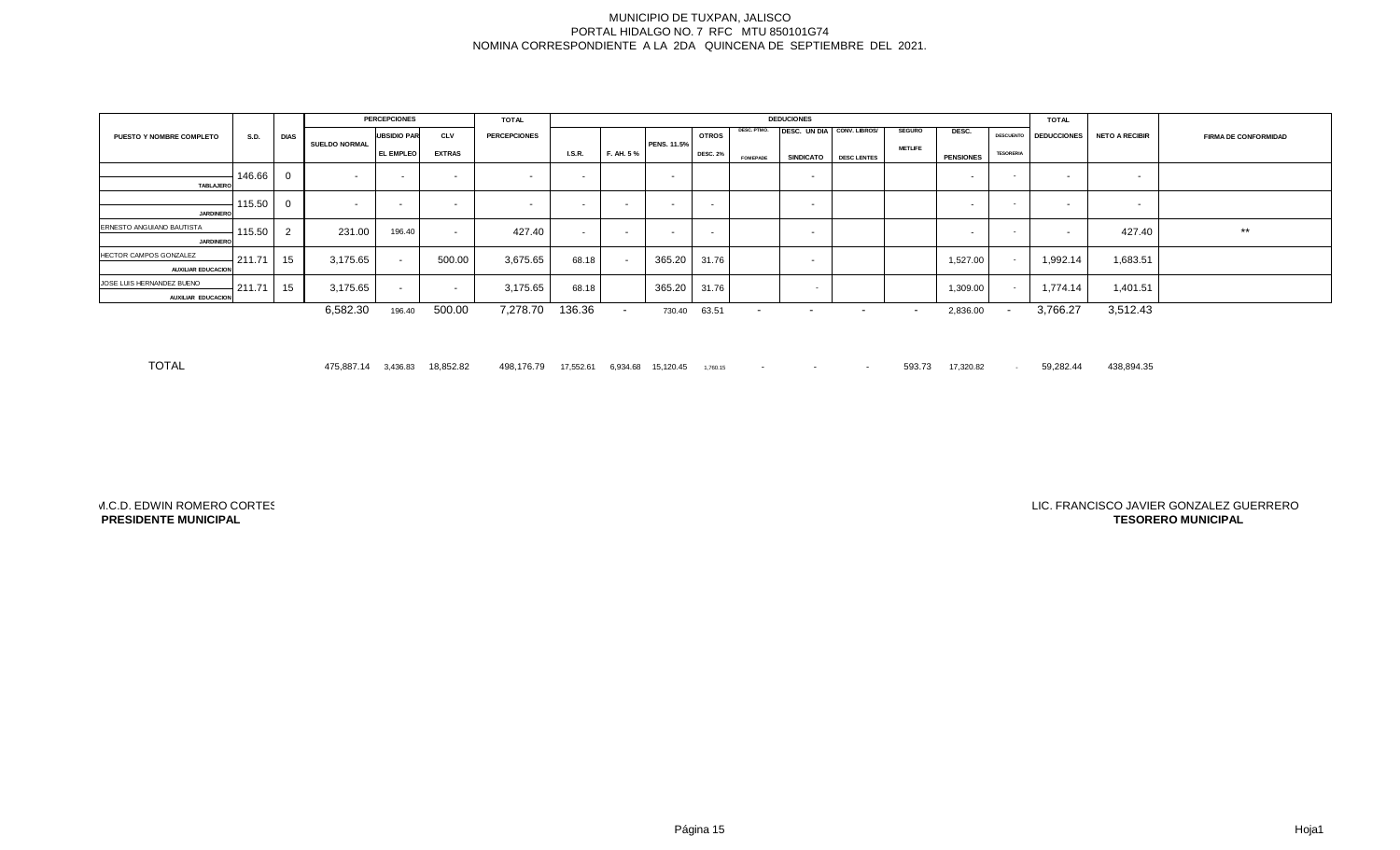|                                                        |             |             | <b>PERCEPCIONES</b>      |                    | <b>DEDUCIONES</b><br><b>TOTAL</b> |                     |        |           |             |                          |                 |                  |                      |                                      |                          |                          |                       |                             |
|--------------------------------------------------------|-------------|-------------|--------------------------|--------------------|-----------------------------------|---------------------|--------|-----------|-------------|--------------------------|-----------------|------------------|----------------------|--------------------------------------|--------------------------|--------------------------|-----------------------|-----------------------------|
| PUESTO Y NOMBRE COMPLETO                               | <b>S.D.</b> | <b>DIAS</b> |                          | <b>UBSIDIO PAR</b> | <b>CLV</b>                        | <b>PERCEPCIONES</b> |        |           |             | <b>OTROS</b>             | DESC. PTMO.     | DESC. UN DIA     | <b>CONV. LIBROS/</b> | <b>SEGURO</b><br>DESC.               | <b>DESCUENTO</b>         | <b>DEDUCCIONES</b>       | <b>NETO A RECIBIR</b> | <b>FIRMA DE CONFORMIDAD</b> |
|                                                        |             |             | <b>SUELDO NORMAL</b>     | <b>EL EMPLEO</b>   | <b>EXTRAS</b>                     |                     | I.S.R  | F. AH. 5% | PENS. 11.5% | <b>DESC. 2%</b>          | <b>FOMEPADE</b> | <b>SINDICATO</b> | <b>DESC LENTES</b>   | <b>METLIFE</b><br><b>PENSIONES</b>   | <b>TESORERIA</b>         |                          |                       |                             |
| <b>TABLAJERO</b>                                       | 146.66      | $\Omega$    | $\overline{\phantom{a}}$ |                    | $\overline{\phantom{a}}$          | $\sim$              | $\sim$ |           |             |                          |                 | $\sim$           |                      | $\overline{\phantom{a}}$             | $\sim$                   | $\overline{\phantom{a}}$ | $\sim$                |                             |
| <b>JARDINERO</b>                                       | 115.50      | 0           | $\overline{\phantom{0}}$ |                    | $\overline{\phantom{a}}$          | $\sim$              | . .    |           |             | $\sim$                   |                 | $\sim$           |                      |                                      | $\overline{\phantom{a}}$ | $\overline{\phantom{a}}$ | $\sim$                |                             |
| ERNESTO ANGUIANO BAUTISTA<br><b>JARDINERO</b>          | 115.50      |             | 231.00                   | 196.40             | $\overline{\phantom{a}}$          | 427.40              | . .    | $\sim$    |             | $\overline{\phantom{a}}$ |                 | $\sim$           |                      | . .                                  | $\overline{\phantom{a}}$ |                          | 427.40                | $***$                       |
| HECTOR CAMPOS GONZALEZ<br><b>AUXILIAR EDUCACION</b>    | 211.71      | 15          | 3,175.65                 | $\sim$             | 500.00                            | 3,675.65            | 68.18  |           | 365.20      | 31.76                    |                 | $\sim$           |                      | 1,527.00                             |                          | ,992.14                  | 1,683.51              |                             |
| JOSE LUIS HERNANDEZ BUENO<br><b>AUXILIAR EDUCACION</b> | 211.71      | 15          | 3,175.65                 | $\sim$             |                                   | 3,175.65            | 68.18  |           | 365.20      | 31.76                    |                 | $\sim$           |                      | 1,309.00                             |                          | ,774.14                  | 1,401.51              |                             |
|                                                        |             |             | 6,582.30                 | 196.40             | 500.00                            | 7,278.70            | 136.36 | $\sim$    | 730.40      | 63.5                     |                 | $\,$ $\,$        | . .                  | 2,836.00<br>$\overline{\phantom{0}}$ | $\sim$                   | 3,766.27                 | 3,512.43              |                             |

TOTAL

475,887.14 3,436.83 18,852.82 498,176.79 17,552.61 6,934.68 15,120.45 1,760.15 - - - 593.73 17,320.82 - 59,282.44 438,894.35

**PRESIDENTE MUNICIPAL** M.C.D. EDWIN ROMERO CORTES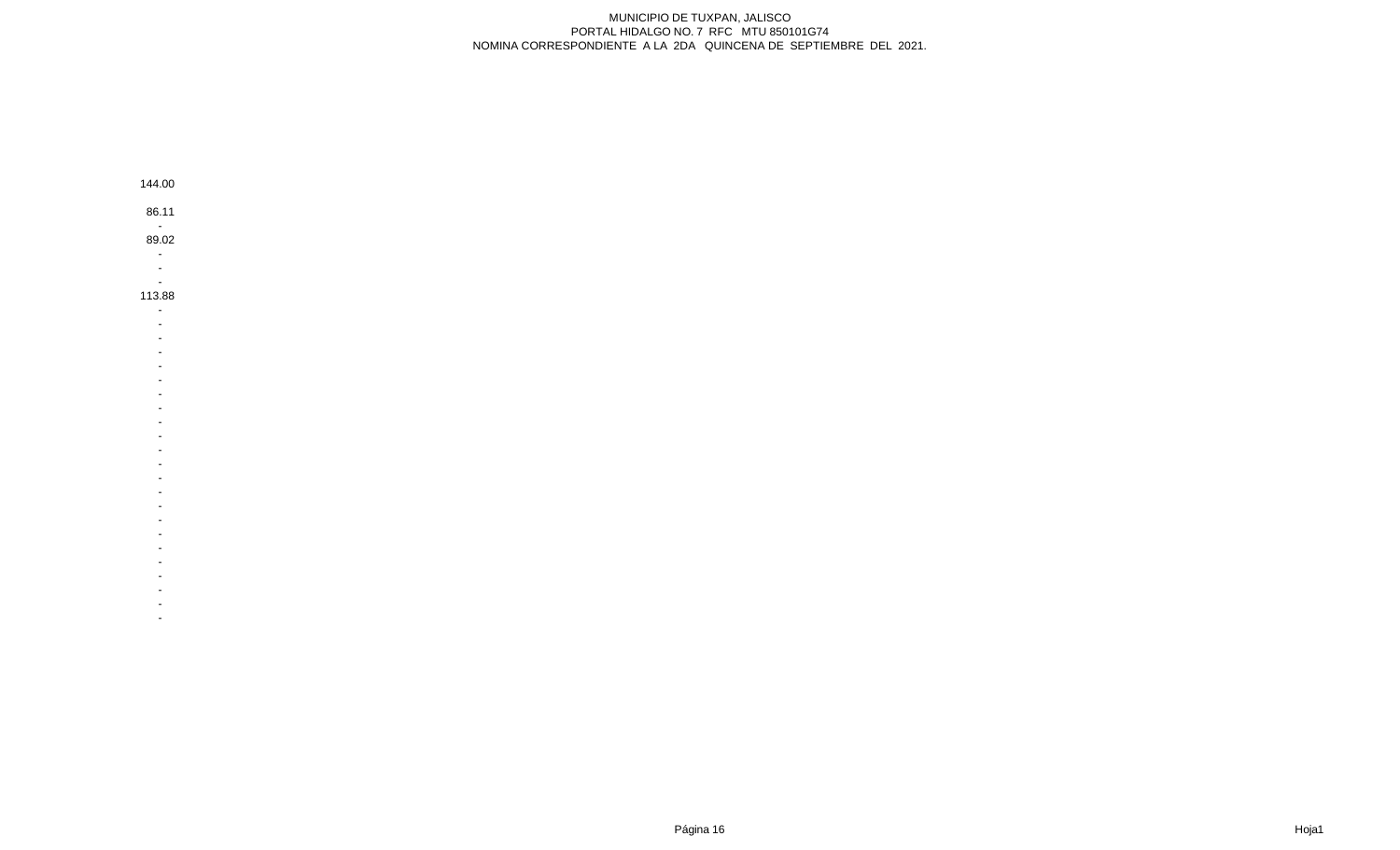- 1990 - 1991<br>1991 - 1992 - 1992 - 1990 - 1991<br>1991 - 1992 - 1992 - 100 pm - 100 pm

 144.00 86.11 - 89.02 - - - 113.88 -

- 1990 - 1991<br>1991 - 1992 - 1992 - 1990 - 1991<br>1991 - 1992 - 1992 - 1990 - 1991<br>1991 - 1992 - 1992 - 1990 - 1991<br>1991 - 1992 - 1992 - 100 pm - 100 pm

- 1990 - 1991<br>1991 - 1992 - 1992 - 1990 - 1991<br>1991 - 1992 - 1992

- 1990 - 1990 -

- 1990 - 1991<br>1991 - 1992 - 1992

- 100 pm - 1990 - 1990 -- 1990 - 1991<br>1991 - 1992 - 1992

- 1990 - 1991<br>1991 - 1992 - 1992 - 1990 - 1991<br>1991 - 1992 - 1992

- 1990 - 1991<br>1991 - 1992 - 1992

- 100 pm

- 100 pm

Página 16 hoja1 hoja1 hoja1 hoja1 hoja1 hoja1 hoja1 hoja1 hoja1 hoja1 hoja1 hoja1 hoja1 hoja1 hoja1 hoja1 hoja1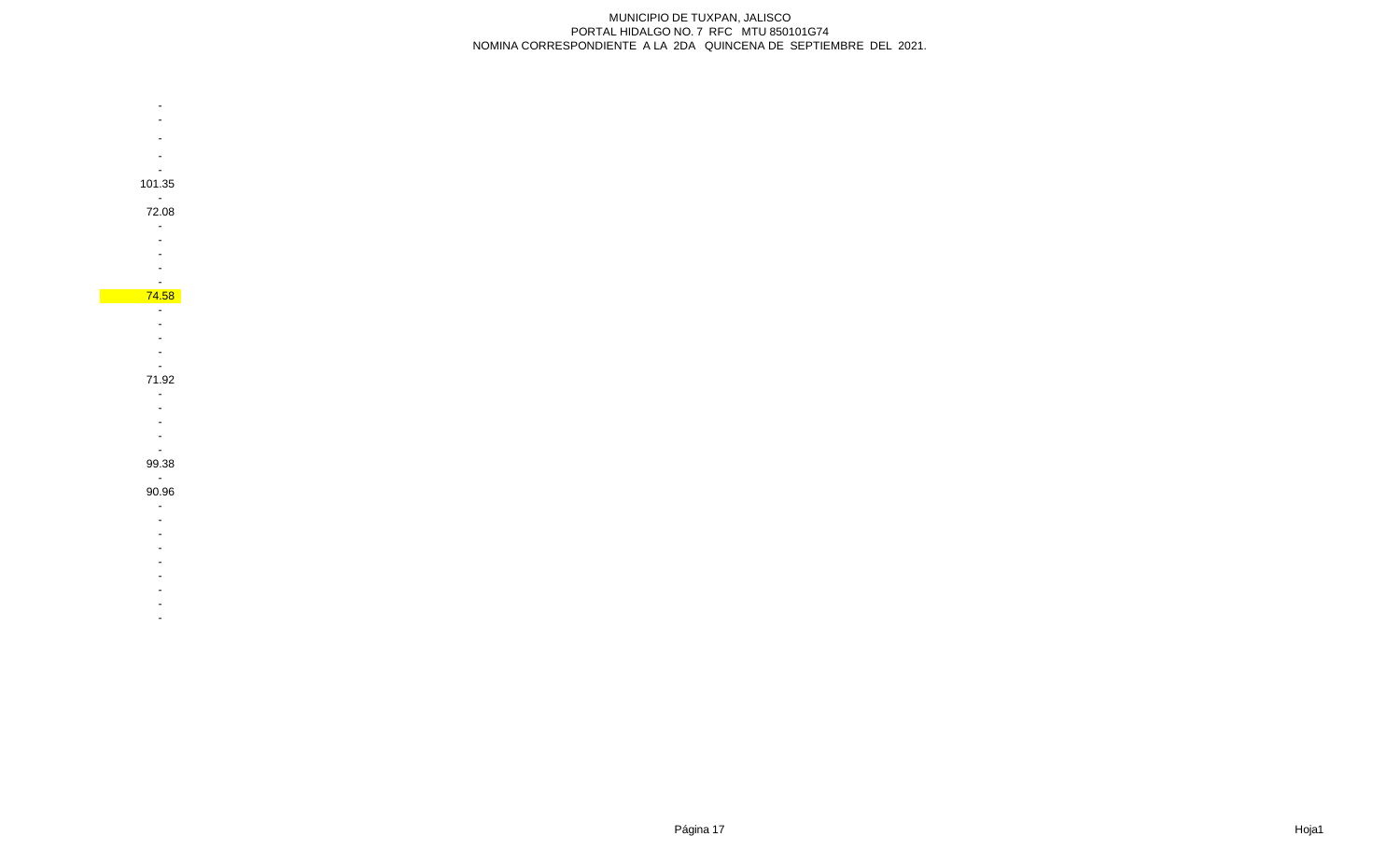- 
- 
- 
- -
- 
- 
- 1990 1991<br>1991 1992 1992
- -
- 
- 

# -

### - 100 pm 71.92

 - 99.38 - 90.96 -

- 1990 - 1991<br>1991 - 1992 - 1992 - 1990 - 1991<br>1991 - 1992 - 1992 - 1990 - 1991<br>1991 - 1992 - 1992 - 1990 - 1991<br>1991 - 1992 - 1992 - 1990 - 1991<br>1991 - 1992 - 1992 - 1990 - 1991<br>1991 - 1992 - 1992 - 100 pm - 100 pm

- 1990 - 1991<br>1991 - 1992 - 1992

-

- 
- -
- 
- 
- -
- -

### - 74.58 -

- 
- 
- 1990 1990 -
- - 100 pm
- 72.08
- -
- 101.35
- -
- 
- 1990 1991<br>1991 1992 1992 - 100 pm
-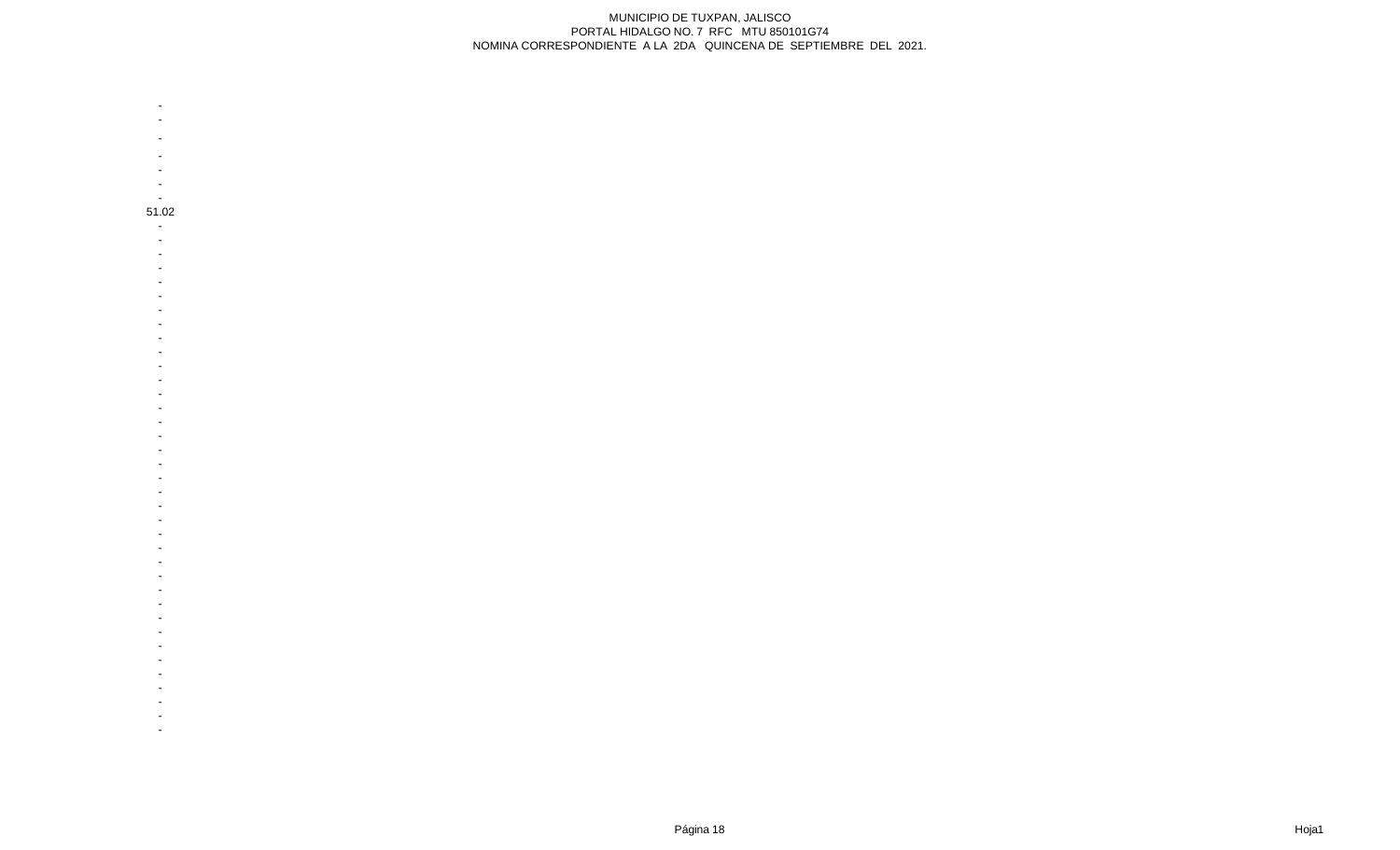### Página 18 Hoja1

- 1990 1991<br>1991 1992 1992 - 1990 - 1991<br>1991 - 1992 - 1992 - 1990 - 1991<br>1991 - 1992 - 1992
	-
- 
- 
- 
- 1990 1991<br>1991 1992 1992 - 1990 - 1991<br>1991 - 1992 - 1992
- 1990 1991<br>1991 1992 1992 - 1990 - 1991<br>1991 - 1992 - 1992 - 1990 - 1991<br>1991 - 1992 - 1992
- 100 pm - 1990 - 1990 -- 1990 - 1991<br>1991 - 1992 - 1992
- 1990 1991<br>1991 1992 1992 - 100 pm - 100 pm
- 1990 1991<br>1991 1992 1992 - 1990 - 1991<br>1991 - 1992 - 1992
- 1990 1991<br>1991 1992 1992 - 1990 - 1991<br>1991 - 1992 - 1992
- 100 pm - 100 pm - 1990 - 1990 -
- 1990 1991<br>1991 1992 1992 - 1990 - 1991<br>1991 - 1992 - 1992
- 1990 1991<br>1991 1992 1992 - 1990 - 1991<br>1991 - 1992 - 1992
- 1990 1990 -- 1990 - 1991<br>1991 - 1992 - 1992 - 1990 - 1991<br>1991 - 1992 - 1992

51.02

- 100 pm - 100 pm - 1990 - 1990 -

- 1990 - 1991<br>1991 - 1992 - 1992 - 1990 - 1990<br>1990 - 1990 - 1990 - 1990 - 1990 - 1990 - 1990 - 1990 - 1990 - 1990 - 1990 - 1990 - 1990 - 1990 - 1990 - 1990 - 1990 - 1990<br>1990 - 1990 - 1990 - 1990 - 1990 - 1990 - 1990 - 1990 - 1990 - 1990 - 1990 - 1990 - 1990 - 1990 - 1990 - 1990 - 1990 - 1990 - 1991<br>1991 - 1992 - 1992 - 1992 - 1992 - 1992 - 1992 - 1992 - 1992 - 1992 - 1992 - 1992 - 1992 - 1992 - 1992 - 1992<br>1992 - 1992 - 1992 - 1992 - 1992 - 1992 - 1992 - 1992 - 1992 - 1992 - 1992 - 1992 - 1992 -

- - 1990 - 1990 - 1991<br>1991 - 1992 - 1992 - 1992 - 1992 - 1992 - 1992 - 1992 - 1992 - 1992 - 1992 - 1992 - 1992 - 1992 - 1992 - 1992<br>1992 - 1992 - 1992 - 1992 - 1992 - 1992 - 1992 - 1992 - 1992 - 1992 - 1992 - 1992 - 1992 -
- -
- 1990 1990 1991<br>1991 1992 1992 1992 1992 1992 1992 1992 1992 1992 1992 1992 1992 1992 1992 1992<br>1992 1992 1992 1992 1992 1992 1992 1992 1992 1992 1992 1992 1992 - 1990 - 1990<br>1990 - 1990 - 1990 - 1990 - 1990 - 1990 - 1990 - 1990 - 1990 - 1990 - 1990 - 1990 - 1990 - 1990 - 1990 - 1990 - 1990 - 1990<br>1990 - 1990 - 1990 - 1990 - 1990 - 1990 - 1990 - 1990 - 1990 - 1990 - 1990 - 1990 - 1990 - 1990 - 1990 - 1990
- - 1990 - 1990<br>1990 - 1990 - 1990 - 1990 - 1990 - 1990 - 1990 - 1990 - 1990 - 1990 - 1990 - 1990 - 1990 - 1990 - 1990 - 1990
- MUNICIPIO DE TUXPAN, JALISCO PORTAL HIDALGO NO. 7 RFC MTU 850101G74 NOMINA CORRESPONDIENTE A LA 2DA QUINCENA DE SEPTIEMBRE DEL 2021.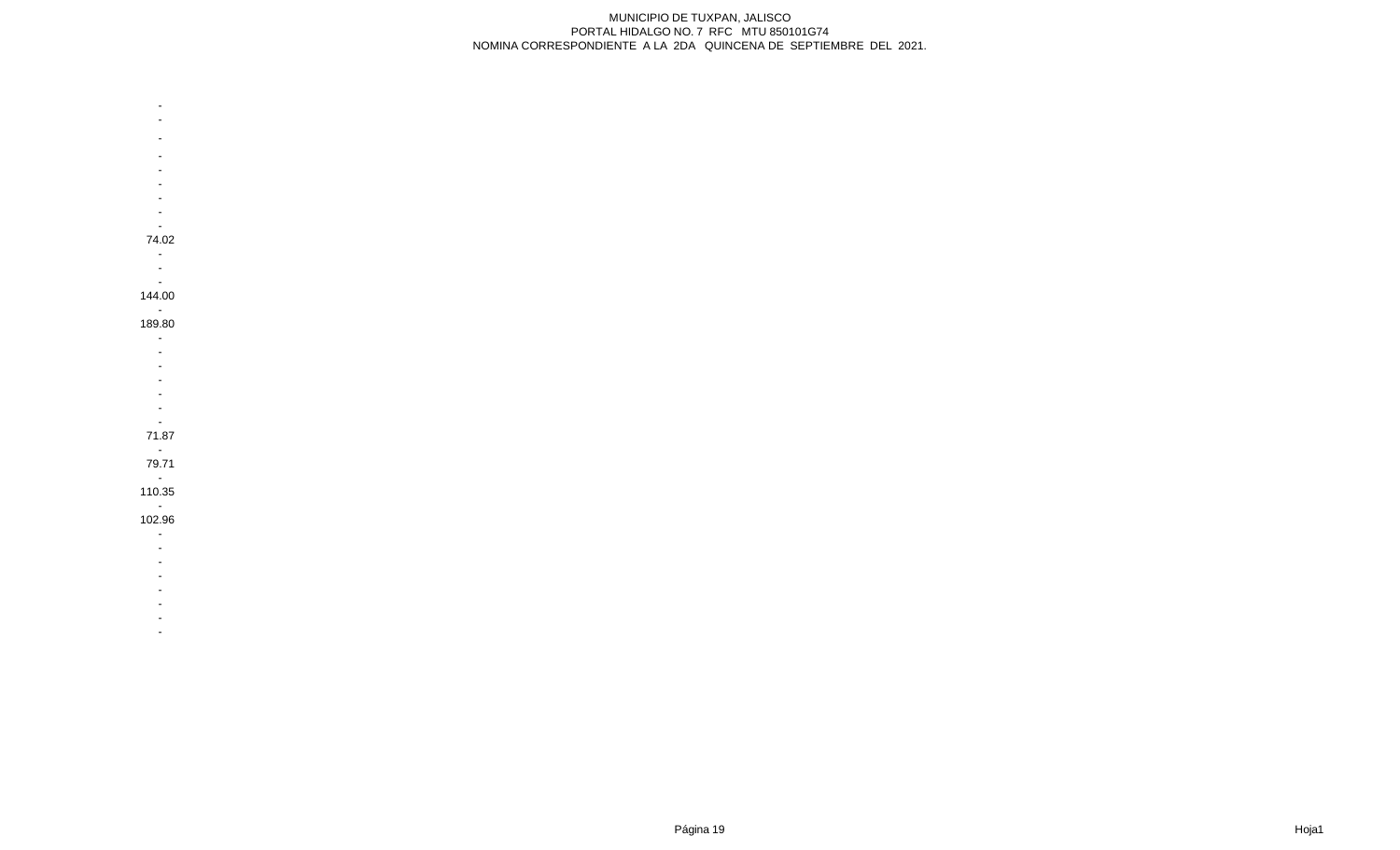### 71.87 -

### - -

# 189.80

# 74.02

### - -

# - 1990 - 1990<br>1990 - 1990 - 1990 - 1990 - 1990 - 1990 - 1990 - 1990 - 1990 - 1990 - 1990 - 1990 - 1990 - 1990 - 1990 - 1990

# - 1990 - 1990<br>1990 - 1990 - 1990 - 1990 - 1990 - 1990 - 1990 - 1990 - 1990 - 1990 - 1990 - 1990 - 1990 - 1990 - 1990 - 1990

# - 1990 - 1990<br>1990 - 1990 - 1990 - 1990 - 1990 - 1990 - 1990 - 1990 - 1990 - 1990 - 1990 - 1990 - 1990 - 1990 - 1990 - 1990

### - 1990 - 1990 - 1991<br>1991 - 1992 - 1992 - 1992 - 1992 - 1992 - 1992 - 1992 - 1992 - 1992 - 1992 - 1992 - 1992 - 1992 - 1992 - 1992<br>1992 - 1992 - 1992 - 1992 - 1992 - 1992 - 1992 - 1992 - 1992 - 1992 - 1992 - 1992 - 1992 - - 1990 - 1990<br>1990 - 1990 - 1990 - 1990 - 1990 - 1990 - 1990 - 1990 - 1990 - 1990 - 1990 - 1990 - 1990 - 1990 - 1990 - 1990

 - - - 144.00 -

> - -

 79.71 - 110.35 - 102.96 - -

> - -

- 1990 - 1991<br>1991 - 1992 - 1992

- 100 pm - 1990 - 1990 -- 1990 - 1991<br>1991 - 1992 - 1992

- 1990 - 1991<br>1991 - 1992 - 1992 - 1990 - 1991<br>1991 - 1992 - 1992 - 1990 - 1991<br>1991 - 1992 - 1992 - 100 pm

- 
- 
- 
- 
- 
- 
- 
- 
- 
- 
- 
- 
- 
- 
- 
- 
- 
- 
- 
- 
- 
- 
- 
- 
- 
- 
- 
- 
- 
- -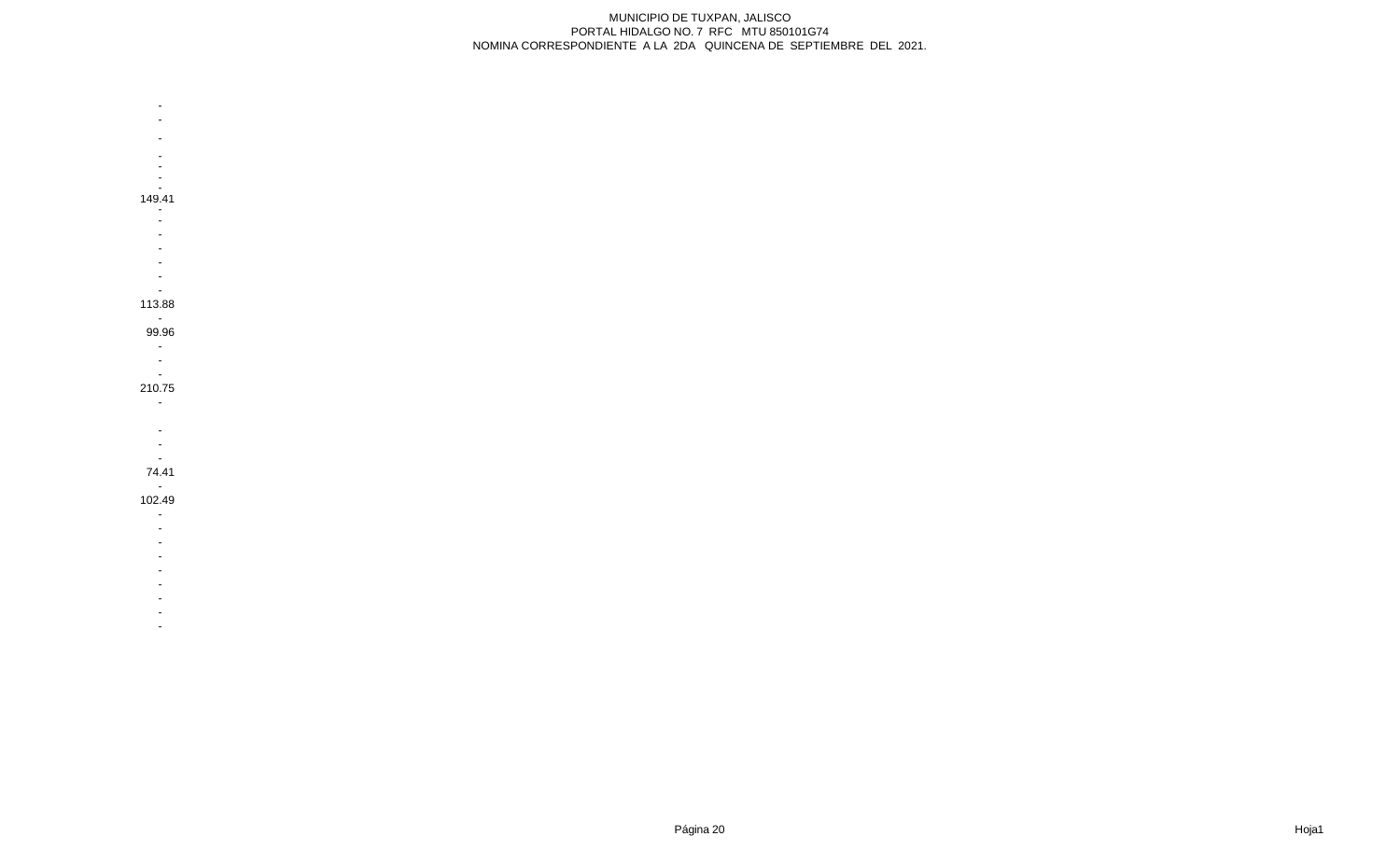### Página 20 **Hoja1 Andrea Andrea Andrea Andrea Andrea** Andrea Andrea Andrea Andrea Andrea Andrea Andrea Andrea Andr

### MUNICIPIO DE TUXPAN, JALISCO PORTAL HIDALGO NO. 7 RFC MTU 850101G74 NOMINA CORRESPONDIENTE A LA 2DA QUINCENA DE SEPTIEMBRE DEL 2021.

- 
- 

## 210.75

 - - - 74.41 - 102.49 - -

- 100 pm - 1990 - 1990 -- 1990 - 1990 -- 1990 - 1991<br>1991 - 1992 - 1992 - 1990 - 1991<br>1991 - 1992 - 1992 - 1990 - 1991<br>1991 - 1992 - 1992 - 1990 - 1991<br>1991 - 1992 - 1992

99.96

 - -

- 1990 - 1991<br>1991 - 1992 - 1992 - 1990 - 1991<br>1991 - 1992 - 1992

-

- 149.41

- 
- -
- 
- 
- 
- 
- 1990 1991<br>1991 1992 1992
- 
- 
- 100 pm

- 
- 
- 
- 1990 1991<br>1991 1992 1992
- 
- 
-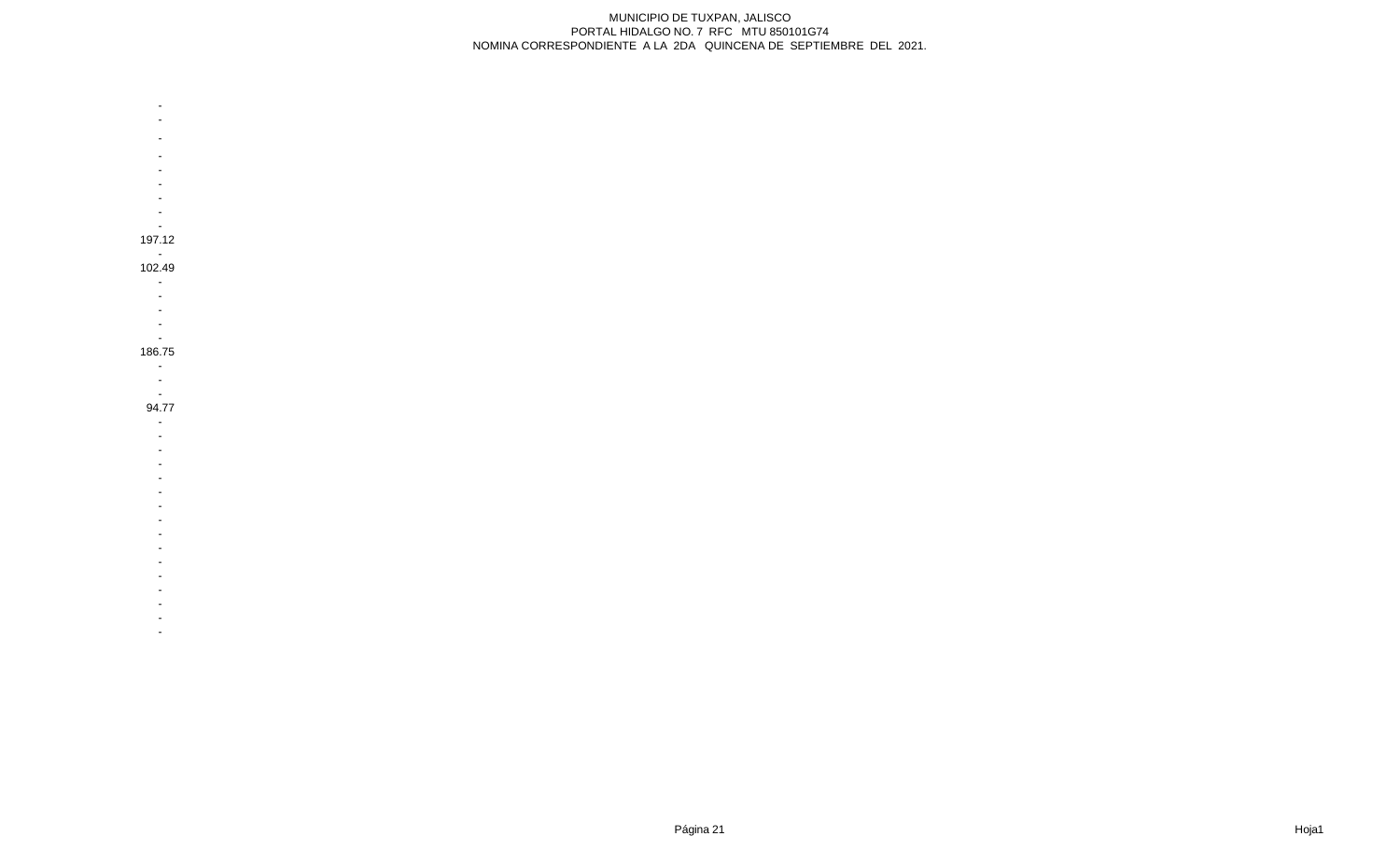## - 102.49 -

 - -

-

- 1990 - 1991<br>1991 - 1992 - 1992 - 100 pm - 1990 - 1991<br>1991 - 1992 - 1992

- 1990 - 1991<br>1991 - 1992 - 1992

- 1990 - 1991<br>1991 - 1992 - 1992

- 1990 - 1991<br>1991 - 1992 - 1992 - 100 pm - 100 pm - 100 pm - 1990 - 1990 -- 1990 - 1991<br>1991 - 1992 - 1992 - 1990 - 1991<br>1991 - 1992 - 1992 - 1990 - 1991<br>1991 - 1992 - 1992 - 1990 - 1991<br>1991 - 1992 - 1992 - 1990 - 1991<br>1991 - 1992 - 1992 - 1990 - 1991<br>1991 - 1992 - 1992 - 100 pm - 100 pm - 1990 - 1990 -

 - - - 186.75 - - - 94.77

-

- 
- 
- 
- 
- 
- 
- 
- 
- 
- 
- 
- 
- 1990 1991<br>1991 1992 1992
	-
- 
- - -
	-
	-
- 1990 1991<br>1991 1992 1992
	-
	-
	-
	-
	-
- 1990 1991<br>1991 1992 1992
	-
	-
	-
	-
	-
	-
	-
- -
	-
	- -
	-
	-
	-
- -
- 
- -
	-
	-
	-
	-
	-
	-
	-
	-
	-
	-
	-
	-
	- 197.12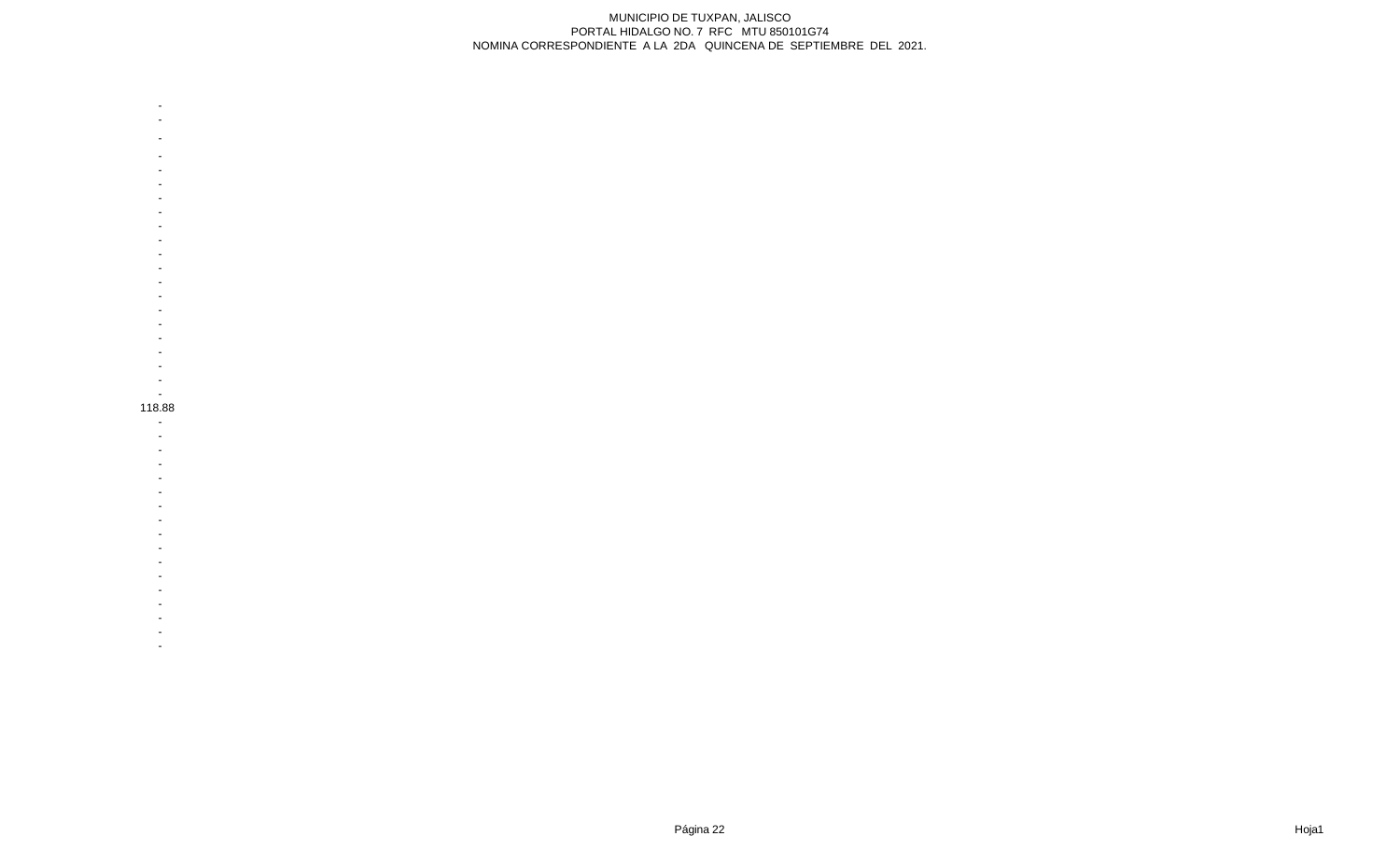### - 1990 - 1991<br>1991 - 1992 - 1992 118.88

- 1990 - 1991<br>1991 - 1992 - 1992 - 100 pm

- 1990 - 1991<br>1991 - 1992 - 1992

- 1990 - 1991<br>1991 - 1992 - 1992 - 1990 - 1991<br>1991 - 1992 - 1992 - 100 pm - 1990 - 1991<br>1991 - 1992 - 1992 - 1990 - 1991<br>1991 - 1992 - 1992 - 1990 - 1991<br>1991 - 1992 - 1992 - 1990 - 1991<br>1991 - 1992 - 1992 - 100 pm - 100 pm - 100 pm - 1990 - 1990 -- 1990 - 1991<br>1991 - 1992 - 1992 - 1990 - 1991<br>1991 - 1992 - 1992 - 1990 - 1991<br>1991 - 1992 - 1992 - 1990 - 1991<br>1991 - 1992 - 1992 - 1990 - 1991<br>1991 - 1992 - 1992 - 1990 - 1991<br>1991 - 1992 - 1992 - 100 pm - 100 pm - 1990 - 1990 -

## - 1990 - 1990<br>1990 - 1990 - 1990 - 1990 - 1990 - 1990 - 1990 - 1990 - 1990 - 1990 - 1990 - 1990 - 1990 - 1990 - 1990 - 1990

# - 1990 - 1990<br>1990 - 1990 - 1990 - 1990 - 1990 - 1990 - 1990 - 1990 - 1990 - 1990 - 1990 - 1990 - 1990 - 1990 - 1990 - 1990

# - 1990 - 1990 - 1991<br>1991 - 1992 - 1992 - 1992 - 1992 - 1992 - 1992 - 1992 - 1992 - 1992 - 1992 - 1992 - 1992 - 1992 - 1992 - 1992<br>1992 - 1992 - 1992 - 1992 - 1992 - 1992 - 1992 - 1992 - 1992 - 1992 - 1992 - 1992 - 1992 -

### - 1990 - 1990 - 1991<br>1991 - 1992 - 1992 - 1992 - 1992 - 1992 - 1992 - 1992 - 1992 - 1992 - 1992 - 1992 - 1992 - 1992 - 1992 - 1992<br>1992 - 1992 - 1992 - 1992 - 1992 - 1992 - 1992 - 1992 - 1992 - 1992 - 1992 - 1992 - 1992 - - 1990 - 1990 -

- 1990 - 1990<br>1990 - 1990 - 1990 - 1990 - 1990 - 1990 - 1990 - 1990 - 1990 - 1990 - 1990 - 1990 - 1990 - 1990 - 1990 - 1990

# - 1990 - 1990<br>1990 - 1990 - 1990 - 1990 - 1990 - 1990 - 1990 - 1990 - 1990 - 1990 - 1990 - 1990 - 1990 - 1990 - 1990 - 1990

- 1990 - 1990<br>1990 - 1990 - 1990 - 1990 - 1990 - 1990 - 1990 - 1990 - 1990 - 1990 - 1990 - 1990 - 1990 - 1990 - 1990 - 1990

- 1990 - 1990<br>1990 - 1990 - 1990 - 1990 - 1990 - 1990 - 1990 - 1990 - 1990 - 1990 - 1990 - 1990 - 1990 - 1990 - 1990 - 1990

- 1990 - 1990<br>1990 - 1990 - 1990 - 1990 - 1990 - 1990 - 1990 - 1990 - 1990 - 1990 - 1990 - 1990 - 1990 - 1990 - 1990 - 1990

- 1990 - 1990 - 1991<br>1991 - 1992 - 1992 - 1992 - 1992 - 1992 - 1992 - 1992 - 1992 - 1992 - 1992 - 1992 - 1992 - 1992 - 1992 - 1992<br>1992 - 1992 - 1992 - 1992 - 1992 - 1992 - 1992 - 1992 - 1992 - 1992 - 1992 - 1992 - 1992 -

- 1990 - 1990 - 1991<br>1991 - 1992 - 1992 - 1992 - 1992 - 1992 - 1992 - 1992 - 1992 - 1992 - 1992 - 1992 - 1992 - 1992 - 1992 - 1992<br>1992 - 1992 - 1992 - 1992 - 1992 - 1992 - 1992 - 1992 - 1992 - 1992 - 1992 - 1992 - 1992 -

- 1990 - 1990 -- 1990 - 1990<br>1990 - 1990 - 1990 - 1990 - 1990 - 1990 - 1990 - 1990 - 1990 - 1990 - 1990 - 1990 - 1990 - 1990 - 1990 - 1990

Página 22 horachadh ann an t-Iomraid ann an t-Iomraid ann an t-Iomraid ann an t-Iomraid ann an t-Iomraid ann an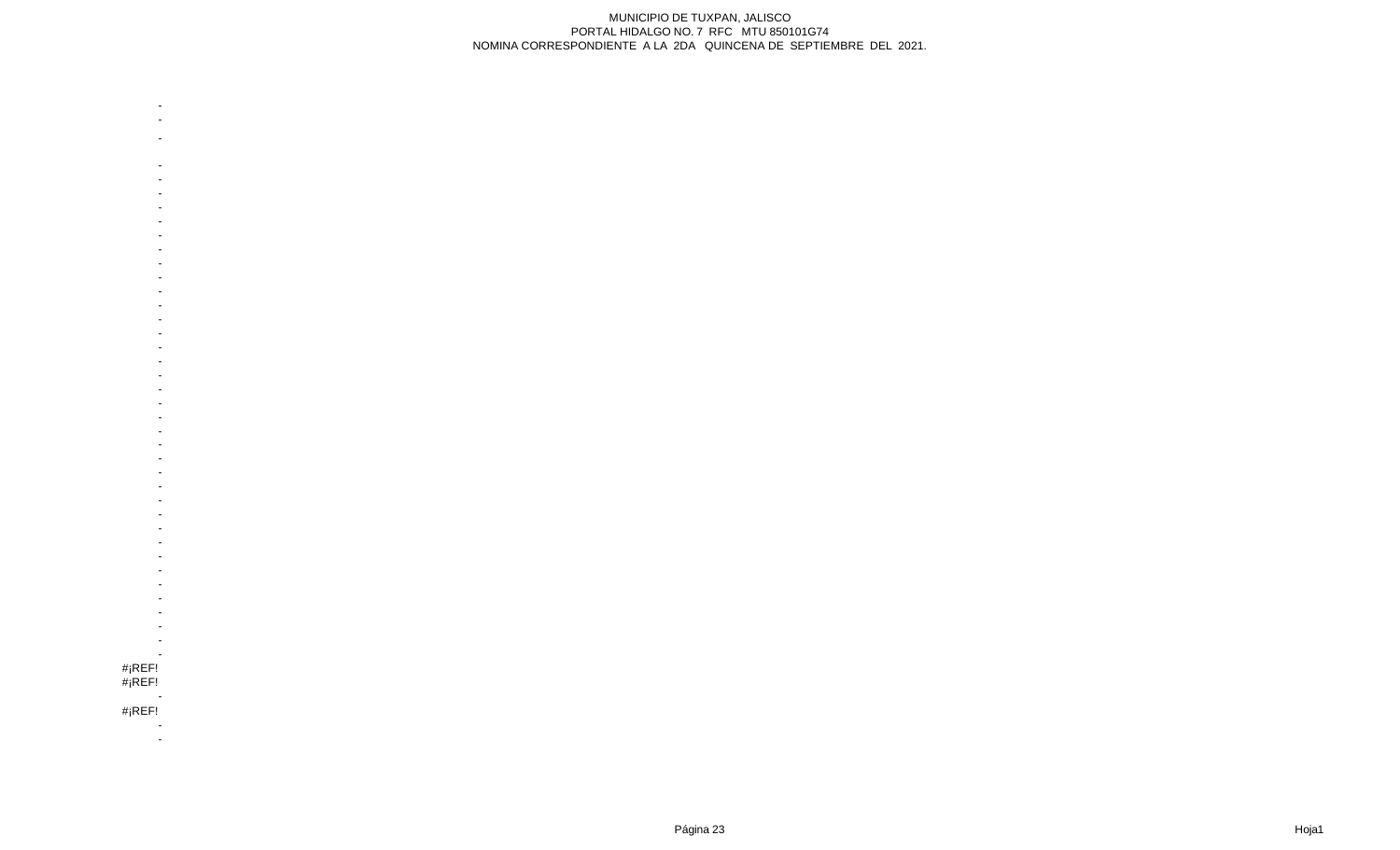### - 1990 - 1990<br>1990 - 1990 - 1990 - 1990 - 1990 - 1990 - 1990 - 1990 - 1990 - 1990 - 1990 - 1990 - 1990 - 1990 - 1990 - 1990 #¡REF! #¡REF!

### -

-

- 1990 - 1990<br>1990 - 1990 - 1990 - 1990 - 1990 - 1990 - 1990 - 1990 - 1990 - 1990 - 1990 - 1990 - 1990 - 1990 - 1990 - 1990 - 1990 - 1990 - 1991<br>1991 - 1992 - 1992 - 1992 - 1992 - 1992 - 1992 - 1992 - 1992 - 1992 - 1992 - 1992 - 1992 - 1992 - 1992 - 1992<br>1992 - 1992 - 1992 - 1992 - 1992 - 1992 - 1992 - 1992 - 1992 - 1992 - 1992 - 1992 - 1992 - - 1990 - 1990<br>1990 - 1990 - 1990 - 1990 - 1990 - 1990 - 1990 - 1990 - 1990 - 1990 - 1990 - 1990 - 1990 - 1990 - 1990 - 1990 - 1990 - 1990<br>1990 - 1990 - 1990 - 1990 - 1990 - 1990 - 1990 - 1990 - 1990 - 1990 - 1990 - 1990 - 1990 - 1990 - 1990 - 1990 - 1990 - 1990<br>1990 - 1990 - 1990 - 1990 - 1990 - 1990 - 1990 - 1990 - 1990 - 1990 - 1990 - 1990 - 1990 - 1990 - 1990 - 1990 - 1990 - 1990 - 1991<br>1991 - 1992 - 1992 - 1992 - 1992 - 1992 - 1992 - 1992 - 1992 - 1992 - 1992 - 1992 - 1992 - 1992 - 1992 - 1992<br>1992 - 1992 - 1992 - 1992 - 1992 - 1992 - 1992 - 1992 - 1992 - 1992 - 1992 - 1992 - 1992 - - 1990 - 1990 - 1991<br>1991 - 1992 - 1992 - 1992 - 1992 - 1992 - 1992 - 1992 - 1992 - 1992 - 1992 - 1992 - 1992 - 1992 - 1992 - 1992<br>1992 - 1992 - 1992 - 1992 - 1992 - 1992 - 1992 - 1992 - 1992 - 1992 - 1992 - 1992 - 1992 - - 1990 - 1990 -- 1990 - 1990 -- 1990 - 1990<br>1990 - 1990 - 1990 - 1990 - 1990 - 1990 - 1990 - 1990 - 1990 - 1990 - 1990 - 1990 - 1990 - 1990 - 1990 - 1990 - 1990 - 1990<br>1990 - 1990 - 1990 - 1990 - 1990 - 1990 - 1990 - 1990 - 1990 - 1990 - 1990 - 1990 - 1990 - 1990 - 1990 - 1990 - 1990 - 1990<br>1990 - 1990 - 1990 - 1990 - 1990 - 1990 - 1990 - 1990 - 1990 - 1990 - 1990 - 1990 - 1990 - 1990 - 1990 - 1990 - 1990 - 1990<br>1990 - 1990 - 1990 - 1990 - 1990 - 1990 - 1990 - 1990 - 1990 - 1990 - 1990 - 1990 - 1990 - 1990 - 1990 - 1990 - 1990 - 1990<br>1990 - 1990 - 1990 - 1990 - 1990 - 1990 - 1990 - 1990 - 1990 - 1990 - 1990 - 1990 - 1990 - 1990 - 1990 - 1990 - 1990 - 1990<br>1990 - 1990 - 1990 - 1990 - 1990 - 1990 - 1990 - 1990 - 1990 - 1990 - 1990 - 1990 - 1990 - 1990 - 1990 - 1990 - 1990 - 1990 - 1991<br>1991 - 1992 - 1992 - 1992 - 1992 - 1992 - 1992 - 1992 - 1992 - 1992 - 1992 - 1992 - 1992 - 1992 - 1992 - 1992<br>1992 - 1992 - 1992 - 1992 - 1992 - 1992 - 1992 - 1992 - 1992 - 1992 - 1992 - 1992 - 1992 - - 1990 - 1990 - 1991<br>1991 - 1992 - 1992 - 1992 - 1992 - 1992 - 1992 - 1992 - 1992 - 1992 - 1992 - 1992 - 1992 - 1992 - 1992 - 1992<br>1992 - 1992 - 1992 - 1992 - 1992 - 1992 - 1992 - 1992 - 1992 - 1992 - 1992 - 1992 - 1992 - - 1990 - 1990 -- 1990 - 1990<br>1990 - 1990 - 1990 - 1990 - 1990 - 1990 - 1990 - 1990 - 1990 - 1990 - 1990 - 1990 - 1990 - 1990 - 1990 - 1990 - 1990 - 1990<br>1990 - 1990 - 1990 - 1990 - 1990 - 1990 - 1990 - 1990 - 1990 - 1990 - 1990 - 1990 - 1990 - 1990 - 1990 - 1990 - 1990 - 1990<br>1990 - 1990 - 1990 - 1990 - 1990 - 1990 - 1990 - 1990 - 1990 - 1990 - 1990 - 1990 - 1990 - 1990 - 1990 - 1990 - 1990 - 1990<br>1990 - 1990 - 1990 - 1990 - 1990 - 1990 - 1990 - 1990 - 1990 - 1990 - 1990 - 1990 - 1990 - 1990 - 1990 - 1990 - 1990 - 1990 - 1991<br>1991 - 1992 - 1992 - 1992 - 1992 - 1992 - 1992 - 1992 - 1992 - 1992 - 1992 - 1992 - 1992 - 1992 - 1992 - 1992<br>1992 - 1992 - 1992 - 1992 - 1992 - 1992 - 1992 - 1992 - 1992 - 1992 - 1992 - 1992 - 1992 - - 1990 - 1990 -- 1990 - 1990 -- 1990 - 1990<br>1990 - 1990 - 1990 - 1990 - 1990 - 1990 - 1990 - 1990 - 1990 - 1990 - 1990 - 1990 - 1990 - 1990 - 1990 - 1990 - 1990 - 1990<br>1990 - 1990 - 1990 - 1990 - 1990 - 1990 - 1990 - 1990 - 1990 - 1990 - 1990 - 1990 - 1990 - 1990 - 1990 - 1990 - 1990 - 1990<br>1990 - 1990 - 1990 - 1990 - 1990 - 1990 - 1990 - 1990 - 1990 - 1990 - 1990 - 1990 - 1990 - 1990 - 1990 - 1990 - 1990 - 1990<br>1990 - 1990 - 1990 - 1990 - 1990 - 1990 - 1990 - 1990 - 1990 - 1990 - 1990 - 1990 - 1990 - 1990 - 1990 - 1990 - 1990 - 1990<br>1990 - 1990 - 1990 - 1990 - 1990 - 1990 - 1990 - 1990 - 1990 - 1990 - 1990 - 1990 - 1990 - 1990 - 1990 - 1990 - 1990 - 1990 - 1991<br>1991 - 1992 - 1992 - 1992 - 1992 - 1992 - 1992 - 1992 - 1992 - 1992 - 1992 - 1992 - 1992 - 1992 - 1992 - 1992<br>1992 - 1992 - 1992 - 1992 - 1992 - 1992 - 1992 - 1992 - 1992 - 1992 - 1992 - 1992 - 1992 - - 1990 - 1990 - 1991<br>1991 - 1992 - 1992 - 1992 - 1992 - 1992 - 1992 - 1992 - 1992 - 1992 - 1992 - 1992 - 1992 - 1992 - 1992 - 1992<br>1992 - 1992 - 1992 - 1992 - 1992 - 1992 - 1992 - 1992 - 1992 - 1992 - 1992 - 1992 - 1992 - - 1990 - 1990 - 1991<br>1991 - 1992 - 1992 - 1992 - 1992 - 1992 - 1992 - 1992 - 1992 - 1992 - 1992 - 1992 - 1992 - 1992 - 1992 - 1992<br>1992 - 1992 - 1992 - 1992 - 1992 - 1992 - 1992 - 1992 - 1992 - 1992 - 1992 - 1992 - 1992 - - 1990 - 1990 -- 1990 - 1990<br>1990 - 1990 - 1990 - 1990 - 1990 - 1990 - 1990 - 1990 - 1990 - 1990 - 1990 - 1990 - 1990 - 1990 - 1990 - 1990 - 1990 - 1991<br>1991 - 1992 - 1992 - 1990 - 1991<br>1991 - 1992 - 1992

### $#$ ¡REF!

- -
- -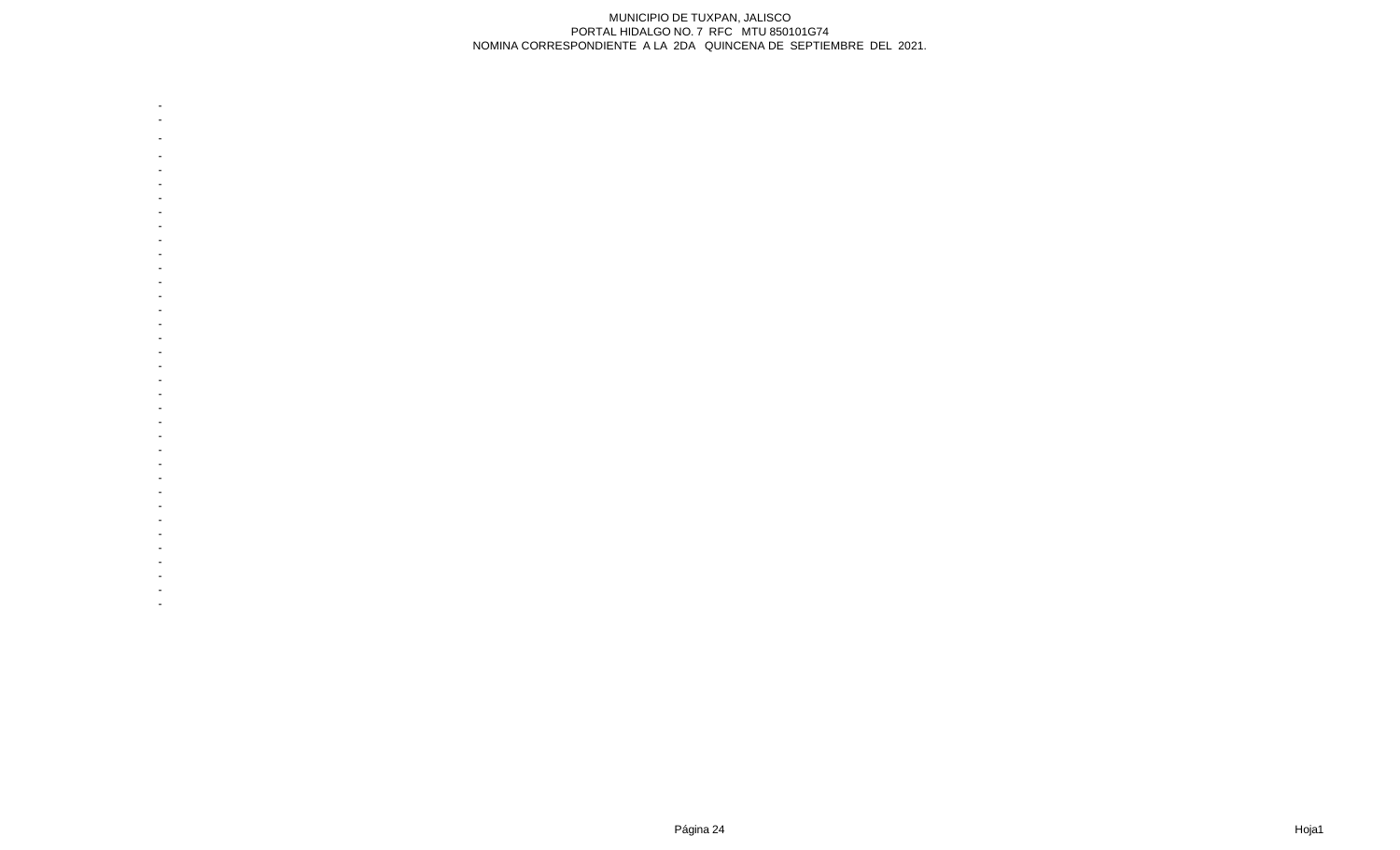- 1990 - 1991<br>1991 - 1992 - 1992 - 1990 - 1991<br>1991 - 1992 - 1992 - 100 pm - 1990 - 1991<br>1991 - 1992 - 1992 - 1990 - 1991<br>1991 - 1992 - 1992 - 1990 - 1991<br>1991 - 1992 - 1992 - 1990 - 1991<br>1991 - 1992 - 1992 - 100 pm - 100 pm - 100 pm - 1990 - 1990 -- 1990 - 1991<br>1991 - 1992 - 1992 - 1990 - 1991<br>1991 - 1992 - 1992 - 1990 - 1991<br>1991 - 1992 - 1992 - 1990 - 1991<br>1991 - 1992 - 1992 - 1990 - 1991<br>1991 - 1992 - 1992 - 1990 - 1990<br>1991 - 1991 - 1992 - 1990 - 1990 - 1990<br>1990 - 1990 - 1990 - 1990 - 1990 - 1990 - 1990 - 1990 - 1990 - 1990 - 1990 - 1990 - 1990 - 1990 - 1990 - 1990 - 1990 - 1990 - 1990<br>1990 - 1990 - 1990 - 1990 - 1990 - 1990 - 1990 - 1990 - 1990 - 1990 - 1990 - 1990 - 1990 - 1990 - 1990 - 1990 - 1990 - 1990 -- 1990 - 1990<br>1991 - 1991 - 1992 - 1990 - 1990<br>1991 - 1991 - 1992 - 1990 - 1990<br>1991 - 1991 - 1992 - 1990 - 1990<br>1991 - 1991 - 1992 - 1990 - 1990<br>1991 - 1991 - 1992 - 1990 - 1990 - 1990<br>1990 - 1990 - 1990 - 1990 - 1990 - 1990 - 1990 - 1990 - 1990 - 1990 - 1990 - 1990 - 1990 - 1990 - 1990 - 1990 - 1990 - 1990 - 1990<br>1990 - 1990 - 1990 - 1990 - 1990 - 1990 - 1990 - 1990 - 1990 - 1990 - 1990 - 1990 - 1990 - 1990 - 1990 - 1990 - 1990 - 1990 - 1990<br>1990 - 1990 - 1990 - 1990 - 1990 - 1990 - 1990 - 1990 - 1990 - 1990 - 1990 - 1990 - 1990 - 1990 - 1990 - 1990 - 1990 - 1990 -- 1990 - 1990<br>1991 - 1991 - 1992 - 1990 - 1990<br>1991 - 1991 - 1992 - 1990 - 1990<br>1991 - 1991 - 1992 - 1990 - 1990<br>1991 - 1991 - 1992 - 1990 - 1990<br>1991 - 1991 - 1992 - 1990 - 1990<br>1991 - 1991 - 1992 - 1990 - 1990 - 1990<br>1990 - 1990 - 1990 - 1990 - 1990 - 1990 - 1990 - 1990 - 1990 - 1990 - 1990 - 1990 - 1990 - 1990 - 1990 - 1990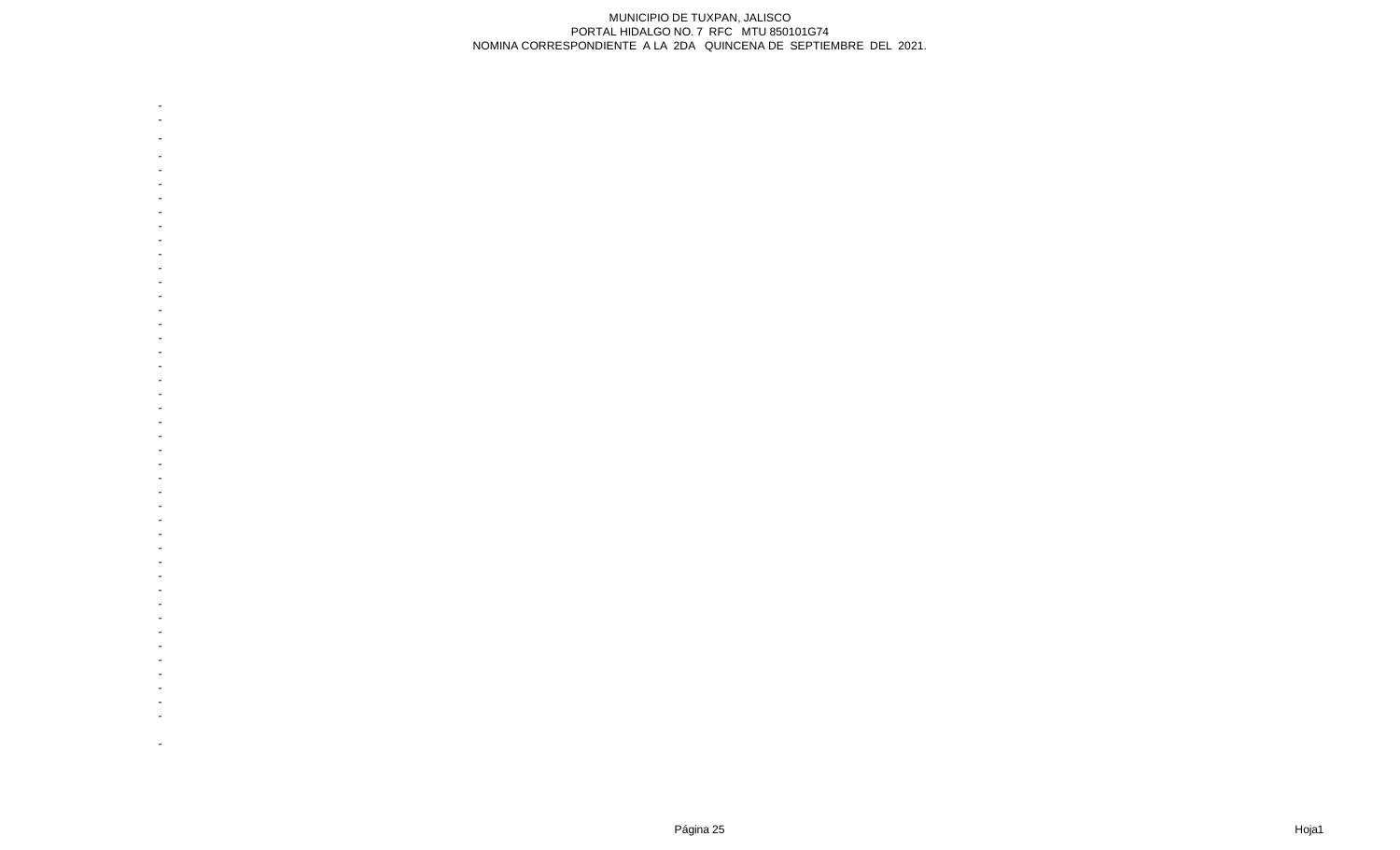- 1990 - 1990<br>1991 - 1991 - 1992 - 1990 - 1990<br>1991 - 1991 - 1992 - 1990 - 1990 - 1990<br>1990 - 1990 - 1990 - 1990 - 1990 - 1990 - 1990 - 1990 - 1990 - 1990 - 1990 - 1990 - 1990 - 1990 - 1990 - 1990 - 1990 - 1990<br>1991 - 1991 - 1992 - 1990 - 1990<br>1991 - 1991 - 1992 - 1990 - 1990<br>1991 - 1991 - 1992 - 1990 - 1990<br>1991 - 1991 - 1992 - 1990 - 1990 - 1990<br>1990 - 1990 - 1990 - 1990 - 1990 - 1990 - 1990 - 1990 - 1990 - 1990 - 1990 - 1990 - 1990 - 1990 - 1990 - 1990 - 1990 - 1990 - 1991<br>1991 - 1992 - 1992 - 1992 - 1992 - 1992 - 1992 - 1992 - 1992 - 1992 - 1992 - 1992 - 1992 - 1992 - 1992 - 1992<br>1992 - 1992 - 1992 - 1992 - 1992 - 1992 - 1992 - 1992 - 1992 - 1992 - 1992 - 1992 - 1992 - - 1990 - 1990 - 1991<br>1991 - 1992 - 1992 - 1992 - 1992 - 1992 - 1992 - 1992 - 1992 - 1992 - 1992 - 1992 - 1992 - 1992 - 1992 - 1992<br>1992 - 1992 - 1992 - 1992 - 1992 - 1992 - 1992 - 1992 - 1992 - 1992 - 1992 - 1992 - 1992 - - 1990 - 1990 -- 1990 - 1990<br>1990 - 1990 - 1990 - 1990 - 1990 - 1990 - 1990 - 1990 - 1990 - 1990 - 1990 - 1990 - 1990 - 1990 - 1990 - 1990 - 1990 - 1990<br>1990 - 1990 - 1990 - 1990 - 1990 - 1990 - 1990 - 1990 - 1990 - 1990 - 1990 - 1990 - 1990 - 1990 - 1990 - 1990 - 1990 - 1990<br>1990 - 1990 - 1990 - 1990 - 1990 - 1990 - 1990 - 1990 - 1990 - 1990 - 1990 - 1990 - 1990 - 1990 - 1990 - 1990 - 1990 - 1990<br>1990 - 1990 - 1990 - 1990 - 1990 - 1990 - 1990 - 1990 - 1990 - 1990 - 1990 - 1990 - 1990 - 1990 - 1990 - 1990 - 1990 - 1990<br>1990 - 1990 - 1990 - 1990 - 1990 - 1990 - 1990 - 1990 - 1990 - 1990 - 1990 - 1990 - 1990 - 1990 - 1990 - 1990 - 1990 - 1990<br>1990 - 1990 - 1990 - 1990 - 1990 - 1990 - 1990 - 1990 - 1990 - 1990 - 1990 - 1990 - 1990 - 1990 - 1990 - 1990 - 1990 - 1990 - 1991<br>1991 - 1992 - 1992 - 1992 - 1992 - 1992 - 1992 - 1992 - 1992 - 1992 - 1992 - 1992 - 1992 - 1992 - 1992 - 1992<br>1992 - 1992 - 1992 - 1992 - 1992 - 1992 - 1992 - 1992 - 1992 - 1992 - 1992 - 1992 - 1992 - - 1990 - 1990 - 1991<br>1991 - 1992 - 1992 - 1992 - 1992 - 1992 - 1992 - 1992 - 1992 - 1992 - 1992 - 1992 - 1992 - 1992 - 1992 - 1992<br>1992 - 1992 - 1992 - 1992 - 1992 - 1992 - 1992 - 1992 - 1992 - 1992 - 1992 - 1992 - 1992 - - 1990 - 1990 -- 1990 - 1990<br>1990 - 1990 - 1990 - 1990 - 1990 - 1990 - 1990 - 1990 - 1990 - 1990 - 1990 - 1990 - 1990 - 1990 - 1990 - 1990 - 1990 - 1991<br>1991 - 1992 - 1992 - 1990 - 1991<br>1991 - 1992 - 1992 - 1990 - 1991<br>1991 - 1992 - 1992 - 1990 - 1991<br>1991 - 1992 - 1992 - 100 pm - 100 pm - 100 pm - 1990 - 1990 -- 1990 - 1991<br>1991 - 1992 - 1992 - 1990 - 1991<br>1991 - 1992 - 1992 - 1990 - 1991<br>1991 - 1992 - 1992 - 1990 - 1991<br>1991 - 1992 - 1992 - 1990 - 1991<br>1991 - 1992 - 1992 - 1990 - 1991<br>1991 - 1992 - 1992 - 1990 - 1990 - 1991<br>1991 - 1992 - 1992 - 1992 - 1992 - 1992 - 1992 - 1992 - 1992 - 1992 - 1992 - 1992 - 1992 - 1992 - 1992 - 1992<br>1992 - 1992 - 1992 - 1992 - 1992 - 1992 - 1992 - 1992 - 1992 - 1992 - 1992 - 1992 - 1992 - - 1990 - 1990 - 1991<br>1991 - 1992 - 1992 - 1992 - 1992 - 1992 - 1992 - 1992 - 1992 - 1992 - 1992 - 1992 - 1992 - 1992 - 1992 - 1992<br>1992 - 1992 - 1992 - 1992 - 1992 - 1992 - 1992 - 1992 - 1992 - 1992 - 1992 - 1992 - 1992 - - 1990 - 1990 -- 1990 - 1990<br>1990 - 1990 - 1990 - 1990 - 1990 - 1990 - 1990 - 1990 - 1990 - 1990 - 1990 - 1990 - 1990 - 1990 - 1990 - 1990 - 1990 - 1990<br>1990 - 1990 - 1990 - 1990 - 1990 - 1990 - 1990 - 1990 - 1990 - 1990 - 1990 - 1990 - 1990 - 1990 - 1990 - 1990 - 1990 - 1990<br>1990 - 1990 - 1990 - 1990 - 1990 - 1990 - 1990 - 1990 - 1990 - 1990 - 1990 - 1990 - 1990 - 1990 - 1990 - 1990 - 1990 - 1990<br>1990 - 1990 - 1990 - 1990 - 1990 - 1990 - 1990 - 1990 - 1990 - 1990 - 1990 - 1990 - 1990 - 1990 - 1990 - 1990 - 1990 - 1990<br>1990 - 1990 - 1990 - 1990 - 1990 - 1990 - 1990 - 1990 - 1990 - 1990 - 1990 - 1990 - 1990 - 1990 - 1990 - 1990 - 1990 - 1990<br>1990 - 1990 - 1990 - 1990 - 1990 - 1990 - 1990 - 1990 - 1990 - 1990 - 1990 - 1990 - 1990 - 1990 - 1990 - 1990

-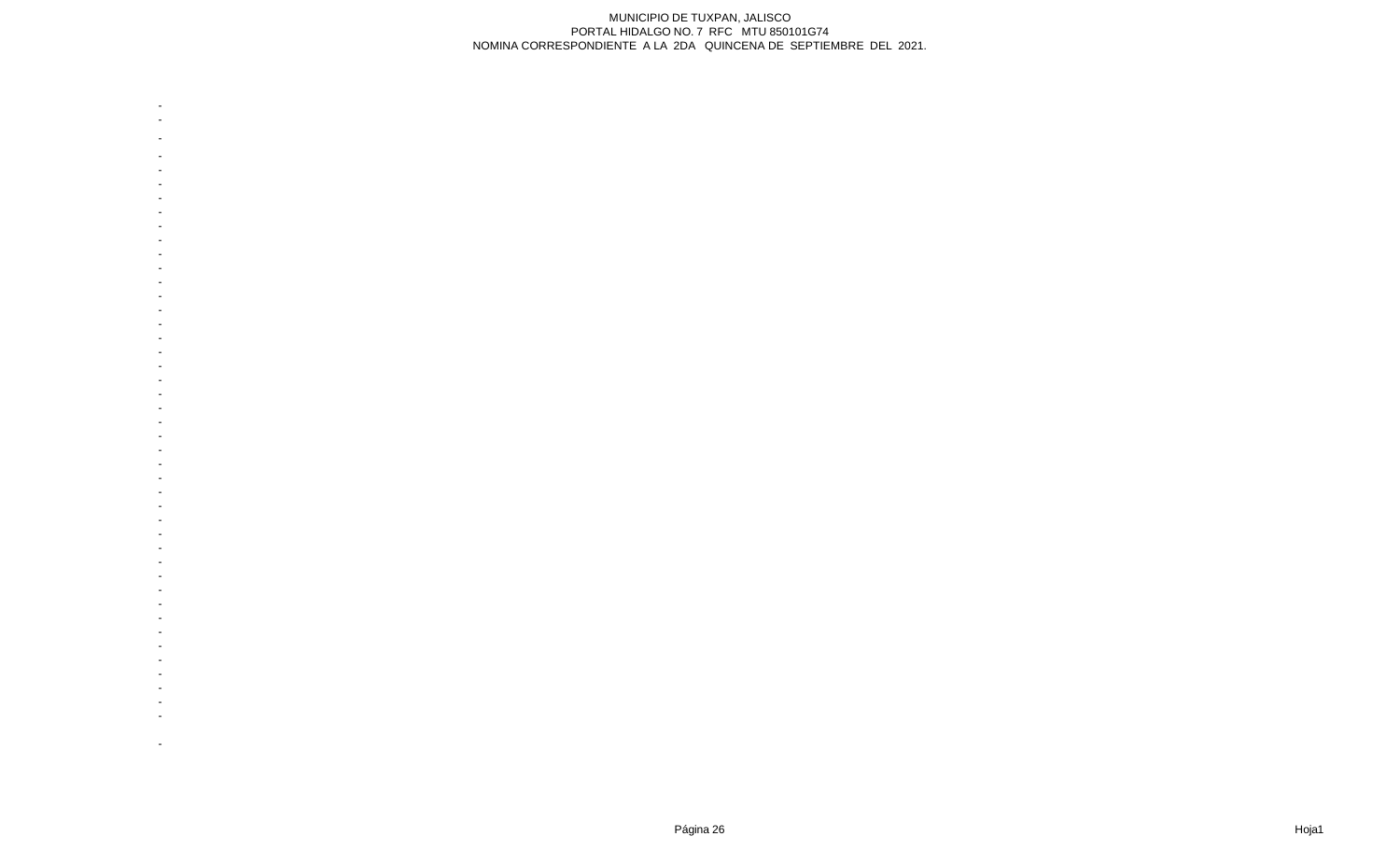- 1990 - 1990<br>1990 - 1990 - 1990 - 1990 - 1990 - 1990 - 1990 - 1990 - 1990 - 1990 - 1990 - 1990 - 1990 - 1990 - 1990 - 1990 - 1990 - 1990<br>1990 - 1990 - 1990 - 1990 - 1990 - 1990 - 1990 - 1990 - 1990 - 1990 - 1990 - 1990 - 1990 - 1990 - 1990 - 1990 - 1990 - 1990 - 1991<br>1991 - 1992 - 1992 - 1992 - 1992 - 1992 - 1992 - 1992 - 1992 - 1992 - 1992 - 1992 - 1992 - 1992 - 1992 - 1992<br>1992 - 1992 - 1992 - 1992 - 1992 - 1992 - 1992 - 1992 - 1992 - 1992 - 1992 - 1992 - 1992 - - 1990 - 1990<br>1990 - 1990 - 1990 - 1990 - 1990 - 1990 - 1990 - 1990 - 1990 - 1990 - 1990 - 1990 - 1990 - 1990 - 1990 - 1990 - 1990 - 1990<br>1990 - 1990 - 1990 - 1990 - 1990 - 1990 - 1990 - 1990 - 1990 - 1990 - 1990 - 1990 - 1990 - 1990 - 1990 - 1990 - 1990 - 1990<br>1990 - 1990 - 1990 - 1990 - 1990 - 1990 - 1990 - 1990 - 1990 - 1990 - 1990 - 1990 - 1990 - 1990 - 1990 - 1990 - 1990 - 1990<br>1990 - 1990 - 1990 - 1990 - 1990 - 1990 - 1990 - 1990 - 1990 - 1990 - 1990 - 1990 - 1990 - 1990 - 1990 - 1990 - 1990 - 1990 - 1991<br>1991 - 1992 - 1992 - 1992 - 1992 - 1992 - 1992 - 1992 - 1992 - 1992 - 1992 - 1992 - 1992 - 1992 - 1992 - 1992<br>1992 - 1992 - 1992 - 1992 - 1992 - 1992 - 1992 - 1992 - 1992 - 1992 - 1992 - 1992 - 1992 - - 1990 - 1990 - 1991<br>1991 - 1992 - 1992 - 1992 - 1992 - 1992 - 1992 - 1992 - 1992 - 1992 - 1992 - 1992 - 1992 - 1992 - 1992 - 1992<br>1992 - 1992 - 1992 - 1992 - 1992 - 1992 - 1992 - 1992 - 1992 - 1992 - 1992 - 1992 - 1992 - - 1990 - 1990 - 1991<br>1991 - 1992 - 1992 - 1992 - 1992 - 1992 - 1992 - 1992 - 1992 - 1992 - 1992 - 1992 - 1992 - 1992 - 1992 - 1992<br>1992 - 1992 - 1992 - 1992 - 1992 - 1992 - 1992 - 1992 - 1992 - 1992 - 1992 - 1992 - 1992 - - 1990 - 1990 -- 1990 - 1990<br>1990 - 1990 - 1990 - 1990 - 1990 - 1990 - 1990 - 1990 - 1990 - 1990 - 1990 - 1990 - 1990 - 1990 - 1990 - 1990 - 1990 - 1990<br>1990 - 1990 - 1990 - 1990 - 1990 - 1990 - 1990 - 1990 - 1990 - 1990 - 1990 - 1990 - 1990 - 1990 - 1990 - 1990 - 1990 - 1990<br>1990 - 1990 - 1990 - 1990 - 1990 - 1990 - 1990 - 1990 - 1990 - 1990 - 1990 - 1990 - 1990 - 1990 - 1990 - 1990 - 1990 - 1990<br>1990 - 1990 - 1990 - 1990 - 1990 - 1990 - 1990 - 1990 - 1990 - 1990 - 1990 - 1990 - 1990 - 1990 - 1990 - 1990 - 1990 - 1990<br>1990 - 1990 - 1990 - 1990 - 1990 - 1990 - 1990 - 1990 - 1990 - 1990 - 1990 - 1990 - 1990 - 1990 - 1990 - 1990 - 1990 - 1990<br>1990 - 1990 - 1990 - 1990 - 1990 - 1990 - 1990 - 1990 - 1990 - 1990 - 1990 - 1990 - 1990 - 1990 - 1990 - 1990 - 1990 - 1990 - 1991<br>1991 - 1992 - 1992 - 1992 - 1992 - 1992 - 1992 - 1992 - 1992 - 1992 - 1992 - 1992 - 1992 - 1992 - 1992 - 1992<br>1992 - 1992 - 1992 - 1992 - 1992 - 1992 - 1992 - 1992 - 1992 - 1992 - 1992 - 1992 - 1992 - - 1990 - 1990 - 1991<br>1991 - 1992 - 1992 - 1992 - 1992 - 1992 - 1992 - 1992 - 1992 - 1992 - 1992 - 1992 - 1992 - 1992 - 1992 - 1992<br>1992 - 1992 - 1992 - 1992 - 1992 - 1992 - 1992 - 1992 - 1992 - 1992 - 1992 - 1992 - 1992 - - 1990 - 1990 -- 1990 - 1990<br>1990 - 1990 - 1990 - 1990 - 1990 - 1990 - 1990 - 1990 - 1990 - 1990 - 1990 - 1990 - 1990 - 1990 - 1990 - 1990 - 1990 - 1990<br>1990 - 1990 - 1990 - 1990 - 1990 - 1990 - 1990 - 1990 - 1990 - 1990 - 1990 - 1990 - 1990 - 1990 - 1990 - 1990 - 1990 - 1990<br>1990 - 1990 - 1990 - 1990 - 1990 - 1990 - 1990 - 1990 - 1990 - 1990 - 1990 - 1990 - 1990 - 1990 - 1990 - 1990 - 1990 - 1990<br>1990 - 1990 - 1990 - 1990 - 1990 - 1990 - 1990 - 1990 - 1990 - 1990 - 1990 - 1990 - 1990 - 1990 - 1990 - 1990 - 1990 - 1990<br>1990 - 1990 - 1990 - 1990 - 1990 - 1990 - 1990 - 1990 - 1990 - 1990 - 1990 - 1990 - 1990 - 1990 - 1990 - 1990 - 100 pm - 100 pm - 100 pm - 1990 - 1990 -- 1990 - 1991<br>1991 - 1992 - 1992 - 1990 - 1991<br>1991 - 1992 - 1992 - 1990 - 1991<br>1991 - 1992 - 1992 - 1990 - 1991<br>1991 - 1992 - 1992 - 1990 - 1991<br>1991 - 1992 - 1992 - 1990 - 1991<br>1991 - 1992 - 1992 - 100 pm - 100 pm - 1990 - 1990 -- 1990 - 1991<br>1991 - 1992 - 1992 - 1990 - 1990<br>1990 - 1990 - 1990 - 1990 - 1990 - 1990 - 1990 - 1990 - 1990 - 1990 - 1990 - 1990 - 1990 - 1990 - 1990 - 1990 - 1990 - 1990<br>1990 - 1990 - 1990 - 1990 - 1990 - 1990 - 1990 - 1990 - 1990 - 1990 - 1990 - 1990 - 1990 - 1990 - 1990 - 1990 - 1990 - 1990<br>1990 - 1990 - 1990 - 1990 - 1990 - 1990 - 1990 - 1990 - 1990 - 1990 - 1990 - 1990 - 1990 - 1990 - 1990 - 1990 - 1990 - 1990<br>1990 - 1990 - 1990 - 1990 - 1990 - 1990 - 1990 - 1990 - 1990 - 1990 - 1990 - 1990 - 1990 - 1990 - 1990 - 1990 - 1990 - 1990<br>1990 - 1990 - 1990 - 1990 - 1990 - 1990 - 1990 - 1990 - 1990 - 1990 - 1990 - 1990 - 1990 - 1990 - 1990 - 1990

-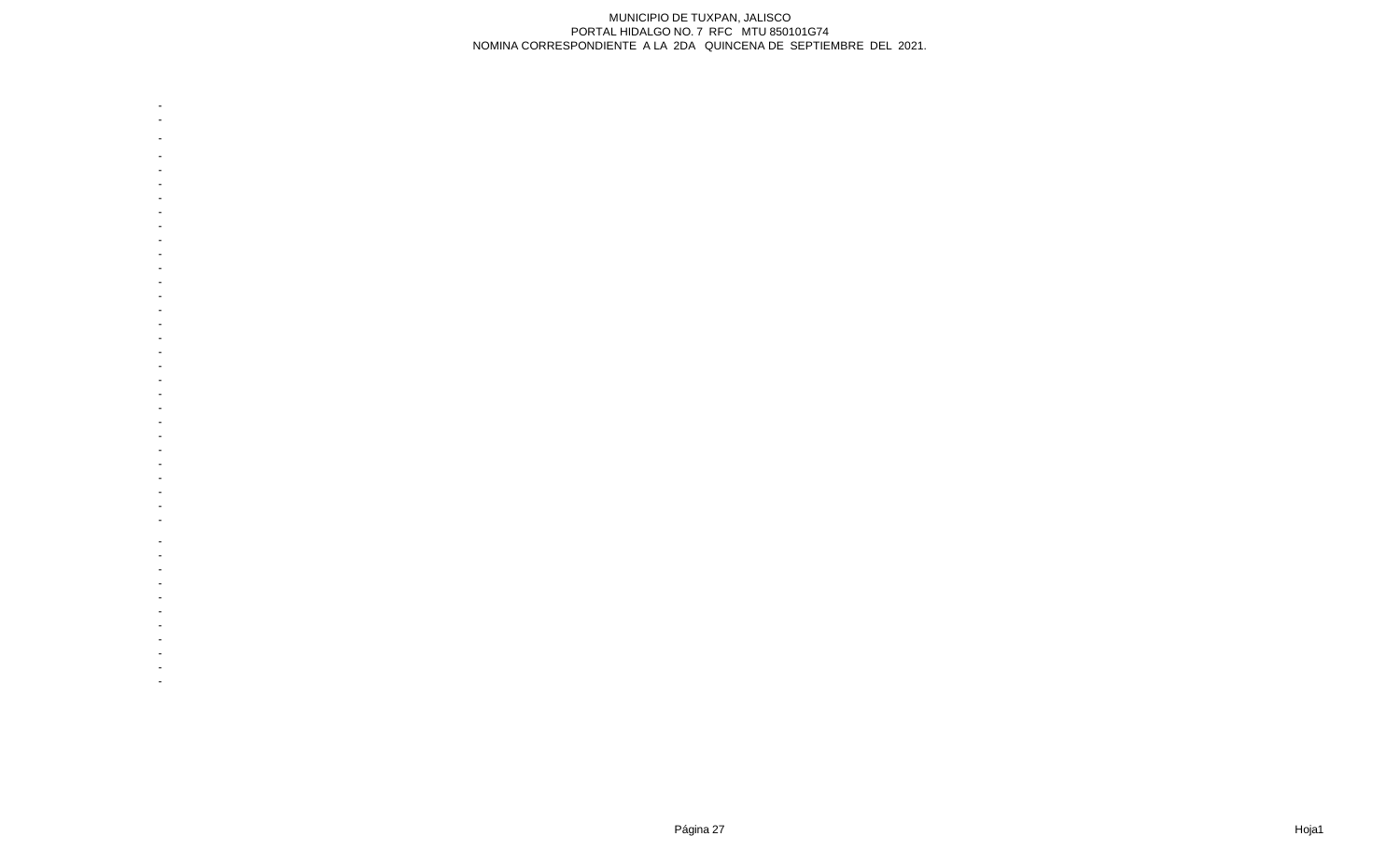- 1990 1990<br>1990 1990 1990 1990 1990 1990 1990 1990 1990 1990 1990 1990 1990 1990 1990 1990
- 1990 1990<br>1990 1990 1990 1990 1990 1990 1990 1990 1990 1990 1990 1990 1990 1990 1990 1990
- 1990 1990<br>1990 1990 1990 1990 1990 1990 1990 1990 1990 1990 1990 1990 1990 1990 1990 1990
	-
- 1990 1990<br>1990 1990 1990 1990 1990 1990 1990 1990 1990 1990 1990 1990 1990 1990 1990 1990
- 1990 1990 1991<br>1991 1992 1992 1992 1992 1992 1992 1992 1992 1992 1992 1992 1992 1992 1992 1992<br>1992 1992 1992 1992 1992 1992 1992 1992 1992 1992 1992 1992 1992
	-
	-
- 1990 1990 1991<br>1991 1992 1992 1992 1992 1992 1992 1992 1992 1992 1992 1992 1992 1992 1992 1992<br>1992 1992 1992 1992 1992 1992 1992 1992 1992 1992 1992 1992 1992
	-
- 1990 1990 -
- 1990 1990 -

- 1990 - 1990<br>1990 - 1990 - 1990 - 1990 - 1990 - 1990 - 1990 - 1990 - 1990 - 1990 - 1990 - 1990 - 1990 - 1990 - 1990 - 1990 - 1990 - 1990<br>1990 - 1990 - 1990 - 1990 - 1990 - 1990 - 1990 - 1990 - 1990 - 1990 - 1990 - 1990 - 1990 - 1990 - 1990 - 1990 - 1990 - 1990 - 1991<br>1991 - 1992 - 1992 - 1992 - 1992 - 1992 - 1992 - 1992 - 1992 - 1992 - 1992 - 1992 - 1992 - 1992 - 1992 - 1992<br>1992 - 1992 - 1992 - 1992 - 1992 - 1992 - 1992 - 1992 - 1992 - 1992 - 1992 - 1992 - 1992 - - 1990 - 1990<br>1990 - 1990 - 1990 - 1990 - 1990 - 1990 - 1990 - 1990 - 1990 - 1990 - 1990 - 1990 - 1990 - 1990 - 1990 - 1990 - 1990 - 1990<br>1990 - 1990 - 1990 - 1990 - 1990 - 1990 - 1990 - 1990 - 1990 - 1990 - 1990 - 1990 - 1990 - 1990 - 1990 - 1990 - 1990 - 1990<br>1990 - 1990 - 1990 - 1990 - 1990 - 1990 - 1990 - 1990 - 1990 - 1990 - 1990 - 1990 - 1990 - 1990 - 1990 - 1990 - 1990 - 1990<br>1990 - 1990 - 1990 - 1990 - 1990 - 1990 - 1990 - 1990 - 1990 - 1990 - 1990 - 1990 - 1990 - 1990 - 1990 - 1990 - 1990 - 1990 - 1991<br>1991 - 1992 - 1992 - 1992 - 1992 - 1992 - 1992 - 1992 - 1992 - 1992 - 1992 - 1992 - 1992 - 1992 - 1992 - 1992<br>1992 - 1992 - 1992 - 1992 - 1992 - 1992 - 1992 - 1992 - 1992 - 1992 - 1992 - 1992 - 1992 - - 1990 - 1990 - 1991<br>1991 - 1992 - 1992 - 1992 - 1992 - 1992 - 1992 - 1992 - 1992 - 1992 - 1992 - 1992 - 1992 - 1992 - 1992 - 1992<br>1992 - 1992 - 1992 - 1992 - 1992 - 1992 - 1992 - 1992 - 1992 - 1992 - 1992 - 1992 - 1992 - - 1990 - 1990 - 1991<br>1991 - 1992 - 1992 - 1992 - 1992 - 1992 - 1992 - 1992 - 1992 - 1992 - 1992 - 1992 - 1992 - 1992 - 1992 - 1992<br>1992 - 1992 - 1992 - 1992 - 1992 - 1992 - 1992 - 1992 - 1992 - 1992 - 1992 - 1992 - 1992 - - 1990 - 1990 -- 1990 - 1990<br>1990 - 1990 - 1990 - 1990 - 1990 - 1990 - 1990 - 1990 - 1990 - 1990 - 1990 - 1990 - 1990 - 1990 - 1990 - 1990 - 1990 - 1990<br>1990 - 1990 - 1990 - 1990 - 1990 - 1990 - 1990 - 1990 - 1990 - 1990 - 1990 - 1990 - 1990 - 1990 - 1990 - 1990 - 1990 - 1990<br>1990 - 1990 - 1990 - 1990 - 1990 - 1990 - 1990 - 1990 - 1990 - 1990 - 1990 - 1990 - 1990 - 1990 - 1990 - 1990 - 1990 - 1990<br>1990 - 1990 - 1990 - 1990 - 1990 - 1990 - 1990 - 1990 - 1990 - 1990 - 1990 - 1990 - 1990 - 1990 - 1990 - 1990 - 1990 - 1990<br>1990 - 1990 - 1990 - 1990 - 1990 - 1990 - 1990 - 1990 - 1990 - 1990 - 1990 - 1990 - 1990 - 1990 - 1990 - 1990 - 1990 - 1990<br>1990 - 1990 - 1990 - 1990 - 1990 - 1990 - 1990 - 1990 - 1990 - 1990 - 1990 - 1990 - 1990 - 1990 - 1990 - 1990 - 1990 - 1990 - 1991<br>1991 - 1992 - 1992 - 1992 - 1992 - 1992 - 1992 - 1992 - 1992 - 1992 - 1992 - 1992 - 1992 - 1992 - 1992 - 1992<br>1992 - 1992 - 1992 - 1992 - 1992 - 1992 - 1992 - 1992 - 1992 - 1992 - 1992 - 1992 - 1992 - - 1990 - 1990 - 1991<br>1991 - 1992 - 1992 - 1992 - 1992 - 1992 - 1992 - 1992 - 1992 - 1992 - 1992 - 1992 - 1992 - 1992 - 1992 - 1992<br>1992 - 1992 - 1992 - 1992 - 1992 - 1992 - 1992 - 1992 - 1992 - 1992 - 1992 - 1992 - 1992 - - 1990 - 1990 -- 1990 - 1990<br>1990 - 1990 - 1990 - 1990 - 1990 - 1990 - 1990 - 1990 - 1990 - 1990 - 1990 - 1990 - 1990 - 1990 - 1990 - 1990 - 1990 - 1990<br>1990 - 1990 - 1990 - 1990 - 1990 - 1990 - 1990 - 1990 - 1990 - 1990 - 1990 - 1990 - 1990 - 1990 - 1990 - 1990 - 1990 - 1990<br>1990 - 1990 - 1990 - 1990 - 1990 - 1990 - 1990 - 1990 - 1990 - 1990 - 1990 - 1990 - 1990 - 1990 - 1990 - 1990 - 1990 - 1990<br>1990 - 1990 - 1990 - 1990 - 1990 - 1990 - 1990 - 1990 - 1990 - 1990 - 1990 - 1990 - 1990 - 1990 - 1990 - 1990 - 1990 - 1990<br>1990 - 1990 - 1990 - 1990 - 1990 - 1990 - 1990 - 1990 - 1990 - 1990 - 1990 - 1990 - 1990 - 1990 - 1990 - 1990 - 1990 - 1990 - 1991<br>1991 - 1992 - 1992 - 1992 - 1992 - 1992 - 1992 - 1992 - 1992 - 1992 - 1992 - 1992 - 1992 - 1992 - 1992 - 1992<br>1992 - 1992 - 1992 - 1992 - 1992 - 1992 - 1992 - 1992 - 1992 - 1992 - 1992 - 1992 - 1992 - - 1990 - 1990 - 1991<br>1991 - 1992 - 1992 - 1992 - 1992 - 1992 - 1992 - 1992 - 1992 - 1992 - 1992 - 1992 - 1992 - 1992 - 1992 - 1992<br>1992 - 1992 - 1992 - 1992 - 1992 - 1992 - 1992 - 1992 - 1992 - 1992 - 1992 - 1992 - 1992 - - 1990 - 1990 - 1991<br>1991 - 1992 - 1992 - 1992 - 1992 - 1992 - 1992 - 1992 - 1992 - 1992 - 1992 - 1992 - 1992 - 1992 - 1992 - 1992<br>1992 - 1992 - 1992 - 1992 - 1992 - 1992 - 1992 - 1992 - 1992 - 1992 - 1992 - 1992 - 1992 - - 1990 - 1990 -- 1990 - 1990<br>1990 - 1990 - 1990 - 1990 - 1990 - 1990 - 1990 - 1990 - 1990 - 1990 - 1990 - 1990 - 1990 - 1990 - 1990 - 1990 - 1990 - 1990<br>1990 - 1990 - 1990 - 1990 - 1990 - 1990 - 1990 - 1990 - 1990 - 1990 - 1990 - 1990 - 1990 - 1990 - 1990 - 1990

- 
- 1990 1990<br>1990 1990 1990 1990 1990 1990 1990 1990 1990 1990 1990 1990 1990 1990 1990 1990
- 1990 1990<br>1990 1990 1990 1990 1990 1990 1990 1990 1990 1990 1990 1990 1990 1990 1990 1990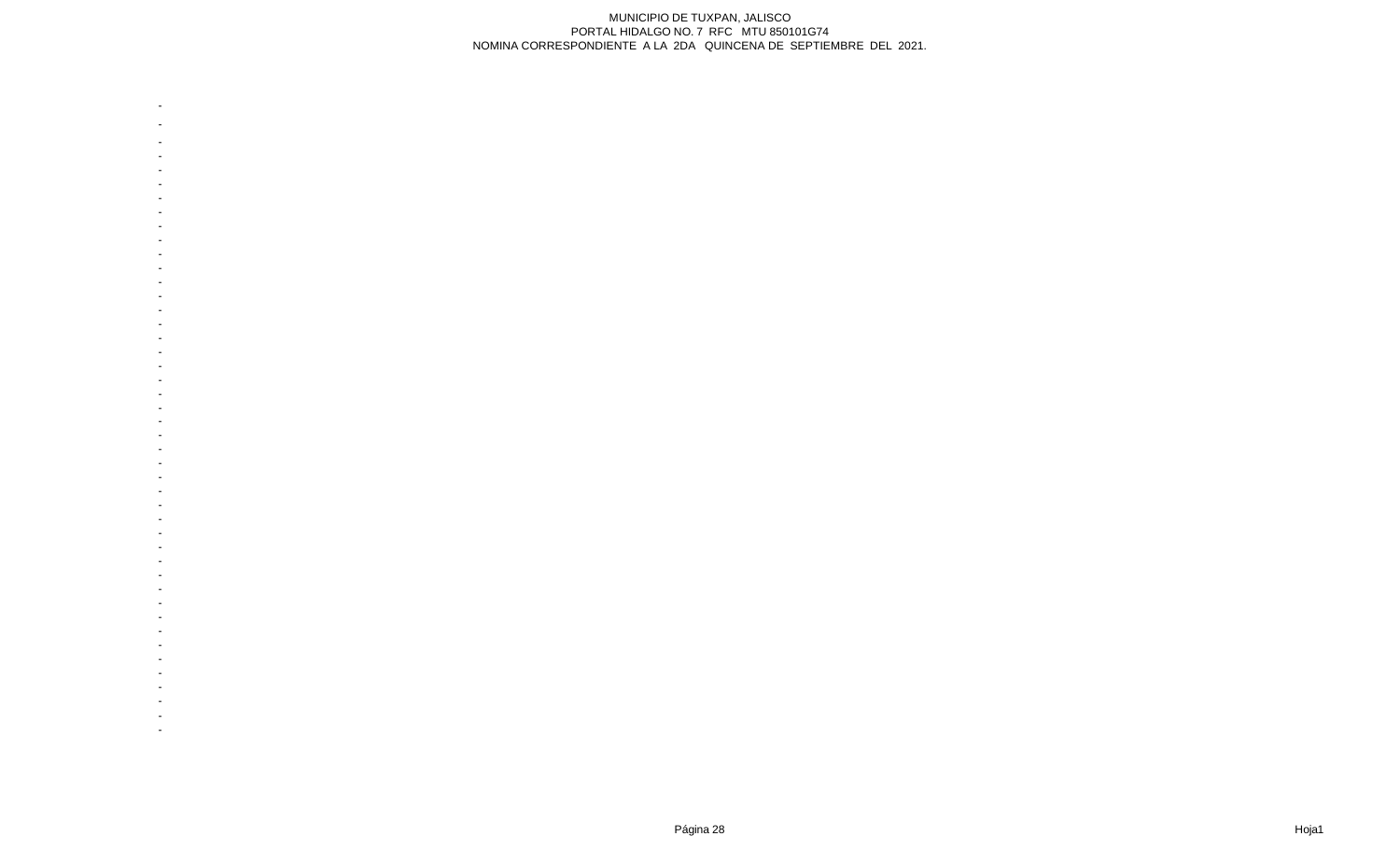- 1990 - 1990<br>1990 - 1990 - 1990 - 1990 - 1990 - 1990 - 1990 - 1990 - 1990 - 1990 - 1990 - 1990 - 1990 - 1990 - 1990 - 1990 - 1990 - 1990 - 1991<br>1991 - 1992 - 1992 - 1992 - 1992 - 1992 - 1992 - 1992 - 1992 - 1992 - 1992 - 1992 - 1992 - 1992 - 1992 - 1992<br>1992 - 1992 - 1992 - 1992 - 1992 - 1992 - 1992 - 1992 - 1992 - 1992 - 1992 - 1992 - 1992 - - 1990 - 1990<br>1990 - 1990 - 1990 - 1990 - 1990 - 1990 - 1990 - 1990 - 1990 - 1990 - 1990 - 1990 - 1990 - 1990 - 1990 - 1990 - 1990 - 1990<br>1990 - 1990 - 1990 - 1990 - 1990 - 1990 - 1990 - 1990 - 1990 - 1990 - 1990 - 1990 - 1990 - 1990 - 1990 - 1990 - 1990 - 1990<br>1990 - 1990 - 1990 - 1990 - 1990 - 1990 - 1990 - 1990 - 1990 - 1990 - 1990 - 1990 - 1990 - 1990 - 1990 - 1990 - 1990 - 1990<br>1990 - 1990 - 1990 - 1990 - 1990 - 1990 - 1990 - 1990 - 1990 - 1990 - 1990 - 1990 - 1990 - 1990 - 1990 - 1990 - 1990 - 1990<br>1990 - 1990 - 1990 - 1990 - 1990 - 1990 - 1990 - 1990 - 1990 - 1990 - 1990 - 1990 - 1990 - 1990 - 1990 - 1990 - 1990 - 1990 - 1991<br>1991 - 1992 - 1992 - 1992 - 1992 - 1992 - 1992 - 1992 - 1992 - 1992 - 1992 - 1992 - 1992 - 1992 - 1992 - 1992<br>1992 - 1992 - 1992 - 1992 - 1992 - 1992 - 1992 - 1992 - 1992 - 1992 - 1992 - 1992 - 1992 - - 1990 - 1990 - 1991<br>1991 - 1992 - 1992 - 1992 - 1992 - 1992 - 1992 - 1992 - 1992 - 1992 - 1992 - 1992 - 1992 - 1992 - 1992 - 1992<br>1992 - 1992 - 1992 - 1992 - 1992 - 1992 - 1992 - 1992 - 1992 - 1992 - 1992 - 1992 - 1992 - - 1990 - 1990 - 1991<br>1991 - 1992 - 1992 - 1992 - 1992 - 1992 - 1992 - 1992 - 1992 - 1992 - 1992 - 1992 - 1992 - 1992 - 1992 - 1992<br>1992 - 1992 - 1992 - 1992 - 1992 - 1992 - 1992 - 1992 - 1992 - 1992 - 1992 - 1992 - 1992 - - 1990 - 1990 -- 1990 - 1990<br>1991 - 1991 - 1992 - 1990 - 1990<br>1991 - 1991 - 1992 - 1990 - 1990<br>1991 - 1991 - 1992 - 1990 - 1990<br>1991 - 1991 - 1992 - 1990 - 1990<br>1991 - 1991 - 1992 - 1990 - 1990<br>1991 - 1991 - 1992 - 1990 - 1990 - 1990<br>1990 - 1990 - 1990 - 1990 - 1990 - 1990 - 1990 - 1990 - 1990 - 1990 - 1990 - 1990 - 1990 - 1990 - 1990 - 1990 - 1990 - 1990 - 1990<br>1990 - 1990 - 1990 - 1990 - 1990 - 1990 - 1990 - 1990 - 1990 - 1990 - 1990 - 1990 - 1990 - 1990 - 1990 - 1990 - 1990 - 1990 -- 1990 - 1990<br>1991 - 1991 - 1992 - 1990 - 1990<br>1991 - 1991 - 1992 - 1990 - 1990<br>1991 - 1991 - 1992 - 1990 - 1990 - 1990<br>1990 - 1990 - 1990 - 1990 - 1990 - 1990 - 1990 - 1990 - 1990 - 1990 - 1990 - 1990 - 1990 - 1990 - 1990 - 1990 - 1990 - 1990 - 1990<br>1990 - 1990 - 1990 - 1990 - 1990 - 1990 - 1990 - 1990 - 1990 - 1990 - 1990 - 1990 - 1990 - 1990 - 1990 - 1990 - 1990 - 1990 -- 1990 - 1990<br>1991 - 1991 - 1992 - 1990 - 1990<br>1991 - 1991 - 1992 - 1990 - 1990<br>1991 - 1991 - 1992 - 1990 - 1990<br>1991 - 1991 - 1992 - 1990 - 1990<br>1991 - 1991 - 1992 - 1990 - 1990<br>1991 - 1991 - 1992 - 1990 - 1990 - 1990<br>1990 - 1990 - 1990 - 1990 - 1990 - 1990 - 1990 - 1990 - 1990 - 1990 - 1990 - 1990 - 1990 - 1990 - 1990 - 1990 - 1990 - 1990 - 1990<br>1990 - 1990 - 1990 - 1990 - 1990 - 1990 - 1990 - 1990 - 1990 - 1990 - 1990 - 1990 - 1990 - 1990 - 1990 - 1990 - 1990 - 1990 -- 1990 - 1990 -- 1990 - 1990<br>1991 - 1991 - 1992 - 1990 - 1991<br>1991 - 1992 - 1992 - 1990 - 1991<br>1991 - 1992 - 1992 - 1990 - 1991<br>1991 - 1992 - 1992 - 1990 - 1991<br>1991 - 1992 - 1992 - 100 pm - 100 pm - 1990 - 1990 -- 1990 - 1990 -